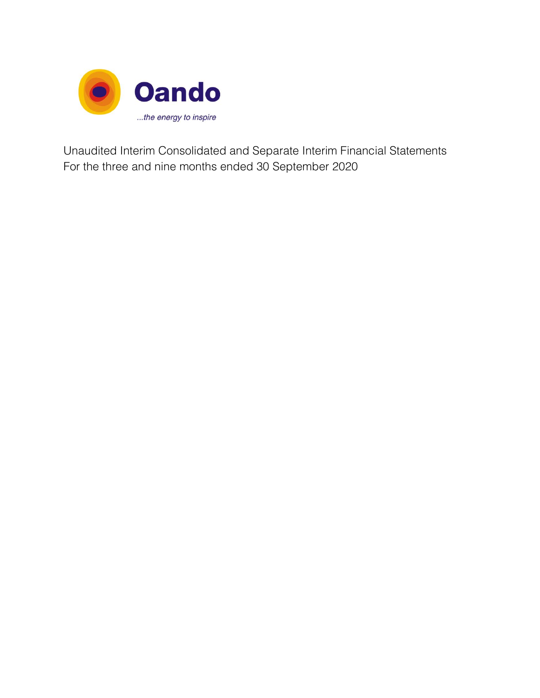

Unaudited Interim Consolidated and Separate Interim Financial Statements For the three and nine months ended 30 September 2020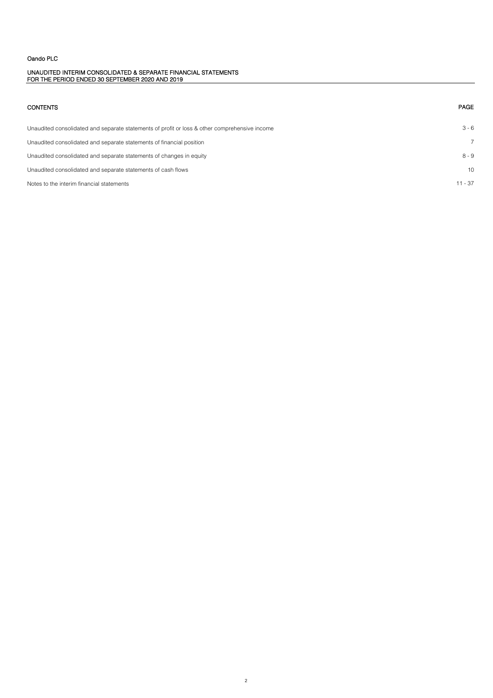## Oando PLC

#### UNAUDITED INTERIM CONSOLIDATED & SEPARATE FINANCIAL STATEMENTS FOR THE PERIOD ENDED 30 SEPTEMBER 2020 AND 2019

| <b>CONTENTS</b>                                                                               | <b>PAGE</b>    |
|-----------------------------------------------------------------------------------------------|----------------|
| Unaudited consolidated and separate statements of profit or loss & other comprehensive income | $3 - 6$        |
| Unaudited consolidated and separate statements of financial position                          | $\overline{7}$ |
| Unaudited consolidated and separate statements of changes in equity                           | $8 - 9$        |
| Unaudited consolidated and separate statements of cash flows                                  | 10             |
| Notes to the interim financial statements                                                     | $11 - 37$      |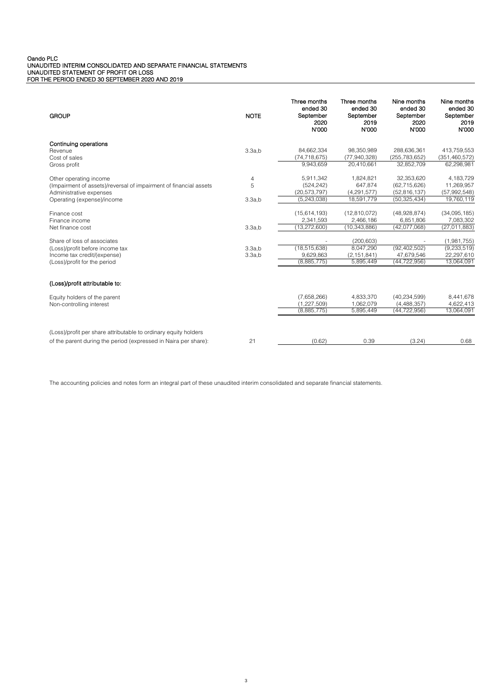#### Oando PLC UNAUDITED INTERIM CONSOLIDATED AND SEPARATE FINANCIAL STATEMENTS UNAUDITED STATEMENT OF PROFIT OR LOSS FOR THE PERIOD ENDED 30 SEPTEMBER 2020 AND 2019

| <b>GROUP</b>                                                      | <b>NOTE</b>    | Three months<br>ended 30<br>September<br>2020<br>N'000 | Three months<br>ended 30<br>September<br>2019<br>N'000 | Nine months<br>ended 30<br>September<br>2020<br>N'000 | Nine months<br>ended 30<br>September<br>2019<br>N'000 |
|-------------------------------------------------------------------|----------------|--------------------------------------------------------|--------------------------------------------------------|-------------------------------------------------------|-------------------------------------------------------|
| Continuing operations                                             |                |                                                        |                                                        |                                                       |                                                       |
| Revenue                                                           | $3.3a$ , $b$   | 84,662,334                                             | 98.350.989                                             | 288,636,361                                           | 413,759,553                                           |
| Cost of sales                                                     |                | (74, 718, 675)                                         | (77,940,328)                                           | (255, 783, 652)                                       | (351, 460, 572)                                       |
| Gross profit                                                      |                | 9.943.659                                              | 20,410,661                                             | 32,852,709                                            | 62,298,981                                            |
| Other operating income                                            | $\overline{4}$ | 5,911,342                                              | 1,824,821                                              | 32,353,620                                            | 4,183,729                                             |
| (Impairment of assets)/reversal of impairment of financial assets | 5              | (524, 242)                                             | 647.874                                                | (62, 715, 626)                                        | 11,269,957                                            |
| Administrative expenses                                           |                | (20, 573, 797)                                         | (4, 291, 577)                                          | (52, 816, 137)                                        | (57,992,548)                                          |
| Operating (expense)/income                                        | $3.3a$ , $b$   | (5,243,038)                                            | 18,591,779                                             | (50, 325, 434)                                        | 19,760,119                                            |
| Finance cost                                                      |                | (15,614,193)                                           | (12,810,072)                                           | (48,928,874)                                          | (34,095,185)                                          |
| Finance income                                                    |                | 2,341,593                                              | 2,466,186                                              | 6,851,806                                             | 7,083,302                                             |
| Net finance cost                                                  | $3.3a$ , $b$   | (13, 272, 600)                                         | (10, 343, 886)                                         | (42,077,068)                                          | (27,011,883)                                          |
| Share of loss of associates                                       |                |                                                        | (200, 603)                                             |                                                       | (1,981,755)                                           |
| (Loss)/profit before income tax                                   | $3.3a$ , $b$   | (18, 515, 638)                                         | 8.047.290                                              | (92, 402, 502)                                        | (9,233,519)                                           |
| Income tax credit/(expense)                                       | $3.3a$ , $b$   | 9.629.863                                              | (2, 151, 841)                                          | 47.679.546                                            | 22,297,610                                            |
| (Loss)/profit for the period                                      |                | (8,885,775)                                            | 5,895,449                                              | (44, 722, 956)                                        | 13,064,091                                            |
| (Loss)/profit attributable to:                                    |                |                                                        |                                                        |                                                       |                                                       |
| Equity holders of the parent                                      |                | (7,658,266)                                            | 4.833.370                                              | (40, 234, 599)                                        | 8,441,678                                             |
| Non-controlling interest                                          |                | (1, 227, 509)                                          | 1,062,079                                              | (4, 488, 357)                                         | 4,622,413                                             |
|                                                                   |                | (8.885.775)                                            | 5.895.449                                              | (44, 722, 956)                                        | 13.064.091                                            |
| (Loss)/profit per share attributable to ordinary equity holders   |                |                                                        |                                                        |                                                       |                                                       |
| of the parent during the period (expressed in Naira per share):   | 21             | (0.62)                                                 | 0.39                                                   | (3.24)                                                | 0.68                                                  |
|                                                                   |                |                                                        |                                                        |                                                       |                                                       |

The accounting policies and notes form an integral part of these unaudited interim consolidated and separate financial statements.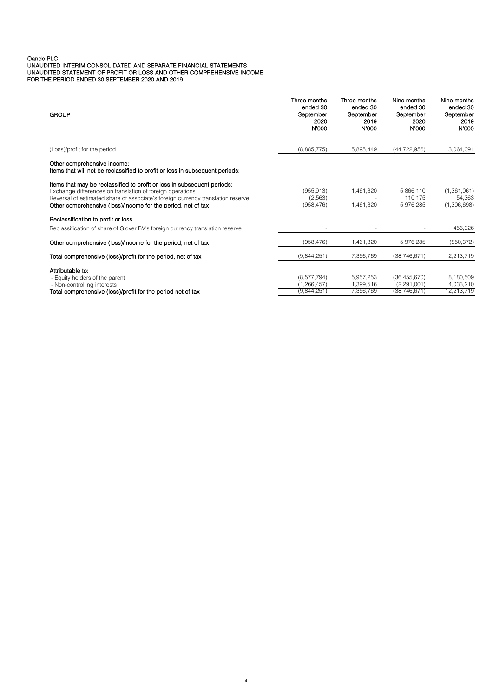#### Oando PLC UNAUDITED INTERIM CONSOLIDATED AND SEPARATE FINANCIAL STATEMENTS UNAUDITED STATEMENT OF PROFIT OR LOSS AND OTHER COMPREHENSIVE INCOME FOR THE PERIOD ENDED 30 SEPTEMBER 2020 AND 2019

| <b>GROUP</b>                                                                                                                                                                                                                                                                            | Three months<br>ended 30<br>September<br>2020<br>N'000 | Three months<br>ended 30<br>September<br>2019<br>N'000 | Nine months<br>ended 30<br>September<br>2020<br>N'000 | Nine months<br>ended 30<br>September<br>2019<br>N 000 |
|-----------------------------------------------------------------------------------------------------------------------------------------------------------------------------------------------------------------------------------------------------------------------------------------|--------------------------------------------------------|--------------------------------------------------------|-------------------------------------------------------|-------------------------------------------------------|
| (Loss)/profit for the period                                                                                                                                                                                                                                                            | (8,885,775)                                            | 5.895.449                                              | (44, 722, 956)                                        | 13,064,091                                            |
| Other comprehensive income:<br>Items that will not be reclassified to profit or loss in subsequent periods:                                                                                                                                                                             |                                                        |                                                        |                                                       |                                                       |
| Items that may be reclassified to profit or loss in subsequent periods:<br>Exchange differences on translation of foreign operations<br>Reversal of estimated share of associate's foreign currency translation reserve<br>Other comprehensive (loss)/income for the period, net of tax | (955, 913)<br>(2, 563)<br>(958, 476)                   | 1,461,320<br>1,461,320                                 | 5,866,110<br>110.175<br>5,976,285                     | (1,361,061)<br>54.363<br>(1,306,698)                  |
| Reclassification to profit or loss<br>Reclassification of share of Glover BV's foreign currency translation reserve                                                                                                                                                                     |                                                        |                                                        |                                                       | 456,326                                               |
| Other comprehensive (loss)/income for the period, net of tax                                                                                                                                                                                                                            | (958.476)                                              | 1,461,320                                              | 5,976,285                                             | (850, 372)                                            |
| Total comprehensive (loss)/profit for the period, net of tax                                                                                                                                                                                                                            | (9,844,251)                                            | 7,356,769                                              | (38, 746, 671)                                        | 12,213,719                                            |
| Attributable to:<br>- Equity holders of the parent<br>- Non-controlling interests<br>Total comprehensive (loss)/profit for the period net of tax                                                                                                                                        | (8,577,794)<br>(1, 266, 457)<br>(9,844,251)            | 5,957,253<br>1,399,516<br>7,356,769                    | (36, 455, 670)<br>(2, 291, 001)<br>(38, 746, 671)     | 8,180,509<br>4.033.210<br>12,213,719                  |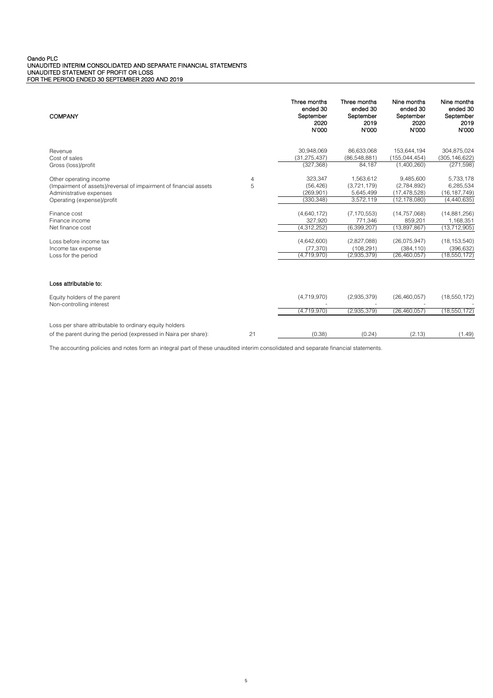#### Oando PLC UNAUDITED INTERIM CONSOLIDATED AND SEPARATE FINANCIAL STATEMENTS UNAUDITED STATEMENT OF PROFIT OR LOSS FOR THE PERIOD ENDED 30 SEPTEMBER 2020 AND 2019

| <b>COMPANY</b>                                                    |    | Three months<br>ended 30<br>September<br>2020<br>N'000 | Three months<br>ended 30<br>September<br>2019<br>N'000 | Nine months<br>ended 30<br>September<br>2020<br>N'000 | Nine months<br>ended 30<br>September<br>2019<br>N'000 |
|-------------------------------------------------------------------|----|--------------------------------------------------------|--------------------------------------------------------|-------------------------------------------------------|-------------------------------------------------------|
|                                                                   |    |                                                        |                                                        |                                                       |                                                       |
| Revenue<br>Cost of sales                                          |    | 30,948,069<br>(31, 275, 437)                           | 86,633,068<br>(86, 548, 881)                           | 153,644,194<br>(155, 044, 454)                        | 304,875,024<br>(305, 146, 622)                        |
| Gross (loss)/profit                                               |    | (327, 368)                                             | 84,187                                                 | (1,400,260)                                           | (271, 598)                                            |
| Other operating income                                            | 4  | 323,347                                                | 1,563,612                                              | 9,485,600                                             | 5,733,178                                             |
| (Impairment of assets)/reversal of impairment of financial assets | 5  | (56, 426)                                              | (3,721,179)                                            | (2,784,892)                                           | 6,285,534                                             |
| Administrative expenses                                           |    | (269, 901)                                             | 5,645,499                                              | (17, 478, 528)                                        | (16, 187, 749)                                        |
| Operating (expense)/profit                                        |    | (330, 348)                                             | 3,572,119                                              | (12, 178, 080)                                        | (4, 440, 635)                                         |
| Finance cost                                                      |    | (4,640,172)                                            | (7, 170, 553)                                          | (14, 757, 068)                                        | (14,881,256)                                          |
| Finance income                                                    |    | 327,920                                                | 771,346                                                | 859.201                                               | 1,168,351                                             |
| Net finance cost                                                  |    | (4,312,252)                                            | (6,399,207)                                            | (13, 897, 867)                                        | (13, 712, 905)                                        |
| Loss before income tax                                            |    | (4,642,600)                                            | (2,827,088)                                            | (26,075,947)                                          | (18, 153, 540)                                        |
| Income tax expense                                                |    | (77, 370)                                              | (108, 291)                                             | (384, 110)                                            | (396, 632)                                            |
| Loss for the period                                               |    | (4,719,970)                                            | (2,935,379)                                            | (26, 460, 057)                                        | (18, 550, 172)                                        |
|                                                                   |    |                                                        |                                                        |                                                       |                                                       |
| Loss attributable to:                                             |    |                                                        |                                                        |                                                       |                                                       |
| Equity holders of the parent                                      |    | (4,719,970)                                            | (2,935,379)                                            | (26, 460, 057)                                        | (18, 550, 172)                                        |
| Non-controlling interest                                          |    | (4,719,970)                                            | (2,935,379)                                            | (26, 460, 057)                                        | (18, 550, 172)                                        |
|                                                                   |    |                                                        |                                                        |                                                       |                                                       |
| Loss per share attributable to ordinary equity holders            |    |                                                        |                                                        |                                                       |                                                       |
| of the parent during the period (expressed in Naira per share):   | 21 | (0.38)                                                 | (0.24)                                                 | (2.13)                                                | (1.49)                                                |

The accounting policies and notes form an integral part of these unaudited interim consolidated and separate financial statements.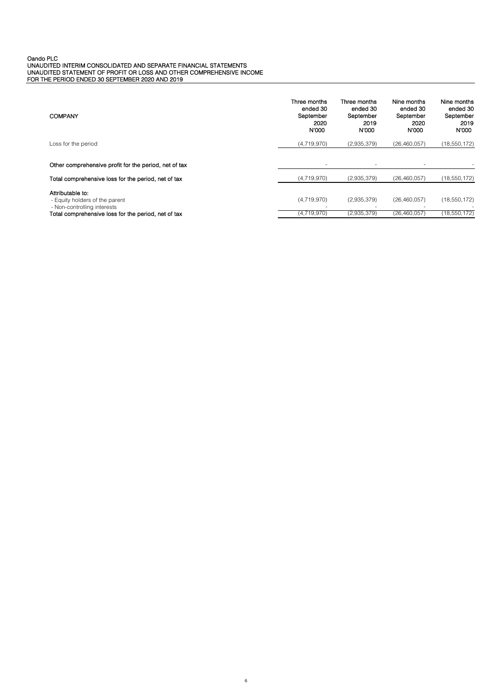#### Oando PLC UNAUDITED INTERIM CONSOLIDATED AND SEPARATE FINANCIAL STATEMENTS UNAUDITED STATEMENT OF PROFIT OR LOSS AND OTHER COMPREHENSIVE INCOME FOR THE PERIOD ENDED 30 SEPTEMBER 2020 AND 2019

| <b>COMPANY</b>                                                                                                                           | Three months<br>ended 30<br>September<br>2020<br>N'000 | Three months<br>ended 30<br>September<br>2019<br>N'000 | Nine months<br>ended 30<br>September<br>2020<br>N'000 | Nine months<br>ended 30<br>September<br>2019<br>N'000 |
|------------------------------------------------------------------------------------------------------------------------------------------|--------------------------------------------------------|--------------------------------------------------------|-------------------------------------------------------|-------------------------------------------------------|
| Loss for the period                                                                                                                      | (4,719,970)                                            | (2,935,379)                                            | (26, 460, 057)                                        | (18, 550, 172)                                        |
| Other comprehensive profit for the period, net of tax                                                                                    |                                                        | ٠                                                      |                                                       |                                                       |
| Total comprehensive loss for the period, net of tax                                                                                      | (4,719,970)                                            | (2,935,379)                                            | (26, 460, 057)                                        | (18, 550, 172)                                        |
| Attributable to:<br>- Equity holders of the parent<br>- Non-controlling interests<br>Total comprehensive loss for the period, net of tax | (4,719,970)<br>(4,719,970)                             | (2,935,379)<br>(2,935,379)                             | (26, 460, 057)<br>(26, 460, 057)                      | (18, 550, 172)<br>(18, 550, 172)                      |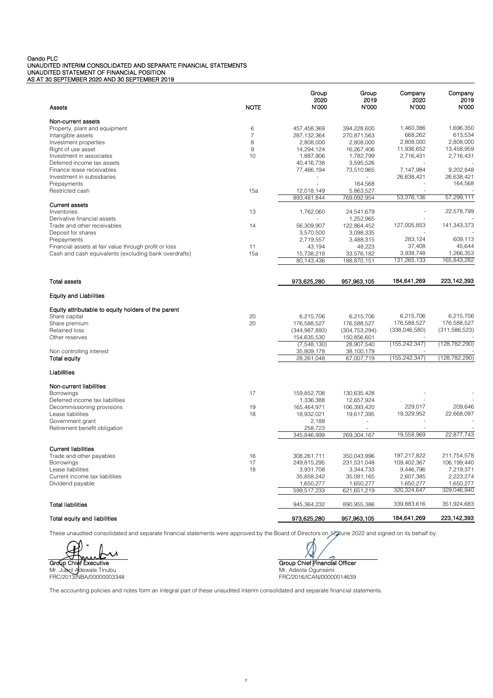#### Oando PLC UNAUDITED INTERIM CONSOLIDATED AND SEPARATE FINANCIAL STATEMENTS UNAUDITED STATEMENT OF FINANCIAL POSITION AS AT 30 SEPTEMBER 2020 AND 30 SEPTEMBER 2019

| Assets                                                | <b>NOTE</b> | Group<br>2020<br>N'000 | Group<br>2019<br>N'000 | Company<br>2020<br>N'000 | Company<br>2019<br>N'000 |
|-------------------------------------------------------|-------------|------------------------|------------------------|--------------------------|--------------------------|
| Non-current assets                                    |             |                        |                        |                          |                          |
| Property, plant and equipment                         | 6           | 457,458,369            | 394,228,600            | 1,460,386                | 1,696,350                |
| Intangible assets                                     | 7           | 287,132,364            | 270,871,563            | 668.262                  | 613,534                  |
| Investment properties                                 | 8           | 2,808,000              | 2,808,000              | 2,808,000                | 2,808,000                |
| Right of use asset                                    | 9           | 14,294,124             | 16,267,406             | 11,936,652               | 13,458,959               |
| Investment in associates                              | 10          | 1,887,906              | 1,782,799              | 2,716,431                | 2,716,431                |
| Deferred income tax assets                            |             | 40,416,738             | 3,595,526              |                          |                          |
| Finance lease receivables                             |             | 77,466,194             | 73,510,965             | 7,147,984                | 9,202,848                |
| Investment in subsidiaries                            |             |                        |                        | 26,638,421               | 26,638,421               |
| Prepayments                                           |             |                        | 164.568                |                          | 164,568                  |
| Restricted cash                                       | 15a         | 12,018,149             | 5,863,527              |                          |                          |
|                                                       |             |                        |                        | 53,376,136               | 57,299,111               |
|                                                       |             | 893,481,844            | 769,092,954            |                          |                          |
| <b>Current assets</b>                                 |             |                        |                        |                          |                          |
| Inventories                                           | 13          | 1,762,060              | 24,541,679             |                          | 22,578,799               |
| Derivative financial assets                           |             |                        | 1,252,965              |                          |                          |
| Trade and other receivables                           | 14          | 56,309,907             | 122,864,452            | 127,005,853              | 141,343,373              |
| Deposit for shares                                    |             | 3,570,500              | 3,098,335              |                          |                          |
| Prepayments                                           |             | 2,719,557              | 3,488,315              | 283,124                  | 609,113                  |
| Financial assets at fair value through profit or loss | 11          | 43,194                 | 48,223                 | 37,408                   | 45,644                   |
| Cash and cash equivalents (excluding bank overdrafts) | 15a         | 15,738,218             | 33,576,182             | 3,938,748                | 1,266,353                |
|                                                       |             | 80,143,436             | 188,870,151            | 131,265,133              | 165,843,282              |
|                                                       |             |                        |                        |                          |                          |
| <b>Total assets</b>                                   |             | 973,625,280            | 957,963,105            | 184,641,269              | 223.142.393              |
| <b>Equity and Liabilities</b>                         |             |                        |                        |                          |                          |
| Equity attributable to equity holders of the parent   |             |                        |                        |                          | 6.215.706                |
| Share capital                                         | 20          | 6,215,706              | 6,215,706              | 6,215,706                |                          |
| Share premium                                         | 20          | 176,588,527            | 176,588,527            | 176,588,527              | 176,588,527              |
| Retained loss                                         |             | (344, 987, 893)        | (304, 753, 294)        | (338,046,580)            | (311, 586, 523)          |
| Other reserves                                        |             | 154,635,530            | 150,856,601            |                          |                          |
|                                                       |             | (7,548,130)            | 28,907,540             | (155, 242, 347)          | (128, 782, 290)          |
| Non controlling interest                              |             | 35,809,178             | 38,100,179             |                          |                          |
| <b>Total equity</b>                                   |             | 28,261,048             | 67,007,719             | (155, 242, 347)          | (128, 782, 290)          |
| Liabilities                                           |             |                        |                        |                          |                          |
| Non-current liabilities                               |             |                        |                        |                          |                          |
| Borrowings                                            | 17          | 159,852,708            | 130,635,428            |                          |                          |
| Deferred income tax liabilities                       |             | 1,336,388              | 12,657,924             |                          |                          |
| Decommissioning provisions                            | 19          | 165,464,971            | 106,393,420            | 229,017                  | 209.646                  |
| Lease liabilities                                     | 18          | 18,932,021             | 19,617,395             | 19,329,952               | 22,668,097               |
| Government grant                                      |             | 2,188                  | ÷                      |                          |                          |
| Retirement benefit obligation                         |             | 258,723                |                        |                          |                          |
|                                                       |             | 345,846,999            | 269,304,167            | 19,558,969               | 22,877,743               |
| <b>Current liabilities</b>                            |             |                        |                        |                          |                          |
| Trade and other payables                              | 16          | 308,261,711            | 350,043,996            | 197,217,822              | 211,754,578              |
| <b>Borrowings</b>                                     | 17          | 249,815,295            | 231,531,048            | 109,402,367              | 106,199,440              |
| Lease liabilities                                     | 18          | 3,931,708              | 3,344,733              | 9,446,796                | 7,219,371                |
| Current income tax liabilities                        |             | 35,858,242             | 35,081,165             | 2,607,385                | 2,223,274                |
| Dividend payable                                      |             | 1,650,277              | 1,650,277              | 1,650,277                | 1,650,277                |
|                                                       |             | 599,517,233            | 621,651,219            | 320, 324, 647            | 329,046,940              |
| <b>Total liabilities</b>                              |             | 945,364,232            | 890,955,386            | 339,883,616              | 351,924,683              |
| Total equity and liabilities                          |             | 973.625.280            | 957,963.105            | 184.641.269              | 223, 142, 393            |

These unaudited consolidated and separate financial statements were approved by the Board of Directors on 177 June 2022 and signed on its behalf by:

∯  $\lambda$ b Group Chief Executive<br>Mr. Jubril Adewale Tinubu<br>FRC/2013/NBA/00000003348

 $\cancel{a}$ Group Chief Financial Officer<br>Mr. Adeola Ogunsemi

FRC/2013/NBA/00000003348 FRC/2016/ICAN/00000014639

The accounting policies and notes form an integral part of these unaudited interim consolidated and separate financial statements.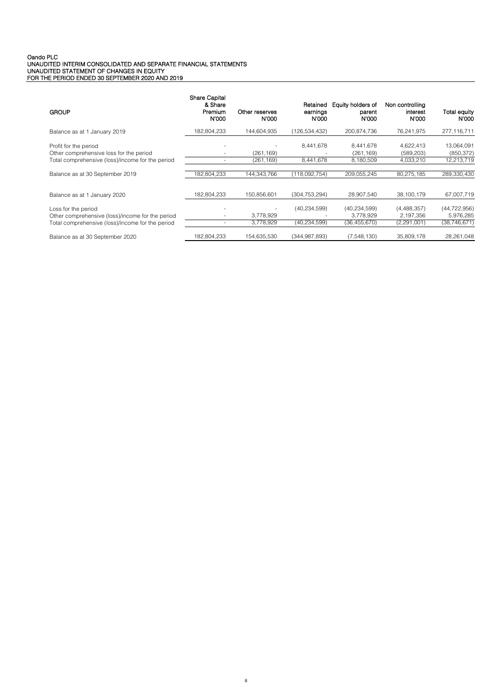#### Oando PLC UNAUDITED INTERIM CONSOLIDATED AND SEPARATE FINANCIAL STATEMENTS UNAUDITED STATEMENT OF CHANGES IN EQUITY FOR THE PERIOD ENDED 30 SEPTEMBER 2020 AND 2019

| <b>GROUP</b>                                                            | <b>Share Capital</b><br>& Share<br>Premium<br>N'000 | Other reserves<br>N'000 | Retained<br>earnings<br>N'000 | Equity holders of<br>parent<br>N'000 | Non controlling<br>interest<br>N'000 | Total equity<br>N'000       |
|-------------------------------------------------------------------------|-----------------------------------------------------|-------------------------|-------------------------------|--------------------------------------|--------------------------------------|-----------------------------|
| Balance as at 1 January 2019                                            | 182,804,233                                         | 144,604,935             | (126,534,432)                 | 200,874,736                          | 76,241,975                           | 277,116,711                 |
| Profit for the period<br>Other comprehensive loss for the period        |                                                     | (261.169)               | 8,441,678                     | 8,441,678<br>(261, 169)              | 4,622,413<br>(589, 203)              | 13,064,091<br>(850, 372)    |
| Total comprehensive (loss)/income for the period                        | $\sim$                                              | (261,169)               | 8.441.678                     | 8,180,509                            | 4.033.210                            | 12,213,719                  |
| Balance as at 30 September 2019                                         | 182,804,233                                         | 144,343,766             | (118,092,754)                 | 209,055,245                          | 80,275,185                           | 289,330,430                 |
| Balance as at 1 January 2020                                            | 182.804.233                                         | 150.856.601             | (304, 753, 294)               | 28,907,540                           | 38,100,179                           | 67,007,719                  |
| Loss for the period<br>Other comprehensive (loss)/income for the period | $\sim$                                              | 3.778.929               | (40, 234, 599)                | (40, 234, 599)<br>3,778,929          | (4,488,357)<br>2,197,356             | (44, 722, 956)<br>5,976,285 |
| Total comprehensive (loss)/income for the period                        | $\overline{\phantom{a}}$                            | 3,778,929               | (40, 234, 599)                | (36,455,670)                         | (2, 291, 001)                        | (38, 746, 671)              |
| Balance as at 30 September 2020                                         | 182,804,233                                         | 154,635,530             | (344,987,893)                 | (7,548,130)                          | 35,809,178                           | 28,261,048                  |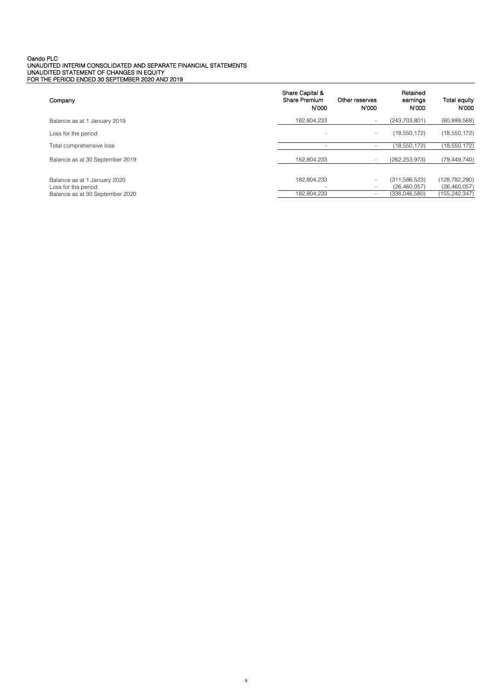#### Oando PLC UNAUDITED INTERIM CONSOLIDATED AND SEPARATE FINANCIAL STATEMENTS UNAUDITED STATEMENT OF CHANGES IN EQUITY FOR THE PERIOD ENDED 30 SEPTEMBER 2020 AND 2019

| Company                                                                                | Share Capital &<br>Share Premium<br>N 000 | Other reserves<br>N'000 | Retained<br>earnings<br>N'000                      | Total equity<br>N 000                                |
|----------------------------------------------------------------------------------------|-------------------------------------------|-------------------------|----------------------------------------------------|------------------------------------------------------|
| Balance as at 1 January 2019                                                           | 182.804.233                               |                         | (243, 703, 801)                                    | (60, 899, 568)                                       |
| Loss for the period                                                                    | ۰                                         | ۰.                      | (18, 550, 172)                                     | (18, 550, 172)                                       |
| Total comprehensive loss                                                               | ۰                                         | $\sim$                  | (18, 550, 172)                                     | (18, 550, 172)                                       |
| Balance as at 30 September 2019                                                        | 182.804.233                               | $\sim$                  | (262.253.973)                                      | (79, 449, 740)                                       |
| Balance as at 1 January 2020<br>Loss for the period<br>Balance as at 30 September 2020 | 182.804.233<br>۰<br>182.804.233           | ۰<br>۰                  | (311, 586, 523)<br>(26, 460, 057)<br>(338,046,580) | (128, 782, 290)<br>(26, 460, 057)<br>(155, 242, 347) |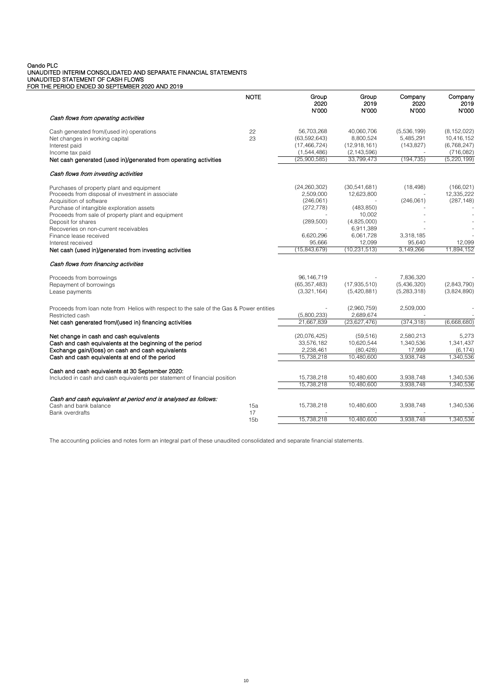#### Oando PLC UNAUDITED INTERIM CONSOLIDATED AND SEPARATE FINANCIAL STATEMENTS UNAUDITED STATEMENT OF CASH FLOWS FOR THE PERIOD ENDED 30 SEPTEMBER 2020 AND 2019

|                                                                                          | <b>NOTE</b>     | Group<br>2020<br>N'000 | Group<br>2019<br>N'000 | Company<br>2020<br>N'000 | Company<br>2019<br>N'000 |
|------------------------------------------------------------------------------------------|-----------------|------------------------|------------------------|--------------------------|--------------------------|
| Cash flows from operating activities                                                     |                 |                        |                        |                          |                          |
| Cash generated from/(used in) operations                                                 | 22              | 56,703,268             | 40,060,706             | (5,536,199)              | (8, 152, 022)            |
| Net changes in working capital                                                           | 23              | (63, 592, 643)         | 8,800,524              | 5,485,291                | 10,416,152               |
| Interest paid                                                                            |                 | (17, 466, 724)         | (12,918,161)           | (143, 827)               | (6,768,247)              |
| Income tax paid                                                                          |                 | (1,544,486)            | (2, 143, 596)          |                          | (716,082)                |
| Net cash generated (used in)/generated from operating activities                         |                 | (25,900,585)           | 33,799,473             | (194, 735)               | (5, 220, 199)            |
| Cash flows from investing activities                                                     |                 |                        |                        |                          |                          |
| Purchases of property plant and equipment                                                |                 | (24, 260, 302)         | (30, 541, 681)         | (18, 498)                | (166, 021)               |
| Proceeds from disposal of investment in associate                                        |                 | 2,509,000              | 12,623,800             |                          | 12,335,222               |
| Acquisition of software                                                                  |                 | (246,061)              |                        | (246, 061)               | (287, 148)               |
| Purchase of intangible exploration assets                                                |                 | (272, 778)             | (483, 850)             |                          |                          |
| Proceeds from sale of property plant and equipment                                       |                 |                        | 10.002                 |                          |                          |
| Deposit for shares                                                                       |                 | (289, 500)             | (4,825,000)            |                          |                          |
| Recoveries on non-current receivables                                                    |                 |                        | 6,911,389              |                          |                          |
| Finance lease received                                                                   |                 | 6,620,296              | 6,061,728              | 3,318,185                |                          |
| Interest received                                                                        |                 | 95,666                 | 12,099                 | 95,640                   | 12,099                   |
| Net cash (used in)/generated from investing activities                                   |                 | (15,843,679)           | (10, 231, 513)         | 3.149.266                | 11.894.152               |
| Cash flows from financing activities                                                     |                 |                        |                        |                          |                          |
| Proceeds from borrowings                                                                 |                 | 96.146.719             |                        | 7,836,320                |                          |
| Repayment of borrowings                                                                  |                 | (65, 357, 483)         | (17,935,510)           | (5,436,320)              | (2,843,790)              |
| Lease payments                                                                           |                 | (3,321,164)            | (5,420,881)            | (5,283,318)              | (3,824,890)              |
| Proceeds from loan note from Helios with respect to the sale of the Gas & Power entities |                 |                        | (2,960,759)            | 2,509,000                |                          |
| Restricted cash                                                                          |                 | (5,800,233)            | 2,689,674              |                          |                          |
| Net cash generated from/(used in) financing activities                                   |                 | 21,667,839             | (23, 627, 476)         | (374, 318)               | (6,668,680)              |
| Net change in cash and cash equivalents                                                  |                 | (20,076,425)           | (59, 516)              | 2,580,213                | 5,273                    |
| Cash and cash equivalents at the beginning of the period                                 |                 | 33,576,182             | 10,620,544             | 1,340,536                | 1,341,437                |
| Exchange gain/(loss) on cash and cash equivalents                                        |                 | 2,238,461              | (80, 428)              | 17,999                   | (6, 174)                 |
| Cash and cash equivalents at end of the period                                           |                 | 15,738,218             | 10,480,600             | 3.938.748                | 1.340.536                |
| Cash and cash equivalents at 30 September 2020:                                          |                 |                        |                        |                          |                          |
| Included in cash and cash equivalents per statement of financial position                |                 | 15,738,218             | 10,480,600             | 3,938,748                | 1,340,536                |
|                                                                                          |                 | 15.738.218             | 10.480.600             | 3.938.748                | 1.340.536                |
| Cash and cash equivalent at period end is analysed as follows:                           |                 |                        |                        |                          |                          |
| Cash and bank balance                                                                    | 15a             | 15,738,218             | 10,480,600             | 3,938,748                | 1,340,536                |
| Bank overdrafts                                                                          | 17              |                        |                        |                          |                          |
|                                                                                          | 15 <sub>b</sub> | 15.738.218             | 10.480.600             | 3.938.748                | 1.340.536                |

The accounting policies and notes form an integral part of these unaudited consolidated and separate financial statements.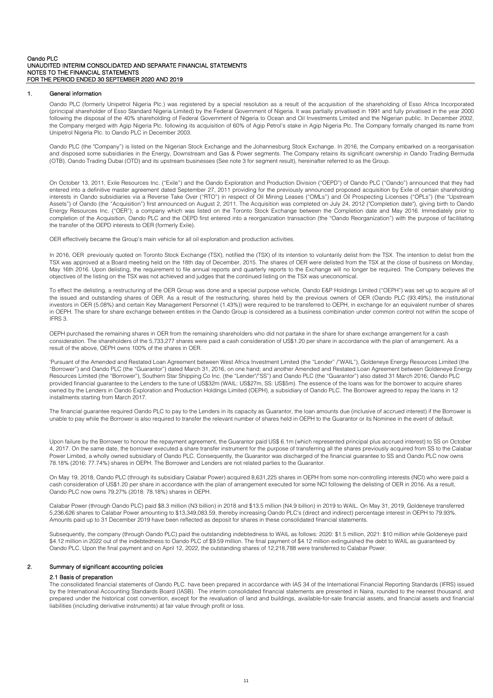#### 1. General information

Oando PLC (formerly Unipetrol Nigeria Plc.) was registered by a special resolution as a result of the acquisition of the shareholding of Esso Africa Incorporated (principal shareholder of Esso Standard Nigeria Limited) by the Federal Government of Nigeria. It was partially privatised in 1991 and fully privatised in the year 2000 following the disposal of the 40% shareholding of Federal Government of Nigeria to Ocean and Oil Investments Limited and the Nigerian public. In December 2002, the Company merged with Agip Nigeria Plc. following its acquisition of 60% of Agip Petrol's stake in Agip Nigeria Plc. The Company formally changed its name from Unipetrol Nigeria Plc. to Oando PLC in December 2003.

Oando PLC (the "Company") is listed on the Nigerian Stock Exchange and the Johannesburg Stock Exchange. In 2016, the Company embarked on a reorganisation and disposed some subsidiaries in the Energy, Downstream and Gas & Power segments. The Company retains its significant ownership in Oando Trading Bermuda (OTB), Oando Trading Dubai (OTD) and its upstream businesses (See note 3 for segment result), hereinafter referred to as the Group.

On October 13, 2011, Exile Resources Inc. ("Exile") and the Oando Exploration and Production Division ("OEPD") of Oando PLC ("Oando") announced that they had entered into a definitive master agreement dated September 27, 2011 providing for the previously announced proposed acquisition by Exile of certain shareholding interests in Oando subsidiaries via a Reverse Take Over ("RTO") in respect of Oil Mining Leases ("OMLs") and Oil Prospecting Licenses ("OPLs") (the "Upstream Assets") of Oando (the "Acquisition") first announced on August 2, 2011. The Acquisition was completed on July 24, 2012 ("Completion date"), giving birth to Oando Energy Resources Inc. ("OER"); a company which was listed on the Toronto Stock Exchange between the Completion date and May 2016. Immediately prior to completion of the Acquisition, Oando PLC and the OEPD first entered into a reorganization transaction (the "Oando Reorganization") with the purpose of facilitating the transfer of the OEPD interests to OER (formerly Exile).

OER effectively became the Group's main vehicle for all oil exploration and production activities.

In 2016, OER previously quoted on Toronto Stock Exchange (TSX), notified the (TSX) of its intention to voluntarily delist from the TSX. The intention to delist from the TSX was approved at a Board meeting held on the 18th day of December, 2015. The shares of OER were delisted from the TSX at the close of business on Monday, May 16th 2016. Upon delisting, the requirement to file annual reports and quarterly reports to the Exchange will no longer be required. The Company believes the objectives of the listing on the TSX was not achieved and judges that the continued listing on the TSX was uneconomical.

To effect the delisting, a restructuring of the OER Group was done and a special purpose vehicle, Oando E&P Holdings Limited ("OEPH") was set up to acquire all of the issued and outstanding shares of OER. As a result of the restructuring, shares held by the previous owners of OER (Oando PLC (93.49%), the institutional investors in OER (5.08%) and certain Key Management Personnel (1.43%)) were required to be transferred to OEPH, in exchange for an equivalent number of shares in OEPH. The share for share exchange between entities in the Oando Group is considered as a business combination under common control not within the scope of IFRS 3.

OEPH purchased the remaining shares in OER from the remaining shareholders who did not partake in the share for share exchange arrangement for a cash consideration. The shareholders of the 5,733,277 shares were paid a cash consideration of US\$1.20 per share in accordance with the plan of arrangement. As a result of the above, OEPH owns 100% of the shares in OER.

'Pursuant of the Amended and Restated Loan Agreement between West Africa Investment Limited (the "Lender" /"WAIL"), Goldeneye Energy Resources Limited (the "Borrower") and Oando PLC (the "Guarantor") dated March 31, 2016, on one hand; and another Amended and Restated Loan Agreement between Goldeneye Energy Resources Limited (the "Borrower"), Southern Star Shipping Co Inc. (the "Lender"/"SS") and Oando PLC (the "Guarantor") also dated 31 March 2016; Oando PLC provided financial guarantee to the Lenders to the tune of US\$32m (WAIL: US\$27m, SS: US\$5m). The essence of the loans was for the borrower to acquire shares owned by the Lenders in Oando Exploration and Production Holdings Limited (OEPH), a subsidiary of Oando PLC. The Borrower agreed to repay the loans in 12 installments starting from March 2017.

The financial guarantee required Oando PLC to pay to the Lenders in its capacity as Guarantor, the loan amounts due (inclusive of accrued interest) if the Borrower is unable to pay while the Borrower is also required to transfer the relevant number of shares held in OEPH to the Guarantor or its Nominee in the event of default.

Upon failure by the Borrower to honour the repayment agreement, the Guarantor paid US\$ 6.1m (which represented principal plus accrued interest) to SS on October 4, 2017. On the same date, the borrower executed a share transfer instrument for the purpose of transferring all the shares previously acquired from SS to the Calabar Power Limited, a wholly owned subsidiary of Oando PLC. Consequently, the Guarantor was discharged of the financial guarantee to SS and Oando PLC now owns 78.18% (2016: 77.74%) shares in OEPH. The Borrower and Lenders are not related parties to the Guarantor.

On May 19, 2018, Oando PLC (through its subsidiary Calabar Power) acquired 8,631,225 shares in OEPH from some non-controlling interests (NCI) who were paid a cash consideration of US\$1.20 per share in accordance with the plan of arrangement executed for some NCI following the delisting of OER in 2016. As a result, Oando PLC now owns 79.27% (2018: 78.18%) shares in OEPH.

Calabar Power (through Oando PLC) paid \$8.3 million (N3 billion) in 2018 and \$13.5 million (N4.9 billion) in 2019 to WAIL. On May 31, 2019, Goldeneye transferred 5,236,626 shares to Calabar Power amounting to \$13,349,083.59, thereby increasing Oando PLC's (direct and indirect) percentage interest in OEPH to 79.93%. Amounts paid up to 31 December 2019 have been reflected as deposit for shares in these consolidated financial statements.

Subsequently, the company (through Oando PLC) paid the outstanding indebtedness to WAIL as follows: 2020: \$1.5 million, 2021: \$10 million while Goldeneye paid \$4.12 million in 2022 out of the indebtedness to Oando PLC of \$9.59 million. The final payment of \$4.12 million extinguished the debt to WAIL as guaranteed by Oando PLC. Upon the final payment and on April 12, 2022, the outstanding shares of 12,218,788 were transferred to Calabar Power.

## 2. Summary of significant accounting policies

#### 2.1 Basis of preparation

The consolidated financial statements of Oando PLC. have been prepared in accordance with IAS 34 of the International Financial Reporting Standards (IFRS) issued by the International Accounting Standards Board (IASB). The interim consolidated financial statements are presented in Naira, rounded to the nearest thousand, and prepared under the historical cost convention, except for the revaluation of land and buildings, available-for-sale financial assets, and financial assets and financial liabilities (including derivative instruments) at fair value through profit or loss.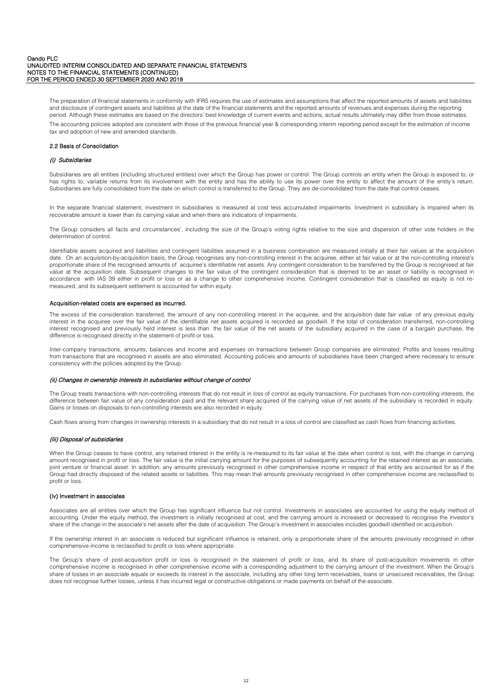The preparation of financial statements in conformity with IFRS requires the use of estimates and assumptions that affect the reported amounts of assets and liabilities and disclosure of contingent assets and liabilities at the date of the financial statements and the reported amounts of revenues and expenses during the reporting period. Although these estimates are based on the directors' best knowledge of current events and actions, actual results ultimately may differ from those estimates.

The accounting policies adopted are consistent with those of the previous financial year & corresponding interim reporting period except for the estimation of income tax and adoption of new and amended standards.

#### 2.2 Basis of Consolidation

#### (i) Subsidiaries

Subsidiaries are all entities (including structured entities) over which the Group has power or control. The Group controls an entity when the Group is exposed to, or has rights to, variable returns from its involvement with the entity and has the ability to use its power over the entity to affect the amount of the entity's return. Subsidiaries are fully consolidated from the date on which control is transferred to the Group. They are de-consolidated from the date that control ceases.

In the separate financial statement, investment in subsidiaries is measured at cost less accumulated impairments. Investment in subsidiary is impaired when its recoverable amount is lower than its carrying value and when there are indicators of impairments.

The Group considers all facts and circumstances', including the size of the Group's voting rights relative to the size and dispersion of other vote holders in the determination of control.

Identifiable assets acquired and liabilities and contingent liabilities assumed in a business combination are measured initially at their fair values at the acquisition date. On an acquisition-by-acquisition basis, the Group recognises any non-controlling interest in the acquiree, either at fair value or at the non-controlling interest's proportionate share of the recognised amounts of acquiree's identifiable net assets. Any contingent consideration to be transferred by the Group is recognised at fair value at the acquisition date. Subsequent changes to the fair value of the contingent consideration that is deemed to be an asset or liability is recognised in accordance with IAS 39 either in profit or loss or as a change to other comprehensive income. Contingent consideration that is classified as equity is not remeasured, and its subsequent settlement is accounted for within equity.

#### Acquisition-related costs are expensed as incurred.

The excess of the consideration transferred, the amount of any non-controlling interest in the acquiree, and the acquisition date fair value of any previous equity interest in the acquiree over the fair value of the identifiable net assets acquired is recorded as goodwill. If the total of consideration transferred, non-controlling interest recognised and previously held interest is less than the fair value of the net assets of the subsidiary acquired in the case of a bargain purchase, the difference is recognised directly in the statement of profit or loss.

Inter-company transactions, amounts, balances and income and expenses on transactions between Group companies are eliminated. Profits and losses resulting from transactions that are recognised in assets are also eliminated. Accounting policies and amounts of subsidiaries have been changed where necessary to ensure consistency with the policies adopted by the Group.

## (ii) Changes in ownership interests in subsidiaries without change of control

The Group treats transactions with non-controlling interests that do not result in loss of control as equity transactions. For purchases from non-controlling interests, the difference between fair value of any consideration paid and the relevant share acquired of the carrying value of net assets of the subsidiary is recorded in equity. Gains or losses on disposals to non-controlling interests are also recorded in equity.

Cash flows arising from changes in ownership interests in a subsidiary that do not result in a loss of control are classified as cash flows from financing activities.

#### (iii) Disposal of subsidiaries

When the Group ceases to have control, any retained interest in the entity is re-measured to its fair value at the date when control is lost, with the change in carrying amount recognised in profit or loss. The fair value is the initial carrying amount for the purposes of subsequently accounting for the retained interest as an associate, joint venture or financial asset. In addition, any amounts previously recognised in other comprehensive income in respect of that entity are accounted for as if the Group had directly disposed of the related assets or liabilities. This may mean that amounts previously recognised in other comprehensive income are reclassified to profit or loss.

#### (iv) Investment in associates

Associates are all entities over which the Group has significant influence but not control. Investments in associates are accounted for using the equity method of accounting. Under the equity method, the investment is initially recognised at cost, and the carrying amount is increased or decreased to recognise the investor's share of the change in the associate's net assets after the date of acquisition. The Group's investment in associates includes goodwill identified on acquisition.

If the ownership interest in an associate is reduced but significant influence is retained, only a proportionate share of the amounts previously recognised in other comprehensive income is reclassified to profit or loss where appropriate.

The Group's share of post-acquisition profit or loss is recognised in the statement of profit or loss, and its share of post-acquisition movements in other comprehensive income is recognised in other comprehensive income with a corresponding adjustment to the carrying amount of the investment. When the Group's share of losses in an associate equals or exceeds its interest in the associate, including any other long term receivables, loans or unsecured receivables, the Group does not recognise further losses, unless it has incurred legal or constructive obligations or made payments on behalf of the associate.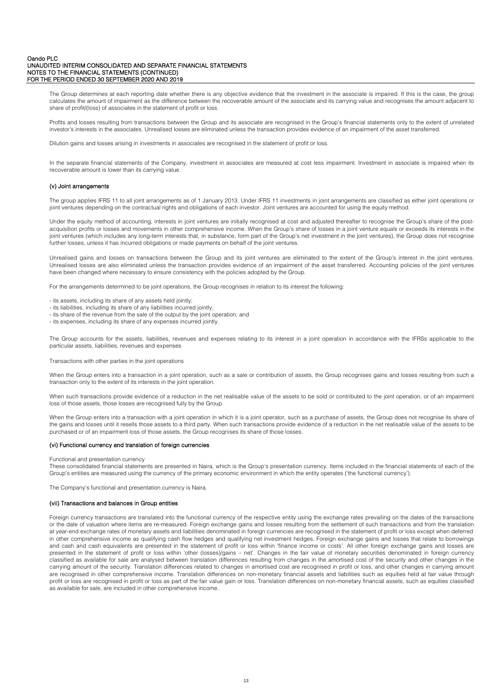The Group determines at each reporting date whether there is any objective evidence that the investment in the associate is impaired. If this is the case, the group calculates the amount of impairment as the difference between the recoverable amount of the associate and its carrying value and recognises the amount adjacent to share of profit/(loss) of associates in the statement of profit or loss.

Profits and losses resulting from transactions between the Group and its associate are recognised in the Group's financial statements only to the extent of unrelated investor's interests in the associates. Unrealised losses are eliminated unless the transaction provides evidence of an impairment of the asset transferred.

Dilution gains and losses arising in investments in associates are recognised in the statement of profit or loss.

In the separate financial statements of the Company, investment in associates are measured at cost less impairment. Investment in associate is impaired when its recoverable amount is lower than its carrying value.

#### (v) Joint arrangements

The group applies IFRS 11 to all joint arrangements as of 1 January 2013. Under IFRS 11 investments in joint arrangements are classified as either joint operations or joint ventures depending on the contractual rights and obligations of each investor. Joint ventures are accounted for using the equity method.

Under the equity method of accounting, interests in joint ventures are initially recognised at cost and adjusted thereafter to recognise the Group's share of the postacquisition profits or losses and movements in other comprehensive income. When the Group's share of losses in a joint venture equals or exceeds its interests in the joint ventures (which includes any long-term interests that, in substance, form part of the Group's net investment in the joint ventures), the Group does not recognise further losses, unless it has incurred obligations or made payments on behalf of the joint ventures.

Unrealised gains and losses on transactions between the Group and its joint ventures are eliminated to the extent of the Group's interest in the joint ventures. Unrealised losses are also eliminated unless the transaction provides evidence of an impairment of the asset transferred. Accounting policies of the joint ventures have been changed where necessary to ensure consistency with the policies adopted by the Group.

For the arrangements determined to be joint operations, the Group recognises in relation to its interest the following:

- its assets, including its share of any assets held jointly;
- its liabilities, including its share of any liabilities incurred jointly;
- its share of the revenue from the sale of the output by the joint operation; and
- its expenses, including its share of any expenses incurred jointly.

The Group accounts for the assets, liabilities, revenues and expenses relating to its interest in a joint operation in accordance with the IFRSs applicable to the particular assets, liabilities, revenues and expenses

Transactions with other parties in the joint operations

When the Group enters into a transaction in a joint operation, such as a sale or contribution of assets, the Group recognises gains and losses resulting from such a transaction only to the extent of its interests in the joint operation.

When such transactions provide evidence of a reduction in the net realisable value of the assets to be sold or contributed to the joint operation, or of an impairment loss of those assets, those losses are recognised fully by the Group.

When the Group enters into a transaction with a joint operation in which it is a joint operator, such as a purchase of assets, the Group does not recognise its share of the gains and losses until it resells those assets to a third party. When such transactions provide evidence of a reduction in the net realisable value of the assets to be purchased or of an impairment loss of those assets, the Group recognises its share of those losses.

#### (vi) Functional currency and translation of foreign currencies

Functional and presentation currency

These consolidated financial statements are presented in Naira, which is the Group's presentation currency. Items included in the financial statements of each of the Group's entities are measured using the currency of the primary economic environment in which the entity operates ('the functional currency').

The Company's functional and presentation currency is Naira.

#### (vii) Transactions and balances in Group entities

Foreign currency transactions are translated into the functional currency of the respective entity using the exchange rates prevailing on the dates of the transactions or the date of valuation where items are re-measured. Foreign exchange gains and losses resulting from the settlement of such transactions and from the translation at year-end exchange rates of monetary assets and liabilities denominated in foreign currencies are recognised in the statement of profit or loss except when deferred in other comprehensive income as qualifying cash flow hedges and qualifying net investment hedges. Foreign exchange gains and losses that relate to borrowings and cash and cash equivalents are presented in the statement of profit or loss within 'finance income or costs'. All other foreign exchange gains and losses are presented in the statement of profit or loss within 'other (losses)/gains - net'. Changes in the fair value of monetary securities denominated in foreign currency classified as available for sale are analysed between translation differences resulting from changes in the amortised cost of the security and other changes in the carrying amount of the security. Translation differences related to changes in amortised cost are recognised in profit or loss, and other changes in carrying amount are recognised in other comprehensive income. Translation differences on non-monetary financial assets and liabilities such as equities held at fair value through profit or loss are recognised in profit or loss as part of the fair value gain or loss. Translation differences on non-monetary financial assets, such as equities classified as available for sale, are included in other comprehensive income.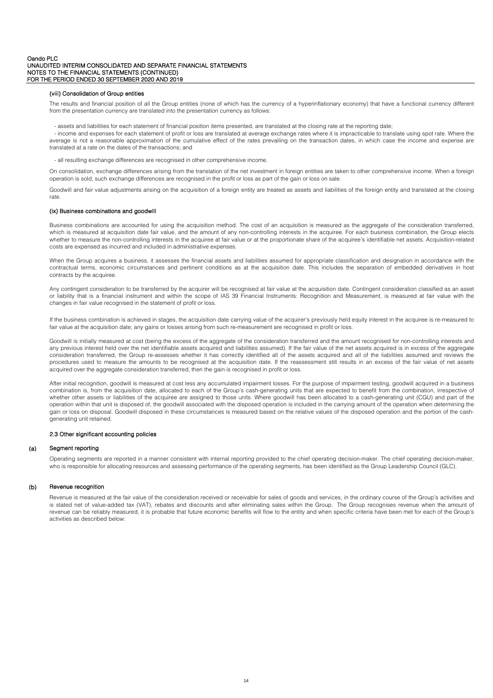#### (viii) Consolidation of Group entities

The results and financial position of all the Group entities (none of which has the currency of a hyperinflationary economy) that have a functional currency different from the presentation currency are translated into the presentation currency as follows:

- assets and liabilities for each statement of financial position items presented, are translated at the closing rate at the reporting date;

- income and expenses for each statement of profit or loss are translated at average exchange rates where it is impracticable to translate using spot rate. Where the average is not a reasonable approximation of the cumulative effect of the rates prevailing on the transaction dates, in which case the income and expense are translated at a rate on the dates of the transactions; and

- all resulting exchange differences are recognised in other comprehensive income

On consolidation, exchange differences arising from the translation of the net investment in foreign entities are taken to other comprehensive income. When a foreign operation is sold, such exchange differences are recognised in the profit or loss as part of the gain or loss on sale.

Goodwill and fair value adjustments arising on the acquisition of a foreign entity are treated as assets and liabilities of the foreign entity and translated at the closing rate.

#### (ix) Business combinations and goodwill

Business combinations are accounted for using the acquisition method. The cost of an acquisition is measured as the aggregate of the consideration transferred, which is measured at acquisition date fair value, and the amount of any non-controlling interests in the acquiree. For each business combination, the Group elects whether to measure the non-controlling interests in the acquiree at fair value or at the proportionate share of the acquiree's identifiable net assets. Acquisition-related costs are expensed as incurred and included in administrative expenses.

When the Group acquires a business, it assesses the financial assets and liabilities assumed for appropriate classification and designation in accordance with the contractual terms, economic circumstances and pertinent conditions as at the acquisition date. This includes the separation of embedded derivatives in host contracts by the acquiree.

Any contingent consideration to be transferred by the acquirer will be recognised at fair value at the acquisition date. Contingent consideration classified as an asset or liability that is a financial instrument and within the scope of IAS 39 Financial Instruments: Recognition and Measurement, is measured at fair value with the changes in fair value recognised in the statement of profit or loss.

If the business combination is achieved in stages, the acquisition date carrying value of the acquirer's previously held equity interest in the acquiree is re-measured to fair value at the acquisition date; any gains or losses arising from such re-measurement are recognised in profit or loss.

Goodwill is initially measured at cost (being the excess of the aggregate of the consideration transferred and the amount recognised for non-controlling interests and any previous interest held over the net identifiable assets acquired and liabilities assumed). If the fair value of the net assets acquired is in excess of the aggregate consideration transferred, the Group re-assesses whether it has correctly identified all of the assets acquired and all of the liabilities assumed and reviews the procedures used to measure the amounts to be recognised at the acquisition date. If the reassessment still results in an excess of the fair value of net assets acquired over the aggregate consideration transferred, then the gain is recognised in profit or loss.

After initial recognition, goodwill is measured at cost less any accumulated impairment losses. For the purpose of impairment testing, goodwill acquired in a business combination is, from the acquisition date, allocated to each of the Group's cash-generating units that are expected to benefit from the combination, irrespective of whether other assets or liabilities of the acquiree are assigned to those units. Where goodwill has been allocated to a cash-generating unit (CGU) and part of the operation within that unit is disposed of, the goodwill associated with the disposed operation is included in the carrying amount of the operation when determining the gain or loss on disposal. Goodwill disposed in these circumstances is measured based on the relative values of the disposed operation and the portion of the cashgenerating unit retained.

## 2.3 Other significant accounting policies

#### (a) Segment reporting

Operating segments are reported in a manner consistent with internal reporting provided to the chief operating decision-maker, The chief operating decision-maker, who is responsible for allocating resources and assessing performance of the operating segments, has been identified as the Group Leadership Council (GLC).

#### (b) Revenue recognition

Revenue is measured at the fair value of the consideration received or receivable for sales of goods and services, in the ordinary course of the Group's activities and is stated net of value-added tax (VAT), rebates and discounts and after eliminating sales within the Group. The Group recognises revenue when the amount of revenue can be reliably measured, it is probable that future economic benefits will flow to the entity and when specific criteria have been met for each of the Group's activities as described below: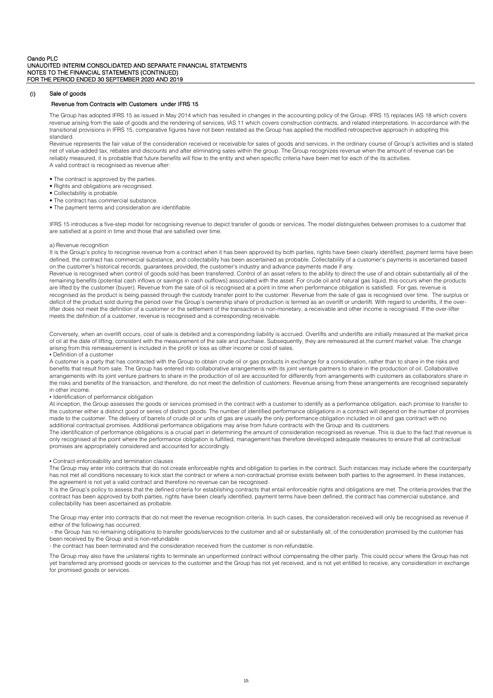#### (i) Sale of goods

#### Revenue from Contracts with Customers under IFRS 15

The Group has adopted IFRS 15 as issued in May 2014 which has resulted in changes in the accounting policy of the Group. IFRS 15 replaces IAS 18 which covers revenue arising from the sale of goods and the rendering of services, IAS 11 which covers construction contracts, and related interpretations. In accordance with the transitional provisions in IFRS 15, comparative figures have not been restated as the Group has applied the modified retrospective approach in adopting this standard.

Revenue represents the fair value of the consideration received or receivable for sales of goods and services, in the ordinary course of Group's activities and is stated net of value-added tax, rebates and discounts and after eliminating sales within the group. The Group recognizes revenue when the amount of revenue can be reliably measured, it is probable that future benefits will flow to the entity and when specific criteria have been met for each of the its activities. A valid contract is recognised as revenue after:

- The contract is approved by the parties.
- Rights and obligations are recognised.
- Collectability is probable.
- The contract has commercial substance.
- The payment terms and consideration are identifiable.

IFRS 15 introduces a five-step model for recognising revenue to depict transfer of goods or services. The model distinguishes between promises to a customer that are satisfied at a point in time and those that are satisfied over time.

#### a) Revenue recognition

It is the Group's policy to recognise revenue from a contract when it has been approved by both parties, rights have been clearly identified, payment terms have been defined, the contract has commercial substance, and collectability has been ascertained as probable. Collectability of a customer's payments is ascertained based on the customer's historical records, guarantees provided, the customer's industry and advance payments made if any.

Revenue is recognised when control of goods sold has been transferred. Control of an asset refers to the ability to direct the use of and obtain substantially all of the remaining benefits (potential cash inflows or savings in cash outflows) associated with the asset. For crude oil and natural gas liquid, this occurs when the products are lifted by the customer (buyer). Revenue from the sale of oil is recognised at a point in time when performance obligation is satisfied. For gas, revenue is recognised as the product is being passed through the custody transfer point to the customer. Revenue from the sale of gas is recognised over time. The surplus or deficit of the product sold during the period over the Group's ownership share of production is termed as an overlift or underlift. With regard to underlifts, if the overlifter does not meet the definition of a customer or the settlement of the transaction is non-monetary, a receivable and other income is recognised. If the over-lifter meets the definition of a customer, revenue is recognised and a corresponding receivable.

Conversely, when an overlift occurs, cost of sale is debited and a corresponding liability is accrued. Overlifts and underlifts are initially measured at the market price of oil at the date of lifting, consistent with the measurement of the sale and purchase. Subsequently, they are remeasured at the current market value. The change arising from this remeasurement is included in the profit or loss as other income or cost of sales.

▪ Definition of a customer

A customer is a party that has contracted with the Group to obtain crude oil or gas products in exchange for a consideration, rather than to share in the risks and benefits that result from sale. The Group has entered into collaborative arrangements with its joint venture partners to share in the production of oil. Collaborative arrangements with its joint venture partners to share in the production of oil are accounted for differently from arrangements with customers as collaborators share in the risks and benefits of the transaction, and therefore, do not meet the definition of customers. Revenue arising from these arrangements are recognised separately in other income.

#### ▪ Identification of performance obligation

At inception, the Group assesses the goods or services promised in the contract with a customer to identify as a performance obligation, each promise to transfer to the customer either a distinct good or series of distinct goods. The number of identified performance obligations in a contract will depend on the number of promises made to the customer. The delivery of barrels of crude oil or units of gas are usually the only performance obligation included in oil and gas contract with no additional contractual promises. Additional performance obligations may arise from future contracts with the Group and its customers.

The identification of performance obligations is a crucial part in determining the amount of consideration recognised as revenue. This is due to the fact that revenue is only recognised at the point where the performance obligation is fulfilled, management has therefore developed adequate measures to ensure that all contractual promises are appropriately considered and accounted for accordingly.

#### ▪ Contract enforceability and termination clauses

The Group may enter into contracts that do not create enforceable rights and obligation to parties in the contract. Such instances may include where the counterparty has not met all conditions necessary to kick start the contract or where a non-contractual promise exists between both parties to the agreement. In these instances, the agreement is not yet a valid contract and therefore no revenue can be recognised.

It is the Group's policy to assess that the defined criteria for establishing contracts that entail enforceable rights and obligations are met. The criteria provides that the contract has been approved by both parties, rights have been clearly identified, payment terms have been defined, the contract has commercial substance, and collectability has been ascertained as probable.

The Group may enter into contracts that do not meet the revenue recognition criteria. In such cases, the consideration received will only be recognised as revenue if either of the following has occurred;

 - the Group has no remaining obligations to transfer goods/services to the customer and all or substantially all, of the consideration promised by the customer has been received by the Group and is non-refundable

- the contract has been terminated and the consideration received from the customer is non-refundable.

The Group may also have the unilateral rights to terminate an unperformed contract without compensating the other party. This could occur where the Group has not yet transferred any promised goods or services to the customer and the Group has not yet received, and is not yet entitled to receive, any consideration in exchange for promised goods or services.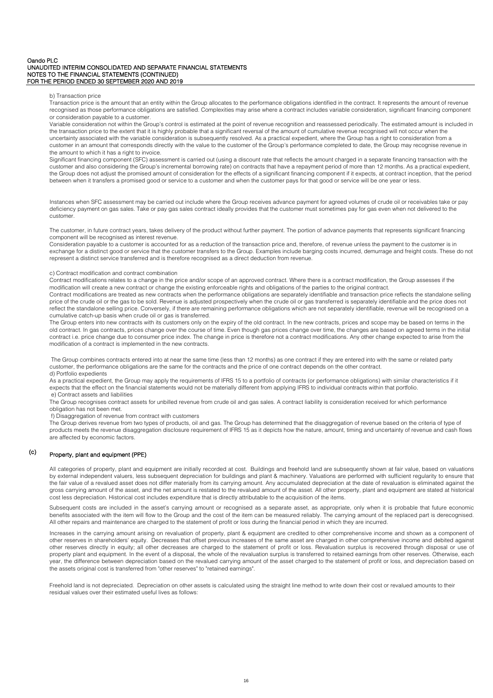#### b) Transaction price

Transaction price is the amount that an entity within the Group allocates to the performance obligations identified in the contract. It represents the amount of revenue recognised as those performance obligations are satisfied. Complexities may arise where a contract includes variable consideration, significant financing component or consideration payable to a customer.

Variable consideration not within the Group's control is estimated at the point of revenue recognition and reassessed periodically. The estimated amount is included in the transaction price to the extent that it is highly probable that a significant reversal of the amount of cumulative revenue recognised will not occur when the uncertainty associated with the variable consideration is subsequently resolved. As a practical expedient, where the Group has a right to consideration from a customer in an amount that corresponds directly with the value to the customer of the Group's performance completed to date, the Group may recognise revenue in the amount to which it has a right to invoice.

Significant financing component (SFC) assessment is carried out (using a discount rate that reflects the amount charged in a separate financing transaction with the customer and also considering the Group's incremental borrowing rate) on contracts that have a repayment period of more than 12 months. As a practical expedient, the Group does not adjust the promised amount of consideration for the effects of a significant financing component if it expects, at contract inception, that the period between when it transfers a promised good or service to a customer and when the customer pays for that good or service will be one year or less.

Instances when SFC assessment may be carried out include where the Group receives advance payment for agreed volumes of crude oil or receivables take or pay deficiency payment on gas sales. Take or pay gas sales contract ideally provides that the customer must sometimes pay for gas even when not delivered to the customer.

The customer, in future contract years, takes delivery of the product without further payment. The portion of advance payments that represents significant financing component will be recognised as interest revenue.

Consideration payable to a customer is accounted for as a reduction of the transaction price and, therefore, of revenue unless the payment to the customer is in exchange for a distinct good or service that the customer transfers to the Group. Examples include barging costs incurred, demurrage and freight costs. These do not represent a distinct service transferred and is therefore recognised as a direct deduction from revenue.

#### c) Contract modification and contract combination

Contract modifications relates to a change in the price and/or scope of an approved contract. Where there is a contract modification, the Group assesses if the modification will create a new contract or change the existing enforceable rights and obligations of the parties to the original contract.

Contract modifications are treated as new contracts when the performance obligations are separately identifiable and transaction price reflects the standalone selling price of the crude oil or the gas to be sold. Revenue is adjusted prospectively when the crude oil or gas transferred is separately identifiable and the price does not reflect the standalone selling price. Conversely, if there are remaining performance obligations which are not separately identifiable, revenue will be recognised on a cumulative catch-up basis when crude oil or gas is transferred.

The Group enters into new contracts with its customers only on the expiry of the old contract. In the new contracts, prices and scope may be based on terms in the old contract. In gas contracts, prices change over the course of time. Even though gas prices change over time, the changes are based on agreed terms in the initial contract i.e. price change due to consumer price index. The change in price is therefore not a contract modifications. Any other change expected to arise from the modification of a contract is implemented in the new contracts.

 The Group combines contracts entered into at near the same time (less than 12 months) as one contract if they are entered into with the same or related party customer, the performance obligations are the same for the contracts and the price of one contract depends on the other contract. d) Portfolio expedients

As a practical expedient, the Group may apply the requirements of IFRS 15 to a portfolio of contracts (or performance obligations) with similar characteristics if it expects that the effect on the financial statements would not be materially different from applying IFRS to individual contracts within that portfolio. e) Contract assets and liabilities

The Group recognises contract assets for unbilled revenue from crude oil and gas sales. A contract liability is consideration received for which performance obligation has not been met.

f) Disaggregation of revenue from contract with customers

The Group derives revenue from two types of products, oil and gas. The Group has determined that the disaggregation of revenue based on the criteria of type of products meets the revenue disaggregation disclosure requirement of IFRS 15 as it depicts how the nature, amount, timing and uncertainty of revenue and cash flows are affected by economic factors.

## (c) Property, plant and equipment (PPE)

All categories of property, plant and equipment are initially recorded at cost. Buildings and freehold land are subsequently shown at fair value, based on valuations by external independent valuers, less subsequent depreciation for buildings and plant & machinery. Valuations are performed with sufficient regularity to ensure that the fair value of a revalued asset does not differ materially from its carrying amount. Any accumulated depreciation at the date of revaluation is eliminated against the gross carrying amount of the asset, and the net amount is restated to the revalued amount of the asset. All other property, plant and equipment are stated at historical cost less depreciation. Historical cost includes expenditure that is directly attributable to the acquisition of the items.

Subsequent costs are included in the asset's carrying amount or recognised as a separate asset, as appropriate, only when it is probable that future economic benefits associated with the item will flow to the Group and the cost of the item can be measured reliably. The carrying amount of the replaced part is derecognised. All other repairs and maintenance are charged to the statement of profit or loss during the financial period in which they are incurred.

Increases in the carrying amount arising on revaluation of property, plant & equipment are credited to other comprehensive income and shown as a component of other reserves in shareholders' equity. Decreases that offset previous increases of the same asset are charged in other comprehensive income and debited against other reserves directly in equity; all other decreases are charged to the statement of profit or loss. Revaluation surplus is recovered through disposal or use of property plant and equipment. In the event of a disposal, the whole of the revaluation surplus is transferred to retained earnings from other reserves. Otherwise, each year, the difference between depreciation based on the revalued carrying amount of the asset charged to the statement of profit or loss, and depreciation based on the assets original cost is transferred from "other reserves" to "retained earnings".

Freehold land is not depreciated. Depreciation on other assets is calculated using the straight line method to write down their cost or revalued amounts to their residual values over their estimated useful lives as follows: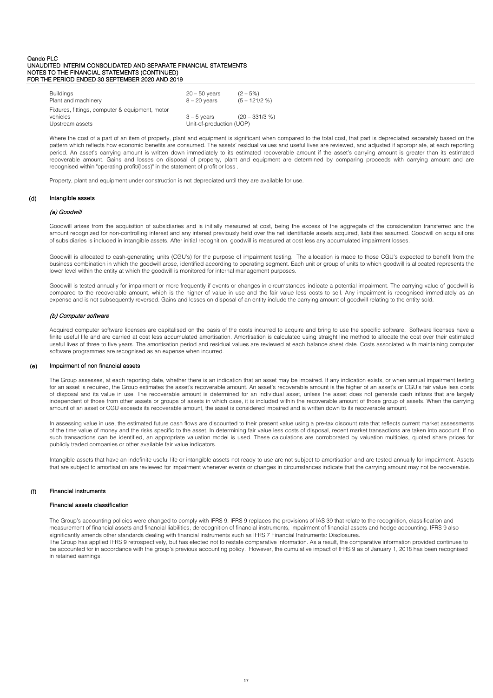| <b>Buildings</b><br>Plant and machinery         | $20 - 50$ years<br>$8 - 20$ years | $(2 - 5\%)$<br>$(5 - 121/2 %$ |  |
|-------------------------------------------------|-----------------------------------|-------------------------------|--|
| Fixtures, fittings, computer & equipment, motor |                                   |                               |  |
| vehicles                                        | $3 - 5$ vears                     | $(20 - 331/3$ %)              |  |
| Upstream assets                                 | Unit-of-production (UOP)          |                               |  |

Where the cost of a part of an item of property, plant and equipment is significant when compared to the total cost, that part is depreciated separately based on the pattern which reflects how economic benefits are consumed. The assets' residual values and useful lives are reviewed, and adjusted if appropriate, at each reporting period. An asset's carrying amount is written down immediately to its estimated recoverable amount if the asset's carrying amount is greater than its estimated recoverable amount. Gains and losses on disposal of property, plant and equipment are determined by comparing proceeds with carrying amount and are recognised within "operating profit/(loss)" in the statement of profit or loss .

Property, plant and equipment under construction is not depreciated until they are available for use.

#### (d) Intangible assets

#### (a) Goodwill

Goodwill arises from the acquisition of subsidiaries and is initially measured at cost, being the excess of the aggregate of the consideration transferred and the amount recognized for non-controlling interest and any interest previously held over the net identifiable assets acquired, liabilities assumed. Goodwill on acquisitions of subsidiaries is included in intangible assets. After initial recognition, goodwill is measured at cost less any accumulated impairment losses.

Goodwill is allocated to cash-generating units (CGU's) for the purpose of impairment testing. The allocation is made to those CGU's expected to benefit from the business combination in which the goodwill arose, identified according to operating segment. Each unit or group of units to which goodwill is allocated represents the lower level within the entity at which the goodwill is monitored for internal management purposes.

Goodwill is tested annually for impairment or more frequently if events or changes in circumstances indicate a potential impairment. The carrying value of goodwill is compared to the recoverable amount, which is the higher of value in use and the fair value less costs to sell. Any impairment is recognised immediately as an expense and is not subsequently reversed. Gains and losses on disposal of an entity include the carrying amount of goodwill relating to the entity sold.

#### (b) Computer software

Acquired computer software licenses are capitalised on the basis of the costs incurred to acquire and bring to use the specific software. Software licenses have a finite useful life and are carried at cost less accumulated amortisation. Amortisation is calculated using straight line method to allocate the cost over their estimated useful lives of three to five years. The amortisation period and residual values are reviewed at each balance sheet date. Costs associated with maintaining computer software programmes are recognised as an expense when incurred.

#### (e) Impairment of non financial assets

The Group assesses, at each reporting date, whether there is an indication that an asset may be impaired. If any indication exists, or when annual impairment testing for an asset is required, the Group estimates the asset's recoverable amount. An asset's recoverable amount is the higher of an asset's or CGU's fair value less costs of disposal and its value in use. The recoverable amount is determined for an individual asset, unless the asset does not generate cash inflows that are largely independent of those from other assets or groups of assets in which case, it is included within the recoverable amount of those group of assets. When the carrying amount of an asset or CGU exceeds its recoverable amount, the asset is considered impaired and is written down to its recoverable amount.

In assessing value in use, the estimated future cash flows are discounted to their present value using a pre-tax discount rate that reflects current market assessments of the time value of money and the risks specific to the asset. In determining fair value less costs of disposal, recent market transactions are taken into account. If no such transactions can be identified, an appropriate valuation model is used. These calculations are corroborated by valuation multiples, quoted share prices for publicly traded companies or other available fair value indicators.

Intangible assets that have an indefinite useful life or intangible assets not ready to use are not subject to amortisation and are tested annually for impairment. Assets that are subject to amortisation are reviewed for impairment whenever events or changes in circumstances indicate that the carrying amount may not be recoverable.

#### (f) Financial instruments

#### Financial assets classification

The Group's accounting policies were changed to comply with IFRS 9. IFRS 9 replaces the provisions of IAS 39 that relate to the recognition, classification and measurement of financial assets and financial liabilities; derecognition of financial instruments; impairment of financial assets and hedge accounting. IFRS 9 also significantly amends other standards dealing with financial instruments such as IFRS 7 Financial Instruments: Disclosures. The Group has applied IFRS 9 retrospectively, but has elected not to restate comparative information. As a result, the comparative information provided continues to

be accounted for in accordance with the group's previous accounting policy. However, the cumulative impact of IFRS 9 as of January 1, 2018 has been recognised in retained earnings.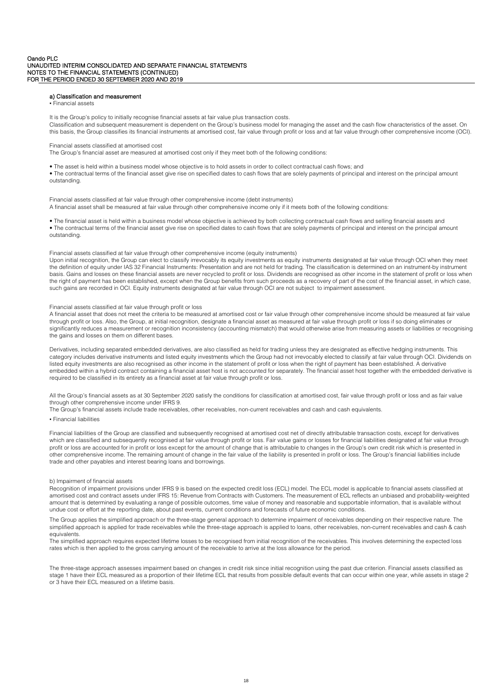#### a) Classification and measurement

▪ Financial assets

It is the Group's policy to initially recognise financial assets at fair value plus transaction costs. Classification and subsequent measurement is dependent on the Group's business model for managing the asset and the cash flow characteristics of the asset. On this basis, the Group classifies its financial instruments at amortised cost, fair value through profit or loss and at fair value through other comprehensive income (OCI).

#### Financial assets classified at amortised cost

The Group's financial asset are measured at amortised cost only if they meet both of the following conditions:

• The asset is held within a business model whose objective is to hold assets in order to collect contractual cash flows; and • The contractual terms of the financial asset give rise on specified dates to cash flows that are solely payments of principal and interest on the principal amount outstanding.

Financial assets classified at fair value through other comprehensive income (debt instruments) A financial asset shall be measured at fair value through other comprehensive income only if it meets both of the following conditions:

• The financial asset is held within a business model whose objective is achieved by both collecting contractual cash flows and selling financial assets and • The contractual terms of the financial asset give rise on specified dates to cash flows that are solely payments of principal and interest on the principal amount outstanding.

#### Financial assets classified at fair value through other comprehensive income (equity instruments)

Upon initial recognition, the Group can elect to classify irrevocably its equity investments as equity instruments designated at fair value through OCI when they meet the definition of equity under IAS 32 Financial Instruments: Presentation and are not held for trading. The classification is determined on an instrument-by instrument basis. Gains and losses on these financial assets are never recycled to profit or loss. Dividends are recognised as other income in the statement of profit or loss when the right of payment has been established, except when the Group benefits from such proceeds as a recovery of part of the cost of the financial asset, in which case, such gains are recorded in OCI. Equity instruments designated at fair value through OCI are not subject to impairment assessment.

#### Financial assets classified at fair value through profit or loss

A financial asset that does not meet the criteria to be measured at amortised cost or fair value through other comprehensive income should be measured at fair value through profit or loss. Also, the Group, at initial recognition, designate a financial asset as measured at fair value through profit or loss if so doing eliminates or significantly reduces a measurement or recognition inconsistency (accounting mismatch) that would otherwise arise from measuring assets or liabilities or recognising the gains and losses on them on different bases.

Derivatives, including separated embedded derivatives, are also classified as held for trading unless they are designated as effective hedging instruments. This category includes derivative instruments and listed equity investments which the Group had not irrevocably elected to classify at fair value through OCI. Dividends on listed equity investments are also recognised as other income in the statement of profit or loss when the right of payment has been established. A derivative embedded within a hybrid contract containing a financial asset host is not accounted for separately. The financial asset host together with the embedded derivative is required to be classified in its entirety as a financial asset at fair value through profit or loss.

All the Group's financial assets as at 30 September 2020 satisfy the conditions for classification at amortised cost, fair value through profit or loss and as fair value through other comprehensive income under IFRS 9.

The Group's financial assets include trade receivables, other receivables, non-current receivables and cash and cash equivalents.

#### ▪ Financial liabilities

Financial liabilities of the Group are classified and subsequently recognised at amortised cost net of directly attributable transaction costs, except for derivatives which are classified and subsequently recognised at fair value through profit or loss. Fair value gains or losses for financial liabilities designated at fair value through profit or loss are accounted for in profit or loss except for the amount of change that is attributable to changes in the Group's own credit risk which is presented in other comprehensive income. The remaining amount of change in the fair value of the liability is presented in profit or loss. The Group's financial liabilities include trade and other payables and interest bearing loans and borrowings.

#### b) Impairment of financial assets

Recognition of impairment provisions under IFRS 9 is based on the expected credit loss (ECL) model. The ECL model is applicable to financial assets classified at amortised cost and contract assets under IFRS 15: Revenue from Contracts with Customers. The measurement of ECL reflects an unbiased and probability-weighted amount that is determined by evaluating a range of possible outcomes, time value of money and reasonable and supportable information, that is available without undue cost or effort at the reporting date, about past events, current conditions and forecasts of future economic conditions.

The Group applies the simplified approach or the three-stage general approach to determine impairment of receivables depending on their respective nature. The simplified approach is applied for trade receivables while the three-stage approach is applied to loans, other receivables, non-current receivables and cash & cash equivalents.

The simplified approach requires expected lifetime losses to be recognised from initial recognition of the receivables. This involves determining the expected loss rates which is then applied to the gross carrying amount of the receivable to arrive at the loss allowance for the period.

The three-stage approach assesses impairment based on changes in credit risk since initial recognition using the past due criterion. Financial assets classified as stage 1 have their ECL measured as a proportion of their lifetime ECL that results from possible default events that can occur within one year, while assets in stage 2 or 3 have their ECL measured on a lifetime basis.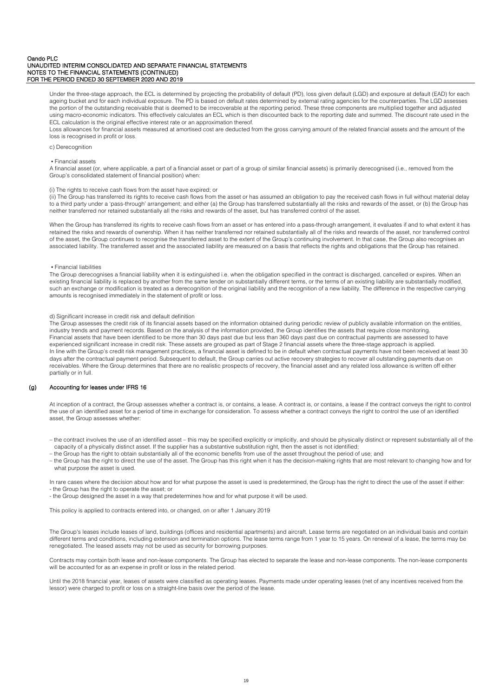Under the three-stage approach, the ECL is determined by projecting the probability of default (PD), loss given default (LGD) and exposure at default (EAD) for each ageing bucket and for each individual exposure. The PD is based on default rates determined by external rating agencies for the counterparties. The LGD assesses the portion of the outstanding receivable that is deemed to be irrecoverable at the reporting period. These three components are multiplied together and adjusted using macro-economic indicators. This effectively calculates an ECL which is then discounted back to the reporting date and summed. The discount rate used in the ECL calculation is the original effective interest rate or an approximation thereof.

Loss allowances for financial assets measured at amortised cost are deducted from the gross carrying amount of the related financial assets and the amount of the loss is recognised in profit or loss.

c) Derecognition

#### ▪ Financial assets

A financial asset (or, where applicable, a part of a financial asset or part of a group of similar financial assets) is primarily derecognised (i.e., removed from the Group's consolidated statement of financial position) when:

#### (i) The rights to receive cash flows from the asset have expired; or

(ii) The Group has transferred its rights to receive cash flows from the asset or has assumed an obligation to pay the received cash flows in full without material delay to a third party under a 'pass-through' arrangement; and either (a) the Group has transferred substantially all the risks and rewards of the asset, or (b) the Group has neither transferred nor retained substantially all the risks and rewards of the asset, but has transferred control of the asset.

When the Group has transferred its rights to receive cash flows from an asset or has entered into a pass-through arrangement, it evaluates if and to what extent it has retained the risks and rewards of ownership. When it has neither transferred nor retained substantially all of the risks and rewards of the asset, nor transferred control of the asset, the Group continues to recognise the transferred asset to the extent of the Group's continuing involvement. In that case, the Group also recognises an associated liability. The transferred asset and the associated liability are measured on a basis that reflects the rights and obligations that the Group has retained.

#### ▪ Financial liabilities

The Group derecognises a financial liability when it is extinguished i.e. when the obligation specified in the contract is discharged, cancelled or expires. When an existing financial liability is replaced by another from the same lender on substantially different terms, or the terms of an existing liability are substantially modified, such an exchange or modification is treated as a derecognition of the original liability and the recognition of a new liability. The difference in the respective carrying amounts is recognised immediately in the statement of profit or loss.

d) Significant increase in credit risk and default definition

The Group assesses the credit risk of its financial assets based on the information obtained during periodic review of publicly available information on the entities, industry trends and payment records. Based on the analysis of the information provided, the Group identifies the assets that require close monitoring. Financial assets that have been identified to be more than 30 days past due but less than 360 days past due on contractual payments are assessed to have experienced significant increase in credit risk. These assets are grouped as part of Stage 2 financial assets where the three-stage approach is applied. In line with the Group's credit risk management practices, a financial asset is defined to be in default when contractual payments have not been received at least 30 days after the contractual payment period. Subsequent to default, the Group carries out active recovery strategies to recover all outstanding payments due on receivables. Where the Group determines that there are no realistic prospects of recovery, the financial asset and any related loss allowance is written off either partially or in full.

#### (g) Accounting for leases under IFRS 16

At inception of a contract, the Group assesses whether a contract is, or contains, a lease. A contract is, or contains, a lease if the contract conveys the right to control the use of an identified asset for a period of time in exchange for consideration. To assess whether a contract conveys the right to control the use of an identified asset, the Group assesses whether:

- the contract involves the use of an identified asset this may be specified explicitly or implicitly, and should be physically distinct or represent substantially all of the capacity of a physically distinct asset. If the supplier has a substantive substitution right, then the asset is not identified;
- the Group has the right to obtain substantially all of the economic benefits from use of the asset throughout the period of use; and
- the Group has the right to direct the use of the asset. The Group has this right when it has the decision-making rights that are most relevant to changing how and for what purpose the asset is used.

In rare cases where the decision about how and for what purpose the asset is used is predetermined, the Group has the right to direct the use of the asset if either: - the Group has the right to operate the asset; or

- the Group designed the asset in a way that predetermines how and for what purpose it will be used.

This policy is applied to contracts entered into, or changed, on or after 1 January 2019

The Group's leases include leases of land, buildings (offices and residential apartments) and aircraft. Lease terms are negotiated on an individual basis and contain different terms and conditions, including extension and termination options. The lease terms range from 1 year to 15 years. On renewal of a lease, the terms may be renegotiated. The leased assets may not be used as security for borrowing purposes.

Contracts may contain both lease and non-lease components. The Group has elected to separate the lease and non-lease components. The non-lease components will be accounted for as an expense in profit or loss in the related period.

Until the 2018 financial year, leases of assets were classified as operating leases. Payments made under operating leases (net of any incentives received from the lessor) were charged to profit or loss on a straight-line basis over the period of the lease.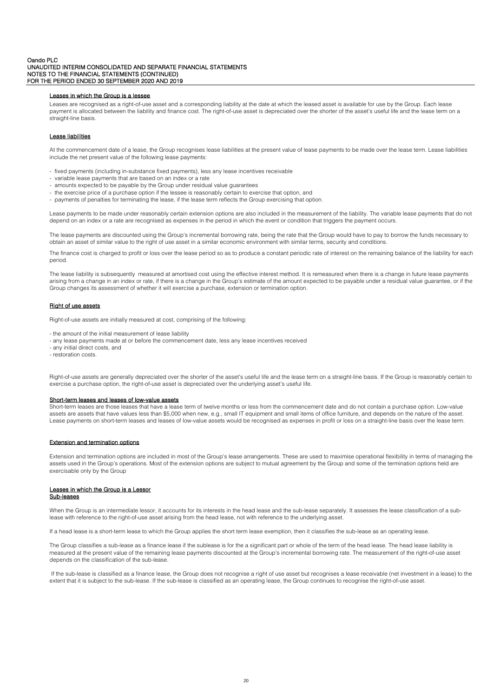#### Leases in which the Group is a lessee

Leases are recognised as a right-of-use asset and a corresponding liability at the date at which the leased asset is available for use by the Group. Each lease payment is allocated between the liability and finance cost. The right-of-use asset is depreciated over the shorter of the asset's useful life and the lease term on a straight-line basis.

#### Lease liabilities

At the commencement date of a lease, the Group recognises lease liabilities at the present value of lease payments to be made over the lease term. Lease liabilities include the net present value of the following lease payments:

- fixed payments (including in-substance fixed payments), less any lease incentives receivable
- variable lease payments that are based on an index or a rate
- amounts expected to be payable by the Group under residual value guarantees
- the exercise price of a purchase option if the lessee is reasonably certain to exercise that option, and
- payments of penalties for terminating the lease, if the lease term reflects the Group exercising that option.

Lease payments to be made under reasonably certain extension options are also included in the measurement of the liability. The variable lease payments that do not depend on an index or a rate are recognised as expenses in the period in which the event or condition that triggers the payment occurs.

The lease payments are discounted using the Group's incremental borrowing rate, being the rate that the Group would have to pay to borrow the funds necessary to obtain an asset of similar value to the right of use asset in a similar economic environment with similar terms, security and conditions.

The finance cost is charged to profit or loss over the lease period so as to produce a constant periodic rate of interest on the remaining balance of the liability for each period.

The lease liability is subsequently measured at amortised cost using the effective interest method. It is remeasured when there is a change in future lease payments arising from a change in an index or rate, if there is a change in the Group's estimate of the amount expected to be payable under a residual value guarantee, or if the Group changes its assessment of whether it will exercise a purchase, extension or termination option.

#### Right of use assets

Right-of-use assets are initially measured at cost, comprising of the following:

- the amount of the initial measurement of lease liability
- any lease payments made at or before the commencement date, less any lease incentives received
- any initial direct costs, and
- restoration costs.

Right-of-use assets are generally depreciated over the shorter of the asset's useful life and the lease term on a straight-line basis. If the Group is reasonably certain to exercise a purchase option, the right-of-use asset is depreciated over the underlying asset's useful life.

#### Short-term leases and leases of low-value assets

Short-term leases are those leases that have a lease term of twelve months or less from the commencement date and do not contain a purchase option. Low-value assets are assets that have values less than \$5,000 when new, e.g., small IT equipment and small items of office furniture, and depends on the nature of the asset. Lease payments on short-term leases and leases of low-value assets would be recognised as expenses in profit or loss on a straight-line basis over the lease term.

#### Extension and termination options

Extension and termination options are included in most of the Group's lease arrangements. These are used to maximise operational flexibility in terms of managing the assets used in the Group's operations. Most of the extension options are subject to mutual agreement by the Group and some of the termination options held are exercisable only by the Group

#### Leases in which the Group is a Lessor Sub-leases

When the Group is an intermediate lessor, it accounts for its interests in the head lease and the sub-lease separately. It assesses the lease classification of a sublease with reference to the right-of-use asset arising from the head lease, not with reference to the underlying asset.

If a head lease is a short-term lease to which the Group applies the short term lease exemption, then it classifies the sub-lease as an operating lease.

The Group classifies a sub-lease as a finance lease if the sublease is for the a significant part or whole of the term of the head lease. The head lease liability is measured at the present value of the remaining lease payments discounted at the Group's incremental borrowing rate. The measurement of the right-of-use asset depends on the classification of the sub-lease.

If the sub-lease is classified as a finance lease, the Group does not recognise a right of use asset but recognises a lease receivable (net investment in a lease) to the extent that it is subject to the sub-lease. If the sub-lease is classified as an operating lease, the Group continues to recognise the right-of-use asset.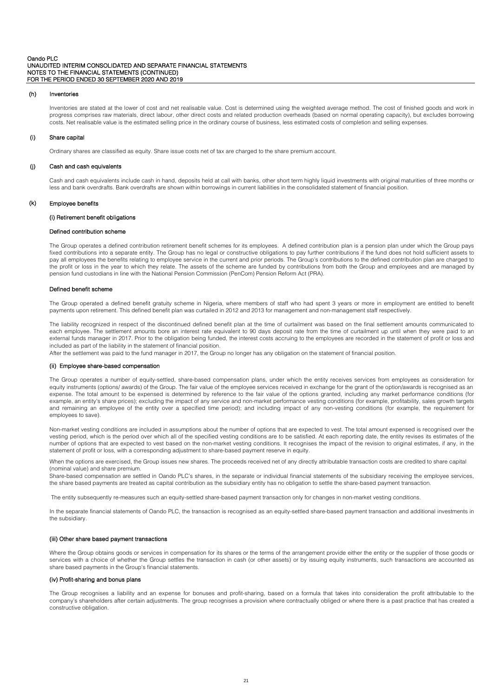#### (h) Inventories

Inventories are stated at the lower of cost and net realisable value. Cost is determined using the weighted average method. The cost of finished goods and work in progress comprises raw materials, direct labour, other direct costs and related production overheads (based on normal operating capacity), but excludes borrowing costs. Net realisable value is the estimated selling price in the ordinary course of business, less estimated costs of completion and selling expenses.

#### (i) Share capital

Ordinary shares are classified as equity. Share issue costs net of tax are charged to the share premium account.

#### (j) Cash and cash equivalents

Cash and cash equivalents include cash in hand, deposits held at call with banks, other short term highly liquid investments with original maturities of three months or less and bank overdrafts. Bank overdrafts are shown within borrowings in current liabilities in the consolidated statement of financial position.

#### (k) Employee benefits

## (i) Retirement benefit obligations

#### Defined contribution scheme

The Group operates a defined contribution retirement benefit schemes for its employees. A defined contribution plan is a pension plan under which the Group pays fixed contributions into a separate entity. The Group has no legal or constructive obligations to pay further contributions if the fund does not hold sufficient assets to pay all employees the benefits relating to employee service in the current and prior periods. The Group's contributions to the defined contribution plan are charged to the profit or loss in the year to which they relate. The assets of the scheme are funded by contributions from both the Group and employees and are managed by pension fund custodians in line with the National Pension Commission (PenCom) Pension Reform Act (PRA).

#### Defined benefit scheme

The Group operated a defined benefit gratuity scheme in Nigeria, where members of staff who had spent 3 years or more in employment are entitled to benefit payments upon retirement. This defined benefit plan was curtailed in 2012 and 2013 for management and non-management staff respectively.

The liability recognized in respect of the discontinued defined benefit plan at the time of curtailment was based on the final settlement amounts communicated to each employee. The settlement amounts bore an interest rate equivalent to 90 days deposit rate from the time of curtailment up until when they were paid to an external funds manager in 2017. Prior to the obligation being funded, the interest costs accruing to the employees are recorded in the statement of profit or loss and included as part of the liability in the statement of financial position.

After the settlement was paid to the fund manager in 2017, the Group no longer has any obligation on the statement of financial position.

#### (ii) Employee share-based compensation

The Group operates a number of equity-settled, share-based compensation plans, under which the entity receives services from employees as consideration for equity instruments (options/ awards) of the Group. The fair value of the employee services received in exchange for the grant of the option/awards is recognised as an expense. The total amount to be expensed is determined by reference to the fair value of the options granted, including any market performance conditions (for example, an entity's share prices); excluding the impact of any service and non-market performance vesting conditions (for example, profitability, sales growth targets and remaining an employee of the entity over a specified time period); and including impact of any non-vesting conditions (for example, the requirement for employees to save).

Non-market vesting conditions are included in assumptions about the number of options that are expected to vest. The total amount expensed is recognised over the vesting period, which is the period over which all of the specified vesting conditions are to be satisfied. At each reporting date, the entity revises its estimates of the number of options that are expected to vest based on the non-market vesting conditions. It recognises the impact of the revision to original estimates, if any, in the statement of profit or loss, with a corresponding adjustment to share-based payment reserve in equity.

When the options are exercised, the Group issues new shares. The proceeds received net of any directly attributable transaction costs are credited to share capital (nominal value) and share premium.

Share-based compensation are settled in Oando PLC's shares, in the separate or individual financial statements of the subsidiary receiving the employee services, the share based payments are treated as capital contribution as the subsidiary entity has no obligation to settle the share-based payment transaction.

The entity subsequently re-measures such an equity-settled share-based payment transaction only for changes in non-market vesting conditions.

In the separate financial statements of Oando PLC, the transaction is recognised as an equity-settled share-based payment transaction and additional investments in the subsidiary.

#### (iii) Other share based payment transactions

Where the Group obtains goods or services in compensation for its shares or the terms of the arrangement provide either the entity or the supplier of those goods or services with a choice of whether the Group settles the transaction in cash (or other assets) or by issuing equity instruments, such transactions are accounted as share based payments in the Group's financial statements.

#### (iv) Profit-sharing and bonus plans

The Group recognises a liability and an expense for bonuses and profit-sharing, based on a formula that takes into consideration the profit attributable to the company's shareholders after certain adjustments. The group recognises a provision where contractually obliged or where there is a past practice that has created a constructive obligation.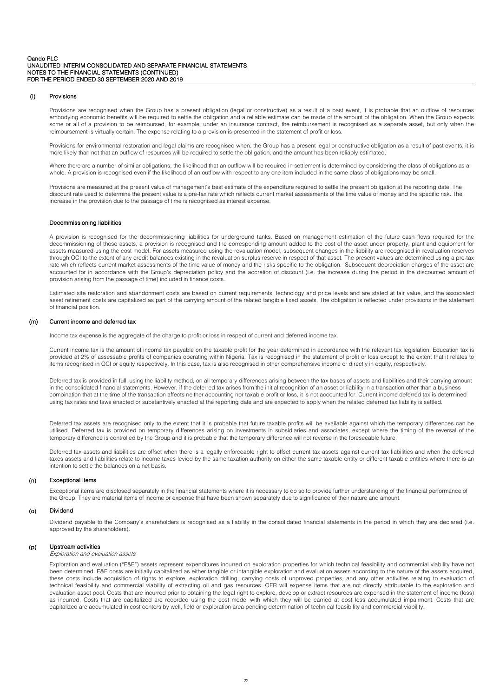#### (l) Provisions

Provisions are recognised when the Group has a present obligation (legal or constructive) as a result of a past event, it is probable that an outflow of resources embodying economic benefits will be required to settle the obligation and a reliable estimate can be made of the amount of the obligation. When the Group expects some or all of a provision to be reimbursed, for example, under an insurance contract, the reimbursement is recognised as a separate asset, but only when the reimbursement is virtually certain. The expense relating to a provision is presented in the statement of profit or loss.

Provisions for environmental restoration and legal claims are recognised when: the Group has a present legal or constructive obligation as a result of past events; it is more likely than not that an outflow of resources will be required to settle the obligation; and the amount has been reliably estimated.

Where there are a number of similar obligations, the likelihood that an outflow will be required in settlement is determined by considering the class of obligations as a whole. A provision is recognised even if the likelihood of an outflow with respect to any one item included in the same class of obligations may be small.

Provisions are measured at the present value of management's best estimate of the expenditure required to settle the present obligation at the reporting date. The discount rate used to determine the present value is a pre-tax rate which reflects current market assessments of the time value of money and the specific risk. The increase in the provision due to the passage of time is recognised as interest expense.

#### Decommissioning liabilities

A provision is recognised for the decommissioning liabilities for underground tanks. Based on management estimation of the future cash flows required for the decommissioning of those assets, a provision is recognised and the corresponding amount added to the cost of the asset under property, plant and equipment for assets measured using the cost model. For assets measured using the revaluation model, subsequent changes in the liability are recognised in revaluation reserves through OCI to the extent of any credit balances existing in the revaluation surplus reserve in respect of that asset. The present values are determined using a pre-tax rate which reflects current market assessments of the time value of money and the risks specific to the obligation. Subsequent depreciation charges of the asset are accounted for in accordance with the Group's depreciation policy and the accretion of discount (i.e. the increase during the period in the discounted amount of provision arising from the passage of time) included in finance costs.

Estimated site restoration and abandonment costs are based on current requirements, technology and price levels and are stated at fair value, and the associated asset retirement costs are capitalized as part of the carrying amount of the related tangible fixed assets. The obligation is reflected under provisions in the statement of financial position.

#### (m) Current income and deferred tax

Income tax expense is the aggregate of the charge to profit or loss in respect of current and deferred income tax.

Current income tax is the amount of income tax payable on the taxable profit for the year determined in accordance with the relevant tax legislation. Education tax is provided at 2% of assessable profits of companies operating within Nigeria. Tax is recognised in the statement of profit or loss except to the extent that it relates to items recognised in OCI or equity respectively. In this case, tax is also recognised in other comprehensive income or directly in equity, respectively.

Deferred tax is provided in full, using the liability method, on all temporary differences arising between the tax bases of assets and liabilities and their carrying amount in the consolidated financial statements. However, if the deferred tax arises from the initial recognition of an asset or liability in a transaction other than a business combination that at the time of the transaction affects neither accounting nor taxable profit or loss, it is not accounted for. Current income deferred tax is determined using tax rates and laws enacted or substantively enacted at the reporting date and are expected to apply when the related deferred tax liability is settled.

Deferred tax assets are recognised only to the extent that it is probable that future taxable profits will be available against which the temporary differences can be utilised. Deferred tax is provided on temporary differences arising on investments in subsidiaries and associates, except where the timing of the reversal of the temporary difference is controlled by the Group and it is probable that the temporary difference will not reverse in the foreseeable future.

Deferred tax assets and liabilities are offset when there is a legally enforceable right to offset current tax assets against current tax liabilities and when the deferred taxes assets and liabilities relate to income taxes levied by the same taxation authority on either the same taxable entity or different taxable entities where there is an intention to settle the balances on a net basis.

#### (n) Exceptional items

Exceptional items are disclosed separately in the financial statements where it is necessary to do so to provide further understanding of the financial performance of the Group. They are material items of income or expense that have been shown separately due to significance of their nature and amount.

## (o) Dividend

Dividend payable to the Company's shareholders is recognised as a liability in the consolidated financial statements in the period in which they are declared (i.e. approved by the shareholders).

#### (p) Upstream activities

#### Exploration and evaluation assets

Exploration and evaluation ("E&E") assets represent expenditures incurred on exploration properties for which technical feasibility and commercial viability have not been determined. E&E costs are initially capitalized as either tangible or intangible exploration and evaluation assets according to the nature of the assets acquired, these costs include acquisition of rights to explore, exploration drilling, carrying costs of unproved properties, and any other activities relating to evaluation of technical feasibility and commercial viability of extracting oil and gas resources. OER will expense items that are not directly attributable to the exploration and evaluation asset pool. Costs that are incurred prior to obtaining the legal right to explore, develop or extract resources are expensed in the statement of income (loss) as incurred. Costs that are capitalized are recorded using the cost model with which they will be carried at cost less accumulated impairment. Costs that are capitalized are accumulated in cost centers by well, field or exploration area pending determination of technical feasibility and commercial viability.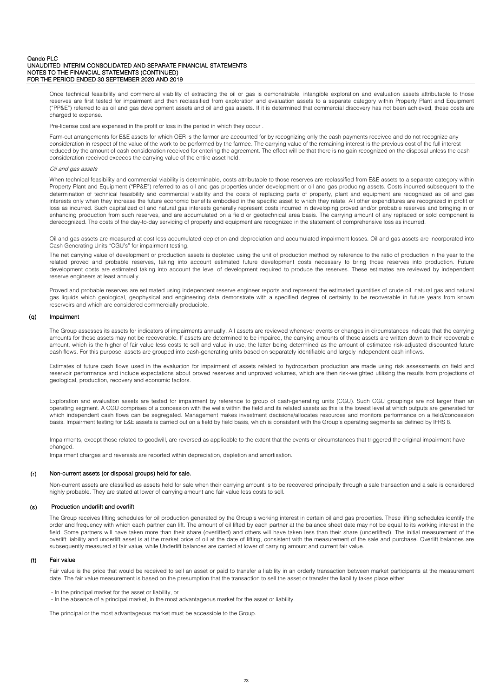Once technical feasibility and commercial viability of extracting the oil or gas is demonstrable, intangible exploration and evaluation assets attributable to those reserves are first tested for impairment and then reclassified from exploration and evaluation assets to a separate category within Property Plant and Equipment ("PP&E") referred to as oil and gas development assets and oil and gas assets. If it is determined that commercial discovery has not been achieved, these costs are charged to expense.

Pre-license cost are expensed in the profit or loss in the period in which they occur

Farm-out arrangements for E&E assets for which OER is the farmor are accounted for by recognizing only the cash payments received and do not recognize any consideration in respect of the value of the work to be performed by the farmee. The carrying value of the remaining interest is the previous cost of the full interest reduced by the amount of cash consideration received for entering the agreement. The effect will be that there is no gain recognized on the disposal unless the cash consideration received exceeds the carrying value of the entire asset held.

#### Oil and gas assets

When technical feasibility and commercial viability is determinable, costs attributable to those reserves are reclassified from E&E assets to a separate category within Property Plant and Equipment ("PP&E") referred to as oil and gas properties under development or oil and gas producing assets. Costs incurred subsequent to the determination of technical feasibility and commercial viability and the costs of replacing parts of property, plant and equipment are recognized as oil and gas interests only when they increase the future economic benefits embodied in the specific asset to which they relate. All other expenditures are recognized in profit or loss as incurred. Such capitalized oil and natural gas interests generally represent costs incurred in developing proved and/or probable reserves and bringing in or enhancing production from such reserves, and are accumulated on a field or geotechnical area basis. The carrying amount of any replaced or sold component is derecognized. The costs of the day-to-day servicing of property and equipment are recognized in the statement of comprehensive loss as incurred.

Oil and gas assets are measured at cost less accumulated depletion and depreciation and accumulated impairment losses. Oil and gas assets are incorporated into Cash Generating Units "CGU's" for impairment testing.

The net carrying value of development or production assets is depleted using the unit of production method by reference to the ratio of production in the year to the related proved and probable reserves, taking into account estimated future development costs necessary to bring those reserves into production. Future development costs are estimated taking into account the level of development required to produce the reserves. These estimates are reviewed by independent reserve engineers at least annually.

Proved and probable reserves are estimated using independent reserve engineer reports and represent the estimated quantities of crude oil, natural gas and natural gas liquids which geological, geophysical and engineering data demonstrate with a specified degree of certainty to be recoverable in future years from known reservoirs and which are considered commercially producible.

#### (q) Impairment

The Group assesses its assets for indicators of impairments annually. All assets are reviewed whenever events or changes in circumstances indicate that the carrying amounts for those assets may not be recoverable. If assets are determined to be impaired, the carrying amounts of those assets are written down to their recoverable amount, which is the higher of fair value less costs to sell and value in use, the latter being determined as the amount of estimated risk-adjusted discounted future cash flows. For this purpose, assets are grouped into cash-generating units based on separately identifiable and largely independent cash inflows.

Estimates of future cash flows used in the evaluation for impairment of assets related to hydrocarbon production are made using risk assessments on field and reservoir performance and include expectations about proved reserves and unproved volumes, which are then risk-weighted utilising the results from projections of geological, production, recovery and economic factors.

Exploration and evaluation assets are tested for impairment by reference to group of cash-generating units (CGU). Such CGU groupings are not larger than an operating segment. A CGU comprises of a concession with the wells within the field and its related assets as this is the lowest level at which outputs are generated for which independent cash flows can be segregated. Management makes investment decisions/allocates resources and monitors performance on a field/concession basis. Impairment testing for E&E assets is carried out on a field by field basis, which is consistent with the Group's operating segments as defined by IFRS 8.

Impairments, except those related to goodwill, are reversed as applicable to the extent that the events or circumstances that triggered the original impairment have changed.

Impairment charges and reversals are reported within depreciation, depletion and amortisation.

#### (r) Non-current assets (or disposal groups) held for sale.

Non-current assets are classified as assets held for sale when their carrying amount is to be recovered principally through a sale transaction and a sale is considered highly probable. They are stated at lower of carrying amount and fair value less costs to sell.

#### (s) Production underlift and overlift

The Group receives lifting schedules for oil production generated by the Group's working interest in certain oil and gas properties. These lifting schedules identify the order and frequency with which each partner can lift. The amount of oil lifted by each partner at the balance sheet date may not be equal to its working interest in the field. Some partners will have taken more than their share (overlifted) and others will have taken less than their share (underlifted). The initial measurement of the overlift liability and underlift asset is at the market price of oil at the date of lifting, consistent with the measurement of the sale and purchase. Overlift balances are subsequently measured at fair value, while Underlift balances are carried at lower of carrying amount and current fair value.

#### (t) Fair value

Fair value is the price that would be received to sell an asset or paid to transfer a liability in an orderly transaction between market participants at the measurement date. The fair value measurement is based on the presumption that the transaction to sell the asset or transfer the liability takes place either:

- In the principal market for the asset or liability, or

- In the absence of a principal market, in the most advantageous market for the asset or liability.

The principal or the most advantageous market must be accessible to the Group.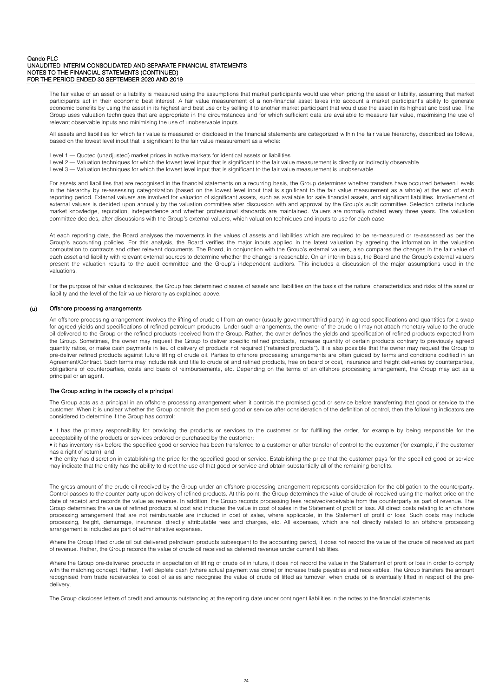The fair value of an asset or a liability is measured using the assumptions that market participants would use when pricing the asset or liability, assuming that market participants act in their economic best interest. A fair value measurement of a non-financial asset takes into account a market participant's ability to generate economic benefits by using the asset in its highest and best use or by selling it to another market participant that would use the asset in its highest and best use. The Group uses valuation techniques that are appropriate in the circumstances and for which sufficient data are available to measure fair value, maximising the use of relevant observable inputs and minimising the use of unobservable inputs.

All assets and liabilities for which fair value is measured or disclosed in the financial statements are categorized within the fair value hierarchy, described as follows, based on the lowest level input that is significant to the fair value measurement as a whole:

Level 1 — Quoted (unadjusted) market prices in active markets for identical assets or liabilities

- Level 2 Valuation techniques for which the lowest level input that is significant to the fair value measurement is directly or indirectly observable
- Level 3 Valuation techniques for which the lowest level input that is significant to the fair value measurement is unobservable.

For assets and liabilities that are recognised in the financial statements on a recurring basis, the Group determines whether transfers have occurred between Levels in the hierarchy by re-assessing categorization (based on the lowest level input that is significant to the fair value measurement as a whole) at the end of each reporting period. External valuers are involved for valuation of significant assets, such as available for sale financial assets, and significant liabilities. Involvement of external valuers is decided upon annually by the valuation committee after discussion with and approval by the Group's audit committee. Selection criteria include market knowledge, reputation, independence and whether professional standards are maintained. Valuers are normally rotated every three years. The valuation committee decides, after discussions with the Group's external valuers, which valuation techniques and inputs to use for each case.

At each reporting date, the Board analyses the movements in the values of assets and liabilities which are required to be re-measured or re-assessed as per the Group's accounting policies. For this analysis, the Board verifies the major inputs applied in the latest valuation by agreeing the information in the valuation computation to contracts and other relevant documents. The Board, in conjunction with the Group's external valuers, also compares the changes in the fair value of each asset and liability with relevant external sources to determine whether the change is reasonable. On an interim basis, the Board and the Group's external valuers present the valuation results to the audit committee and the Group's independent auditors. This includes a discussion of the major assumptions used in the valuations.

For the purpose of fair value disclosures, the Group has determined classes of assets and liabilities on the basis of the nature, characteristics and risks of the asset or liability and the level of the fair value hierarchy as explained above.

#### (u) Offshore processing arrangements

An offshore processing arrangement involves the lifting of crude oil from an owner (usually government/third party) in agreed specifications and quantities for a swap for agreed yields and specifications of refined petroleum products. Under such arrangements, the owner of the crude oil may not attach monetary value to the crude oil delivered to the Group or the refined products received from the Group. Rather, the owner defines the yields and specification of refined products expected from the Group. Sometimes, the owner may request the Group to deliver specific refined products, increase quantity of certain products contrary to previously agreed quantity ratios, or make cash payments in lieu of delivery of products not required ("retained products"). It is also possible that the owner may request the Group to pre-deliver refined products against future lifting of crude oil. Parties to offshore processing arrangements are often guided by terms and conditions codified in an Agreement/Contract. Such terms may include risk and title to crude oil and refined products, free on board or cost, insurance and freight deliveries by counterparties, obligations of counterparties, costs and basis of reimbursements, etc. Depending on the terms of an offshore processing arrangement, the Group may act as a principal or an agent.

#### The Group acting in the capacity of a principal

The Group acts as a principal in an offshore processing arrangement when it controls the promised good or service before transferring that good or service to the customer. When it is unclear whether the Group controls the promised good or service after consideration of the definition of control, then the following indicators are considered to determine if the Group has control:

• it has the primary responsibility for providing the products or services to the customer or for fulfilling the order, for example by being responsible for the acceptability of the products or services ordered or purchased by the customer;

• it has inventory risk before the specified good or service has been transferred to a customer or after transfer of control to the customer (for example, if the customer has a right of return); and

• the entity has discretion in establishing the price for the specified good or service. Establishing the price that the customer pays for the specified good or service may indicate that the entity has the ability to direct the use of that good or service and obtain substantially all of the remaining benefits.

The gross amount of the crude oil received by the Group under an offshore processing arrangement represents consideration for the obligation to the counterparty. Control passes to the counter party upon delivery of refined products. At this point, the Group determines the value of crude oil received using the market price on the date of receipt and records the value as revenue. In addition, the Group records processing fees received/receivable from the counterparty as part of revenue. The Group determines the value of refined products at cost and includes the value in cost of sales in the Statement of profit or loss. All direct costs relating to an offshore processing arrangement that are not reimbursable are included in cost of sales, where applicable, in the Statement of profit or loss. Such costs may include processing, freight, demurrage, insurance, directly attributable fees and charges, etc. All expenses, which are not directly related to an offshore processing arrangement is included as part of administrative expenses.

Where the Group lifted crude oil but delivered petroleum products subsequent to the accounting period, it does not record the value of the crude oil received as part of revenue. Rather, the Group records the value of crude oil received as deferred revenue under current liabilities.

Where the Group pre-delivered products in expectation of lifting of crude oil in future, it does not record the value in the Statement of profit or loss in order to comply with the matching concept. Rather, it will deplete cash (where actual payment was done) or increase trade payables and receivables. The Group transfers the amount recognised from trade receivables to cost of sales and recognise the value of crude oil lifted as turnover, when crude oil is eventually lifted in respect of the predelivery.

The Group discloses letters of credit and amounts outstanding at the reporting date under contingent liabilities in the notes to the financial statements.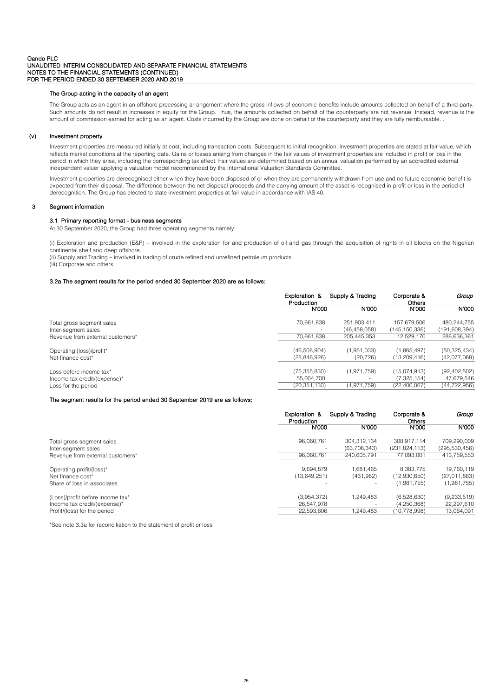#### The Group acting in the capacity of an agent

The Group acts as an agent in an offshore processing arrangement where the gross inflows of economic benefits include amounts collected on behalf of a third party. Such amounts do not result in increases in equity for the Group. Thus, the amounts collected on behalf of the counterparty are not revenue. Instead, revenue is the amount of commission earned for acting as an agent. Costs incurred by the Group are done on behalf of the counterparty and they are fully reimbursable. .

#### (v) Investment property

Investment properties are measured initially at cost, including transaction costs. Subsequent to initial recognition, investment properties are stated at fair value, which reflects market conditions at the reporting date. Gains or losses arising from changes in the fair values of investment properties are included in profit or loss in the period in which they arise, including the corresponding tax effect. Fair values are determined based on an annual valuation performed by an accredited external independent valuer applying a valuation model recommended by the International Valuation Standards Committee.

Investment properties are derecognised either when they have been disposed of or when they are permanently withdrawn from use and no future economic benefit is expected from their disposal. The difference between the net disposal proceeds and the carrying amount of the asset is recognised in profit or loss in the period of derecognition. The Group has elected to state investment properties at fair value in accordance with IAS 40.

#### 3 Segment information

#### 3.1 Primary reporting format - business segments

At 30 September 2020, the Group had three operating segments namely:

(i) Exploration and production (E&P) – involved in the exploration for and production of oil and gas through the acquisition of rights in oil blocks on the Nigerian continental shelf and deep offshore.

(ii) Supply and Trading – involved in trading of crude refined and unrefined petroleum products.

(iii) Corporate and others

## 3.2a The segment results for the period ended 30 September 2020 are as follows:

|                                  | Exploration &<br>Production | Supply & Trading | Corporate &<br>Others | Group          |
|----------------------------------|-----------------------------|------------------|-----------------------|----------------|
|                                  | N'000                       | N'000            | N'000                 | N'000          |
| Total gross segment sales        | 70.661.838                  | 251.903.411      | 157,679,506           | 480.244.755    |
| Inter-segment sales              |                             | (46.458.058)     | (145,150,336)         | (191,608,394)  |
| Revenue from external customers* | 70.661.838                  | 205.445.353      | 12.529.170            | 288,636,361    |
| Operating (loss)/profit*         | (46, 508, 904)              | (1,951,033)      | (1,865,497)           | (50, 325, 434) |
| Net finance cost*                | (28, 846, 926)              | (20, 726)        | (13,209,416)          | (42,077,068)   |
| Loss before income tax*          | (75, 355, 830)              | (1,971,759)      | (15.074.913)          | (92, 402, 502) |
| Income tax credit/(expense)*     | 55.004.700                  |                  | (7,325,154)           | 47,679,546     |
| Loss for the period              | (20, 351, 130)              | (1,971,759)      | (22,400,067)          | (44, 722, 956) |

#### The segment results for the period ended 30 September 2019 are as follows:

|                                  | Exploration &<br>Production | Supply & Trading | Corporate &<br>Others | Group           |
|----------------------------------|-----------------------------|------------------|-----------------------|-----------------|
|                                  | N'000                       | N'000            | <b>N'000</b>          | N'000           |
| Total gross segment sales        | 96.060.761                  | 304.312.134      | 308.917.114           | 709.290.009     |
| Inter-segment sales              |                             | (63.706.343)     | (231.824.113)         | (295, 530, 456) |
| Revenue from external customers* | 96.060.761                  | 240.605.791      | 77.093.001            | 413.759.553     |
| Operating profit/(loss)*         | 9.694.879                   | 1.681.465        | 8.383.775             | 19.760.119      |
| Net finance cost*                | (13,649,251)                | (431, 982)       | (12,930,650)          | (27,011,883)    |
| Share of loss in associates      |                             |                  | (1,981,755)           | (1,981,755)     |
| (Loss)/profit before income tax* | (3,954,372)                 | 1.249.483        | (6,528,630)           | (9,233,519)     |
| Income tax credit/(expense)*     | 26.547.978                  | ۰                | (4,250,368)           | 22,297,610      |
| Profit/(loss) for the period     | 22,593,606                  | 1.249.483        | (10,778,998)          | 13.064.091      |

\*See note 3.3a for reconciliation to the statement of profit or loss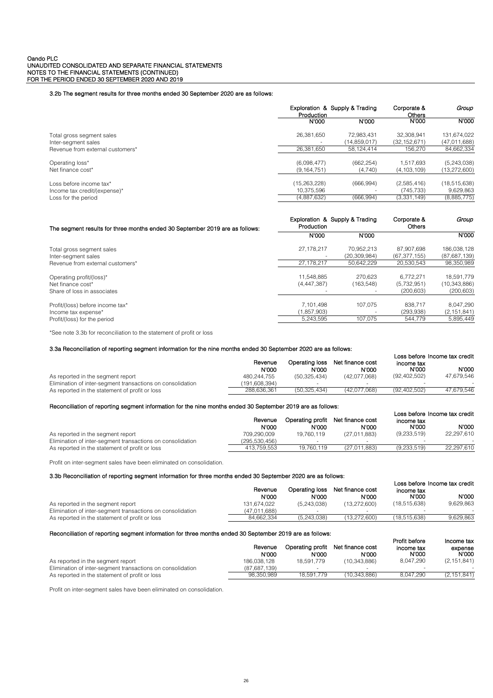## 3.2b The segment results for three months ended 30 September 2020 are as follows:

|                                  | Production     | Exploration & Supply & Trading |               | Group          |  |
|----------------------------------|----------------|--------------------------------|---------------|----------------|--|
|                                  | N'000          | N'000                          | N'000         | N'000          |  |
| Total gross segment sales        | 26.381.650     | 72.983.431                     | 32.308.941    | 131.674.022    |  |
| Inter-segment sales              |                | (14.859.017)                   | (32,152,671)  | (47,011,688)   |  |
| Revenue from external customers* | 26.381.650     | 58.124.414                     | 156.270       | 84,662,334     |  |
| Operating loss*                  | (6,098,477)    | (662, 254)                     | 1.517.693     | (5,243,038)    |  |
| Net finance cost*                | (9, 164, 751)  | (4,740)                        | (4, 103, 109) | (13, 272, 600) |  |
| Loss before income tax*          | (15, 263, 228) | (666.994)                      | (2,585,416)   | (18, 515, 638) |  |
| Income tax credit/(expense)*     | 10.375.596     |                                | (745.733)     | 9.629.863      |  |
| Loss for the period              | (4.887.632)    | (666.994)                      | (3.331.149)   | (8,885,775)    |  |

| The segment results for three months ended 30 September 2019 are as follows: | Exploration & Supply & Trading<br>Production |              | Corporate &<br>Others | Group          |  |
|------------------------------------------------------------------------------|----------------------------------------------|--------------|-----------------------|----------------|--|
|                                                                              | N'000                                        | N'000        |                       | N'000          |  |
| Total gross segment sales                                                    | 27.178.217                                   | 70.952.213   | 87.907.698            | 186.038.128    |  |
| Inter-segment sales                                                          |                                              | (20,309,984) | (67.377.155)          | (87,687,139)   |  |
| Revenue from external customers*                                             | 27.178.217                                   | 50.642.229   | 20,530,543            | 98,350,989     |  |
| Operating profit/(loss)*                                                     | 11.548.885                                   | 270.623      | 6.772.271             | 18.591.779     |  |
| Net finance cost*                                                            | (4, 447, 387)                                | (163,548)    | (5,732,951)           | (10, 343, 886) |  |
| Share of loss in associates                                                  |                                              |              | (200, 603)            | (200, 603)     |  |
| Profit/(loss) before income tax*                                             | 7.101.498                                    | 107.075      | 838.717               | 8.047.290      |  |
| Income tax expense*                                                          | (1, 857, 903)                                |              | (293,938)             | (2, 151, 841)  |  |
| Profit/(loss) for the period                                                 | 5.243.595                                    | 107.075      | 544.779               | 5.895.449      |  |

\*See note 3.3b for reconciliation to the statement of profit or loss

## 3.3a Reconciliation of reporting segment information for the nine months ended 30 September 2020 are as follows:

|                                                            |               | Operating loss<br>Revenue |                           |                            | Loss before Income tax credit |
|------------------------------------------------------------|---------------|---------------------------|---------------------------|----------------------------|-------------------------------|
|                                                            | N'000         | <b>N'000</b>              | Net finance cost<br>N'000 | income tax<br><b>N'000</b> | N'000                         |
| As reported in the segment report                          | 480.244.755   | (50.325.434)              | (42.077.068)              | (92.402.502)               | 47,679,546                    |
| Elimination of inter-segment transactions on consolidation | (191.608.394) |                           |                           |                            |                               |
| As reported in the statement of profit or loss             | 288.636.361   | (50.325.434)              | (42,077,068)              | (92, 402, 502)             | 47.679.546                    |

## Reconciliation of reporting segment information for the nine months ended 30 September 2019 are as follows:

|                                                            |                  |              |                                            |                            | Loss before Income tax credit |
|------------------------------------------------------------|------------------|--------------|--------------------------------------------|----------------------------|-------------------------------|
|                                                            | Revenue<br>N'000 | <b>N'000</b> | Operating profit Net finance cost<br>N'000 | income tax<br><b>N'000</b> | N'000                         |
| As reported in the segment report                          | 709.290.009      | 19.760.119   | (27.011.883)                               | (9,233,519)                | 22,297,610                    |
| Elimination of inter-segment transactions on consolidation | (295.530.456)    |              |                                            |                            |                               |
| As reported in the statement of profit or loss             | 413.759.553      | 19.760.119   | (27.011.883)                               | (9.233.519)                | 22.297.610                    |

Profit on inter-segment sales have been eliminated on consolidation.

## 3.3b Reconciliation of reporting segment information for three months ended 30 September 2020 are as follows:

|                                                            |                  |                         |                           | Loss before Income tax credit |           |
|------------------------------------------------------------|------------------|-------------------------|---------------------------|-------------------------------|-----------|
|                                                            | Revenue<br>N'000 | Operating loss<br>N'000 | Net finance cost<br>N'000 | income tax<br>N'000           | N'000     |
| As reported in the segment report                          | 131.674.022      | (5.243.038)             | (13.272.600)              | (18.515.638)                  | 9,629,863 |
| Elimination of inter-segment transactions on consolidation | (47.011.688)     |                         |                           |                               |           |
| As reported in the statement of profit or loss             | 84.662.334       | (5.243.038)             | (13.272.600)              | (18.515.638)                  | 9.629.863 |

## Reconciliation of reporting segment information for three months ended 30 September 2019 are as follows:

| <u>Heconciliation of reporting segment information for three months ended 50 September 2019 are as follows.</u> | Revenue<br>N'000 | Operating profit<br>N'000 | Net finance cost<br>N'000 | Profit before<br>income tax<br><b>N'000</b> | Income tax<br>expense<br>N'000 |
|-----------------------------------------------------------------------------------------------------------------|------------------|---------------------------|---------------------------|---------------------------------------------|--------------------------------|
| As reported in the segment report                                                                               | 186.038.128      | 18.591.779                | (10.343.886)              | 8.047.290                                   | (2, 151, 841)                  |
| Elimination of inter-segment transactions on consolidation                                                      | (87.687.139)     |                           |                           |                                             |                                |
| As reported in the statement of profit or loss                                                                  | 98.350.989       | 18.591.779                | (10.343.886)              | 8.047.290                                   | (2.151.841)                    |

Profit on inter-segment sales have been eliminated on consolidation.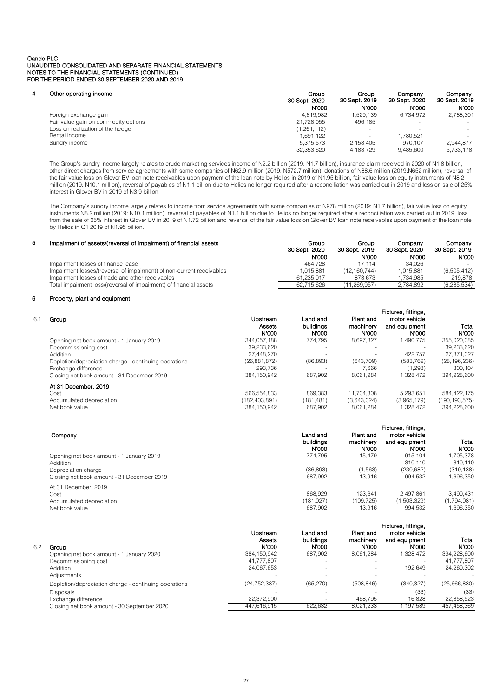| Other operating income               | Group<br>30 Sept. 2020 | Group<br>30 Sept. 2019 | Company<br>30 Sept. 2020 | Companv<br>30 Sept. 2019 |
|--------------------------------------|------------------------|------------------------|--------------------------|--------------------------|
|                                      | N'000                  | N'000                  | <b>N'000</b>             | N'000                    |
| Foreign exchange gain                | 4.819.982              | .529.139               | 6.734.972                | 2.788.301                |
| Fair value gain on commodity options | 21.728.055             | 496.185                |                          |                          |
| Loss on realization of the hedge     | (1, 261, 112)          |                        |                          |                          |
| Rental income                        | 1.691.122              |                        | 1.780.521                |                          |
| Sundry income                        | 5.375.573              | 2.158.405              | 970.107                  | 2,944,877                |
|                                      | 32.353.620             | 4.183.729              | 9.485.600                | 5.733.178                |

The Group's sundry income largely relates to crude marketing services income of N2.2 billion (2019: N1.7 billion), insurance claim rceeived in 2020 of N1.8 billion, other direct charges from service agreements with some companies of N62.9 million (2019: N572.7 million), donations of N88.6 million (2019:N652 million), reversal of the fair value loss on Glover BV loan note receivables upon payment of the loan note by Helios in 2019 of N1.95 billion, fair value loss on equity instruments of N8.2 million (2019: N10.1 million), reversal of payables of N1.1 billion due to Helios no longer required after a reconciliation was carried out in 2019 and loss on sale of 25% interest in Glover BV in 2019 of N3.9 billion.

The Company's sundry income largely relates to income from service agreements with some companies of N978 million (2019: N1.7 billion), fair value loss on equity instruments N8.2 million (2019: N10.1 million), reversal of payables of N1.1 billion due to Helios no longer required after a reconciliation was carried out in 2019, loss from the sale of 25% interest in Glover BV in 2019 of N1.72 billion and reversal of the fair value loss on Glover BV loan note receivables upon payment of the loan note by Helios in Q1 2019 of N1.95 billion.

| 5. | Impairment of assets/(reversal of impairment) of financial assets     | Group<br>30 Sept. 2020 | Group<br>30 Sept. 2019 | Company<br>30 Sept. 2020 | Company<br>30 Sept. 2019 |
|----|-----------------------------------------------------------------------|------------------------|------------------------|--------------------------|--------------------------|
|    |                                                                       | N'000                  | N'000                  | N'000                    | N'000                    |
|    | Impairment losses of finance lease                                    | 464.728                | 17.114                 | 34.026                   |                          |
|    | Impairment losses/(reversal of impairment) of non-current receivables | 015.881                | (12.160.744)           | 1.015.881                | (6.505.412)              |
|    | Impairment losses of trade and other receivables                      | 61.235.017             | 873.673                | .734.985                 | 219.878                  |
|    | Total impairment loss/(reversal of impairment) of financial assets    | 62.715.626             | (11.269.957)           | 2.784.892                | (6, 285, 534)            |
|    |                                                                       |                        |                        |                          |                          |

## 6 Property, plant and equipment

|     |                                                       |                |           |             | Fixtures, fittings,      |                |
|-----|-------------------------------------------------------|----------------|-----------|-------------|--------------------------|----------------|
| 6.1 | Group                                                 | Upstream       | Land and  | Plant and   | motor vehicle            |                |
|     |                                                       | Assets         | buildings | machinery   | and equipment            | Total          |
|     |                                                       | <b>N'000</b>   | N 000     | N'000       | <b>N'000</b>             | N 000          |
|     | Opening net book amount - 1 January 2019              | 344.057.188    | 774.795   | 8.697.327   | 1.490.775                | 355.020.085    |
|     | Decommissioning cost                                  | 39.233.620     |           |             | $\overline{\phantom{a}}$ | 39.233.620     |
|     | Addition                                              | 27.448.270     |           |             | 422.757                  | 27.871.027     |
|     | Depletion/depreciation charge - continuing operations | (26, 881, 872) | (86, 893) | (643.709)   | (583.762)                | (28, 196, 236) |
|     | Exchange difference                                   | 293.736        |           | 7.666       | (1,298)                  | 300.104        |
|     | Closing net book amount - 31 December 2019            | 384.150.942    | 687.902   | 8.061.284   | 1.328.472                | 394.228.600    |
|     | At 31 December, 2019                                  |                |           |             |                          |                |
|     | Cost                                                  | 566.554.833    | 869.383   | 11.704.308  | 5.293.651                | 584.422.175    |
|     | Accumulated depreciation                              | (182.403.891)  | (181.481) | (3.643.024) | (3.965.179)              | (190,193,575)  |
|     | Net book value                                        | 384.150.942    | 687.902   | 8.061.284   | ,328,472                 | 394.228.600    |

| Company                                    | Land and<br>buildings<br>N 000 | Plant and<br>machinery<br>N'000 | Fixtures, fittings,<br>motor vehicle<br>and equipment<br>N'000 | Total<br>N 000 |
|--------------------------------------------|--------------------------------|---------------------------------|----------------------------------------------------------------|----------------|
| Opening net book amount - 1 January 2019   | 774.795                        | 15.479                          | 915.104                                                        | 1.705.378      |
| Addition                                   |                                |                                 | 310.110                                                        | 310.110        |
| Depreciation charge                        | (86.893)                       | (1.563)                         | (230.682)                                                      | (319, 138)     |
| Closing net book amount - 31 December 2019 | 687.902                        | 13.916                          | 994,532                                                        | 696,350        |
| At 31 December, 2019                       |                                |                                 |                                                                |                |
| Cost                                       | 868.929                        | 123.641                         | 2.497.861                                                      | 3,490,431      |
| Accumulated depreciation                   | (181.027)                      | (109,725)                       | (1,503,329)                                                    | (1,794,081)    |
| Net book value                             | 687.902                        | 13.916                          | 994.532                                                        | .696.350       |

| 6.2 | Group                                                 | Upstream<br>Assets<br>N'000 | Land and<br>buildings<br>N'000 | Plant and<br>machinery<br>N'000 | Fixtures, fittings,<br>motor vehicle<br>and equipment<br>N'000 | Total<br>N 000 |
|-----|-------------------------------------------------------|-----------------------------|--------------------------------|---------------------------------|----------------------------------------------------------------|----------------|
|     | Opening net book amount - 1 January 2020              | 384.150.942                 | 687.902                        | 8.061.284                       | .328.472                                                       | 394.228.600    |
|     | Decommissioning cost                                  | 41.777.807                  |                                |                                 |                                                                | 41.777.807     |
|     | Addition                                              | 24.067.653                  |                                |                                 | 192.649                                                        | 24.260.302     |
|     | Adjustments                                           |                             |                                |                                 |                                                                |                |
|     | Depletion/depreciation charge - continuing operations | (24, 752, 387)              | (65, 270)                      | (508.846)                       | (340.327)                                                      | (25,666,830)   |
|     | <b>Disposals</b>                                      |                             |                                |                                 | (33)                                                           | (33)           |
|     | Exchange difference                                   | 22.372.900                  |                                | 468.795                         | 16.828                                                         | 22.858.523     |
|     | Closing net book amount - 30 September 2020           | 447.616.915                 | 622.632                        | 8.021.233                       | .197.589                                                       | 457.458.369    |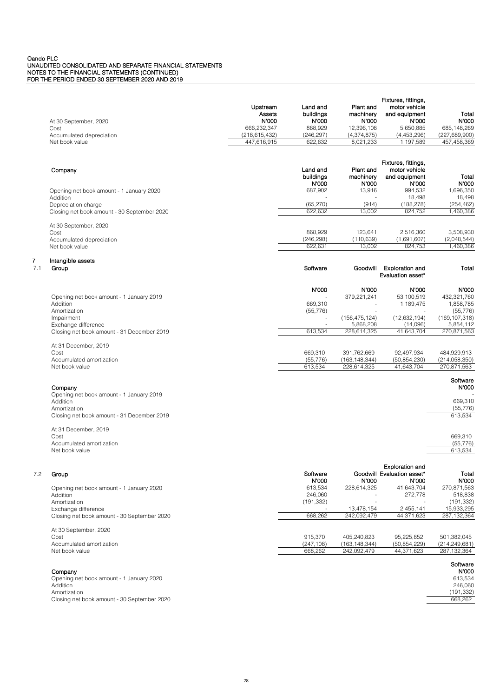|                          |               |           |             | Fixtures, fittings, |                 |
|--------------------------|---------------|-----------|-------------|---------------------|-----------------|
|                          | Upstream      | Land and  | Plant and   | motor vehicle       |                 |
|                          | Assets        | buildings | machinery   | and equipment       | Total           |
| At 30 September, 2020    | N'000         | N 000     | N'000       | <b>N'000</b>        | N 000           |
| Cost                     | 666.232.347   | 868.929   | 12.396.108  | 5.650.885           | 685.148.269     |
| Accumulated depreciation | (218.615.432) | (246.297) | (4.374.875) | (4.453.296)         | (227, 689, 900) |
| Net book value           | 447.616.915   | 622.632   | 8.021.233   | .197.589            | 457.458.369     |
|                          |               |           |             |                     |                 |

|                                             | Fixtures, fittings,            |                                 |                                                |                |  |
|---------------------------------------------|--------------------------------|---------------------------------|------------------------------------------------|----------------|--|
| Company                                     | Land and<br>buildings<br>N'000 | Plant and<br>machinery<br>N'000 | motor vehicle<br>and equipment<br><b>N'000</b> | Total<br>N'000 |  |
| Opening net book amount - 1 January 2020    | 687.902                        | 13.916                          | 994.532                                        | .696.350       |  |
| Addition                                    |                                |                                 | 18.498                                         | 18.498         |  |
| Depreciation charge                         | (65, 270)                      | (914)                           | (188, 278)                                     | (254, 462)     |  |
| Closing net book amount - 30 September 2020 | 622.632                        | 13.002                          | 824.752                                        | ,460,386       |  |
| At 30 September, 2020                       |                                |                                 |                                                |                |  |
| Cost                                        | 868.929                        | 123.641                         | 2.516.360                                      | 3.508.930      |  |
| Accumulated depreciation                    | (246.298)                      | (110.639)                       | (1,691,607)                                    | (2,048,544)    |  |
| Net book value                              | 622.631                        | 13.002                          | 824.753                                        | .460.386       |  |

# 7 Intangible assets<br>7.1 Group

|                                            | N'000     | N'000         | <b>N'000</b> | N'000           |
|--------------------------------------------|-----------|---------------|--------------|-----------------|
| Opening net book amount - 1 January 2019   |           | 379.221.241   | 53.100.519   | 432,321,760     |
| Addition                                   | 669.310   |               | 1.189.475    | 1.858.785       |
| Amortization                               | (55, 776) |               |              | (55, 776)       |
| Impairment                                 |           | (156,475,124) | (12,632,194) | (169, 107, 318) |
| Exchange difference                        |           | 5.868.208     | (14,096)     | 5,854,112       |
| Closing net book amount - 31 December 2019 | 613.534   | 228.614.325   | 41.643.704   | 270,871,563     |
| At 31 December, 2019                       |           |               |              |                 |
| Cost                                       | 669,310   | 391.762.669   | 92.497.934   | 484.929.913     |
| Accumulated amortization                   | (55.776)  | (163.148.344) | (50.854.230) | (214,058,350)   |
| Net book value                             | 613.534   | 228.614.325   | 41.643.704   | 270.871.563     |

Software Goodwill Exploration and

#### Company N'000

| Opening net book amount - 1 January 2019   |           |
|--------------------------------------------|-----------|
| Addition                                   | 669,310   |
| Amortization                               | (55, 776) |
| Closing net book amount - 31 December 2019 | 613.534   |
|                                            |           |

At 31 December, 2019 Cost 669,310 Accumulated amortization (55,776)<br>
Net book value 613,534 Net book value 613,534

| 7.2 | Group                                       | Software   |               | Exploration and<br>Goodwill Evaluation asset* | Total             |
|-----|---------------------------------------------|------------|---------------|-----------------------------------------------|-------------------|
|     |                                             | N'000      | N'000         | N'000                                         | N'000             |
|     | Opening net book amount - 1 January 2020    | 613.534    | 228.614.325   | 41.643.704                                    | 270,871,563       |
|     | Addition                                    | 246.060    | ۰             | 272.778                                       | 518,838           |
|     | Amortization                                | (191,332)  |               | $\overline{\phantom{a}}$                      | (191, 332)        |
|     | Exchange difference                         | $\sim$     | 13.478.154    | 2.455.141                                     | 15,933,295        |
|     | Closing net book amount - 30 September 2020 | 668,262    | 242,092,479   | 44.371.623                                    | 287, 132, 364     |
|     | At 30 September, 2020                       |            |               |                                               |                   |
|     | Cost                                        | 915,370    | 405.240.823   | 95.225.852                                    | 501.382.045       |
|     | Accumulated amortization                    | (247, 108) | (163.148.344) | (50, 854, 229)                                | (214, 249, 681)   |
|     | Net book value                              | 668.262    | 242.092.479   | 44.371.623                                    | 287.132.364       |
|     | Company                                     |            |               |                                               | Software<br>N'000 |

| ________                                    | --------  |
|---------------------------------------------|-----------|
| Opening net book amount - 1 January 2020    | 613.534   |
| Addition                                    | 246.060   |
| Amortization                                | (191.332) |
| Closing net book amount - 30 September 2020 | 668.262   |

Total

Software<br>N'000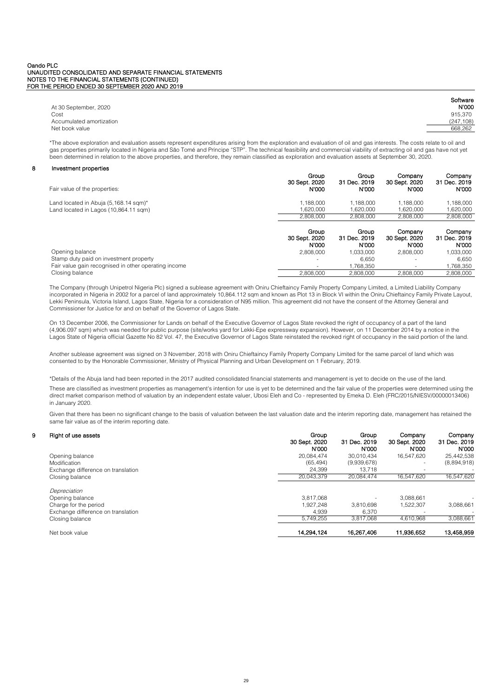At 30 September, 2020<br>Cost Cost 915,370 Accumulated amortization<br>Net book value Net book value 668,262

| Software<br>N'000 |
|-------------------|
| 915,370           |
| (247,108)         |
| AAR 2A2           |

\*The above exploration and evaluation assets represent expenditures arising from the exploration and evaluation of oil and gas interests. The costs relate to oil and gas properties primarily located in Nigeria and São Tomé and Príncipe "STP". The technical feasibility and commercial viability of extracting oil and gas have not yet been determined in relation to the above properties, and therefore, they remain classified as exploration and evaluation assets at September 30, 2020.

#### 8 Investment properties

|                                                      | Group<br>30 Sept. 2020          | Group<br>31 Dec. 2019          | Company<br>30 Sept. 2020          | Company<br>31 Dec. 2019          |
|------------------------------------------------------|---------------------------------|--------------------------------|-----------------------------------|----------------------------------|
| Fair value of the properties:                        | N'000                           | N'000                          | N'000                             | N'000                            |
| Land located in Abuja (5,168.14 sqm)*                | 1.188.000                       | 1.188.000                      | .188.000                          | 1.188.000                        |
| Land located in Lagos (10,864.11 sqm)                | 1.620.000                       | 1.620.000                      | 1.620.000                         | 1.620.000                        |
|                                                      | 2.808.000                       | 2,808,000                      | 2,808,000                         | 2,808,000                        |
|                                                      | Group<br>30 Sept. 2020<br>N'000 | Group<br>31 Dec. 2019<br>N'000 | Company<br>30 Sept. 2020<br>N'000 | Company<br>31 Dec. 2019<br>N'000 |
| Opening balance                                      | 2.808.000                       | 1.033.000                      | 2.808.000                         | 1.033.000                        |
| Stamp duty paid on investment property               | ۰                               | 6.650                          | ۰                                 | 6.650                            |
| Fair value gain recognised in other operating income | ۰                               | 1.768.350                      |                                   | 1,768,350                        |
| Closing balance                                      | 2.808.000                       | 2.808.000                      | 2.808.000                         | 2.808.000                        |

The Company (through Unipetrol Nigeria Plc) signed a sublease agreement with Oniru Chieftaincy Family Property Company Limited, a Limited Liability Company incorporated in Nigeria in 2002 for a parcel of land approximately 10,864.112 sqm and known as Plot 13 in Block VI within the Oniru Chieftaincy Family Private Layout, Lekki Peninsula, Victoria Island, Lagos State, Nigeria for a consideration of N95 million. This agreement did not have the consent of the Attorney General and Commissioner for Justice for and on behalf of the Governor of Lagos State.

On 13 December 2006, the Commissioner for Lands on behalf of the Executive Governor of Lagos State revoked the right of occupancy of a part of the land (4,906.097 sqm) which was needed for public purpose (site/works yard for Lekki-Epe expressway expansion). However, on 11 December 2014 by a notice in the Lagos State of Nigeria official Gazette No 82 Vol. 47, the Executive Governor of Lagos State reinstated the revoked right of occupancy in the said portion of the land.

Another sublease agreement was signed on 3 November, 2018 with Oniru Chieftaincy Family Property Company Limited for the same parcel of land which was consented to by the Honorable Commissioner, Ministry of Physical Planning and Urban Development on 1 February, 2019.

\*Details of the Abuja land had been reported in the 2017 audited consolidated financial statements and management is yet to decide on the use of the land.

These are classified as investment properties as management's intention for use is yet to be determined and the fair value of the properties were determined using the direct market comparison method of valuation by an independent estate valuer, Ubosi Eleh and Co - represented by Emeka D. Eleh (FRC/2015/NIESV/00000013406) in January 2020.

Given that there has been no significant change to the basis of valuation between the last valuation date and the interim reporting date, management has retained the same fair value as of the interim reporting date.

## 9 Right of use assets Group Group Group Group Group Group Company Company<br>30 Sept. 2020 31 Dec. 2019 30 Sept. 2020 31 Dec. 2019 30 Sept. 2020 31 Dec. 2019 30 Sept. 2020 31 Dec. 2019 30 Sept. 2020 31 Dec. 2019 N'000 N'000 N'000 N'000 N'000<br>20,084,474 30,010,434 16,547,620 25,442,538 Opening balance 25,442,538 29,084,474 30,010,434 16,547,620 25,442,538<br>Modification 19,039,678 (65,494) 20,084,978 (9,939,678) 19,039,678 (9,939,678 (65,494) 20,000 19,039,678 (9,939,678 (65,494) Modification (65,494) (9,939,678) - (8,894,918) 24,399 13,718 - 24,399 13,718 - 24,399 13,718 - 24,399 20,084,474 16,547,620 16,547,620 16,547,620 16,547,620 16,547,620 16,547,620 16,547,620 16,547,620 16,547,620 16,547,620 16,547,620 16,547,620 16,547,620 16,547,620 16 Closing balance 20,043,379 20,043,379 20,084,474 16,547,620 16,547,620 16,547,620 Depreciation Opening balance 3,817,068 - 3,088,661 - 3,088,661 - 3,088,661 - 3,088,661 - 3,088,661 - 3,088,661 - 3,088,661 - 3,088,661 - 3,088,661 - 3,088,661 - 3,088,661 - 3,088,661 - 3,088,661 - 3,088,661 - 3,088,661 - 3,088,661 - 3, Charge for the period 1,927,248 3,810,698 1,927,248 3,810,698 1,927,248 3,810,698 1,927,248 3,810,698 1,932,248 3,570 1,932,248 5,370 1,932,248 5,370 1,932,248 5,370 1,932,248 5,370 1,932,248 5,370 1,939 1,932,248 5,370 1, Exchange difference on translation 4,939 6,370 - - Closing balance 5,749,255 3,817,068 4,610,968 3,088,661 Net book value 11,936,652 13,458,959 14,294,124 16,267,406 11,936,652 13,458,959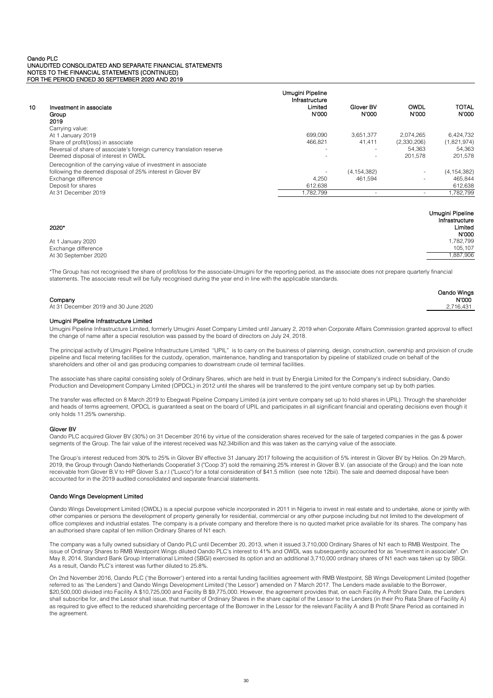|    |                                                                       | Umugini Pipeline<br>Infrastructure |               |              |               |
|----|-----------------------------------------------------------------------|------------------------------------|---------------|--------------|---------------|
| 10 | Investment in associate                                               | Limited                            | Glover BV     | OWDL         | <b>TOTAL</b>  |
|    | Group                                                                 | N'000                              | N'000         | <b>N'000</b> | N'000         |
|    | 2019                                                                  |                                    |               |              |               |
|    | Carrying value:                                                       |                                    |               |              |               |
|    | At 1 January 2019                                                     | 699.090                            | 3.651.377     | 2.074.265    | 6.424.732     |
|    | Share of profit/(loss) in associate                                   | 466.821                            | 41.411        | (2,330,206)  | (1,821,974)   |
|    | Reversal of share of associate's foreign currency translation reserve |                                    |               | 54.363       | 54.363        |
|    | Deemed disposal of interest in OWDL                                   |                                    |               | 201.578      | 201.578       |
|    | Derecognition of the carrying value of investment in associate        |                                    |               |              |               |
|    | following the deemed disposal of 25% interest in Glover BV            |                                    | (4, 154, 382) | ٠            | (4, 154, 382) |
|    | Exchange difference                                                   | 4.250                              | 461.594       | ۰            | 465.844       |
|    | Deposit for shares                                                    | 612,638                            |               |              | 612,638       |
|    | At 31 December 2019                                                   | 1.782.799                          | ۰             | ٠            | .782.799      |

|                      | Umugini Pipeline |
|----------------------|------------------|
|                      | Infrastructure   |
| 2020*                | Limited          |
|                      | N'000            |
| At 1 January 2020    | ,782,799         |
| Exchange difference  | 105,107          |
| At 30 September 2020 | .887.906         |

\*The Group has not recognised the share of profit/loss for the associate-Umugini for the reporting period, as the associate does not prepare quarterly financial statements. The associate result will be fully recognised during the year end in line with the applicable standards.

|                                      | Oando Wings |
|--------------------------------------|-------------|
| Company                              | N'000       |
| At 31 December 2019 and 30 June 2020 | 2.716.431   |
|                                      |             |

#### Umugini Pipeline Infrastructure Limited

Umugini Pipeline Infrastructure Limited, formerly Umugini Asset Company Limited until January 2, 2019 when Corporate Affairs Commission granted approval to effect the change of name after a special resolution was passed by the board of directors on July 24, 2018.

The principal activity of Umugini Pipeline Infrastructure Limited "UPIL" is to carry on the business of planning, design, construction, ownership and provision of crude pipeline and fiscal metering facilities for the custody, operation, maintenance, handling and transportation by pipeline of stabilized crude on behalf of the shareholders and other oil and gas producing companies to downstream crude oil terminal facilities.

The associate has share capital consisting solely of Ordinary Shares, which are held in trust by Energia Limited for the Company's indirect subsidiary, Oando Production and Development Company Limited (OPDCL) in 2012 until the shares will be transferred to the joint venture company set up by both parties.

The transfer was effected on 8 March 2019 to Ebegwati Pipeline Company Limited (a joint venture company set up to hold shares in UPIL). Through the shareholder and heads of terms agreement, OPDCL is guaranteed a seat on the board of UPIL and participates in all significant financial and operating decisions even though it only holds 11.25% ownership.

#### Glover BV

Oando PLC acquired Glover BV (30%) on 31 December 2016 by virtue of the consideration shares received for the sale of targeted companies in the gas & power segments of the Group. The fair value of the interest received was N2.34billion and this was taken as the carrying value of the associate.

The Group's interest reduced from 30% to 25% in Glover BV effective 31 January 2017 following the acquisition of 5% interest in Glover BV by Helios. On 29 March, 2019, the Group through Oando Netherlands Cooperatief 3 ("Coop 3") sold the remaining 25% interest in Glover B.V. (an associate of the Group) and the loan note receivable from Glover B.V to HIP Glover S.a.r.l ("Luxco") for a total consideration of \$41.5 million (see note 12bii). The sale and deemed disposal have been accounted for in the 2019 audited consolidated and separate financial statements.

#### Oando Wings Development Limited

Oando Wings Development Limited (OWDL) is a special purpose vehicle incorporated in 2011 in Nigeria to invest in real estate and to undertake, alone or jointly with other companies or persons the development of property generally for residential, commercial or any other purpose including but not limited to the development of office complexes and industrial estates. The company is a private company and therefore there is no quoted market price available for its shares. The company has an authorised share capital of ten million Ordinary Shares of N1 each.

The company was a fully owned subsidiary of Oando PLC until December 20, 2013, when it issued 3,710,000 Ordinary Shares of N1 each to RMB Westpoint. The issue of Ordinary Shares to RMB Westpoint Wings diluted Oando PLC's interest to 41% and OWDL was subsequently accounted for as "investment in associate". On May 8, 2014, Standard Bank Group International Limited (SBGI) exercised its option and an additional 3,710,000 ordinary shares of N1 each was taken up by SBGI. As a result, Oando PLC's interest was further diluted to 25.8%.

On 2nd November 2016, Oando PLC ('the Borrower') entered into a rental funding facilities agreement with RMB Westpoint, SB Wings Development Limited (together referred to as 'the Lenders') and Oando Wings Development Limited ('the Lessor') amended on 7 March 2017. The Lenders made available to the Borrower, \$20,500,000 divided into Facility A \$10,725,000 and Facility B \$9,775,000. However, the agreement provides that, on each Facility A Profit Share Date, the Lenders shall subscribe for, and the Lessor shall issue, that number of Ordinary Shares in the share capital of the Lessor to the Lenders (in their Pro Rata Share of Facility A) as required to give effect to the reduced shareholding percentage of the Borrower in the Lessor for the relevant Facility A and B Profit Share Period as contained in the agreement.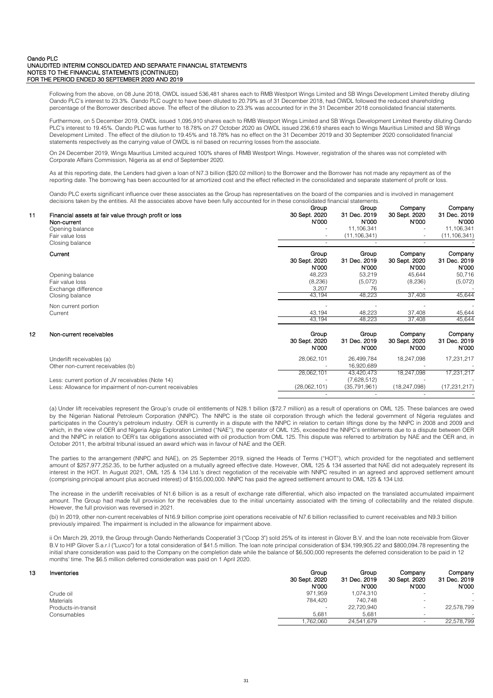Following from the above, on 08 June 2018, OWDL issued 536,481 shares each to RMB Westport Wings Limited and SB Wings Development Limited thereby diluting Oando PLC's interest to 23.3%. Oando PLC ought to have been diluted to 20.79% as of 31 December 2018, had OWDL followed the reduced shareholding percentage of the Borrower described above. The effect of the dilution to 23.3% was accounted for in the 31 December 2018 consolidated financial statements.

Furthermore, on 5 December 2019, OWDL issued 1,095,910 shares each to RMB Westport Wings Limited and SB Wings Development Limited thereby diluting Oando PLC's interest to 19.45%. Oando PLC was further to 18.78% on 27 October 2020 as OWDL issued 236,619 shares each to Wings Mauritius Limited and SB Wings Development Limited . The effect of the dilution to 19.45% and 18.78% has no effect on the 31 December 2019 and 30 September 2020 consolidated financial statements respectively as the carrying value of OWDL is nil based on recurring losses from the associate.

On 24 December 2019, Wings Mauritius Limited acquired 100% shares of RMB Westport Wings. However, registration of the shares was not completed with Corporate Affairs Commission, Nigeria as at end of September 2020.

As at this reporting date, the Lenders had given a loan of N7.3 billion (\$20.02 million) to the Borrower and the Borrower has not made any repayment as of the reporting date. The borrowing has been accounted for at amortized cost and the effect reflected in the consolidated and separate statement of profit or loss.

Oando PLC exerts significant influence over these associates as the Group has representatives on the board of the companies and is involved in management decisions taken by the entities. All the associates above have been fully accounted for in these consolidated financial statements.

| 11 | Financial assets at fair value through profit or loss<br>Non-current<br>Opening balance<br>Fair value loss<br>Closing balance | Group<br>30 Sept. 2020<br>N'000 | Group<br>31 Dec. 2019<br>N'000<br>11,106,341<br>(11, 106, 341) | Company<br>30 Sept. 2020<br>N'000<br>$\overline{\phantom{a}}$ | Company<br>31 Dec. 2019<br>N'000<br>11,106,341<br>(11, 106, 341) |
|----|-------------------------------------------------------------------------------------------------------------------------------|---------------------------------|----------------------------------------------------------------|---------------------------------------------------------------|------------------------------------------------------------------|
|    | Current                                                                                                                       | Group<br>30 Sept. 2020<br>N'000 | Group<br>31 Dec. 2019<br>N'000                                 | Company<br>30 Sept. 2020<br>N'000                             | Company<br>31 Dec. 2019<br>N'000                                 |
|    | Opening balance                                                                                                               | 48,223                          | 53,219                                                         | 45,644                                                        | 50,716                                                           |
|    | Fair value loss                                                                                                               | (8, 236)                        | (5,072)                                                        | (8, 236)                                                      | (5,072)                                                          |
|    | Exchange difference                                                                                                           | 3,207                           | 76                                                             |                                                               |                                                                  |
|    | Closing balance                                                                                                               | 43,194                          | 48,223                                                         | 37,408                                                        | 45,644                                                           |
|    | Non current portion                                                                                                           |                                 |                                                                |                                                               |                                                                  |
|    | Current                                                                                                                       | 43,194                          | 48,223                                                         | 37,408                                                        | 45,644                                                           |
|    |                                                                                                                               | 43,194                          | 48,223                                                         | 37,408                                                        | 45,644                                                           |
| 12 | Non-current receivables                                                                                                       | Group<br>30 Sept. 2020<br>N'000 | Group<br>31 Dec. 2019<br>N'000                                 | Company<br>30 Sept. 2020<br>N'000                             | Company<br>31 Dec. 2019<br>N 000                                 |
|    | Underlift receivables (a)                                                                                                     | 28,062,101                      | 26,499,784                                                     | 18,247,098                                                    | 17,231,217                                                       |
|    | Other non-current receivables (b)                                                                                             |                                 | 16,920,689                                                     |                                                               |                                                                  |
|    |                                                                                                                               | 28,062,101                      | 43,420,473                                                     | 18,247,098                                                    | 17,231,217                                                       |
|    | Less: current portion of JV receivables (Note 14)                                                                             |                                 | (7,628,512)                                                    |                                                               |                                                                  |
|    | Less: Allowance for impairment of non-current receivables                                                                     | (28,062,101)                    | (35, 791, 961)                                                 | (18, 247, 098)                                                | (17, 231, 217)                                                   |

(a) Under lift receivables represent the Group's crude oil entitlements of N28.1 billion (\$72.7 million) as a result of operations on OML 125. These balances are owed by the Nigerian National Petroleum Corporation (NNPC). The NNPC is the state oil corporation through which the federal government of Nigeria regulates and participates in the Country's petroleum industry. OER is currently in a dispute with the NNPC in relation to certain liftings done by the NNPC in 2008 and 2009 and which, in the view of OER and Nigeria Agip Exploration Limited ("NAE"), the operator of OML 125, exceeded the NNPC's entitlements due to a dispute between OER and the NNPC in relation to OER's tax obligations associated with oil production from OML 125. This dispute was referred to arbitration by NAE and the OER and, in October 2011, the arbitral tribunal issued an award which was in favour of NAE and the OER.

- - - -

The parties to the arrangement (NNPC and NAE), on 25 September 2019, signed the Heads of Terms ("HOT"), which provided for the negotiated and settlement amount of \$257,977,252.35, to be further adjusted on a mutually agreed effective date. However, OML 125 & 134 asserted that NAE did not adequately represent its interest in the HOT. In August 2021, OML 125 & 134 Ltd.'s direct negotiation of the receivable with NNPC resulted in an agreed and approved settlement amount (comprising principal amount plus accrued interest) of \$155,000,000. NNPC has paid the agreed settlement amount to OML 125 & 134 Ltd.

The increase in the underlift receivables of N1.6 billion is as a result of exchange rate differential, which also impacted on the translated accumulated impairment amount. The Group had made full provision for the receivables due to the initial uncertainty associated with the timing of collectability and the related dispute. However, the full provision was reversed in 2021.

(bi) In 2019, other non-current receivables of N16.9 billion comprise joint operations receivable of N7.6 billion reclassified to current receivables and N9.3 billion previously impaired. The impairment is included in the allowance for impairment above.

ii On March 29, 2019, the Group through Oando Netherlands Cooperatief 3 ("Coop 3") sold 25% of its interest in Glover B.V. and the loan note receivable from Glover B.V to HIP Glover S.a.r.l ("Luxco") for a total consideration of \$41.5 million. The loan note principal consideration of \$34,199,905.22 and \$800,094.78 representing the initial share consideration was paid to the Company on the completion date while the balance of \$6,500,000 represents the deferred consideration to be paid in 12 months' time. The \$6.5 million deferred consideration was paid on 1 April 2020.

| 13 | Inventories         | Group<br>30 Sept. 2020<br>N'000 | Group<br>31 Dec. 2019<br>N'000 | Company<br>30 Sept. 2020<br>N'000 | Company<br>31 Dec. 2019<br>N 000 |
|----|---------------------|---------------------------------|--------------------------------|-----------------------------------|----------------------------------|
|    |                     |                                 |                                |                                   |                                  |
|    | Crude oil           | 971.959                         | 1.074.310                      |                                   |                                  |
|    | <b>Materials</b>    | 784,420                         | 740.748                        |                                   |                                  |
|    | Products-in-transit |                                 | 22.720.940                     |                                   | 22,578,799                       |
|    | Consumables         | 5.681                           | 5.681                          |                                   |                                  |
|    |                     | .762.060                        | 24.541.679                     |                                   | 22.578.799                       |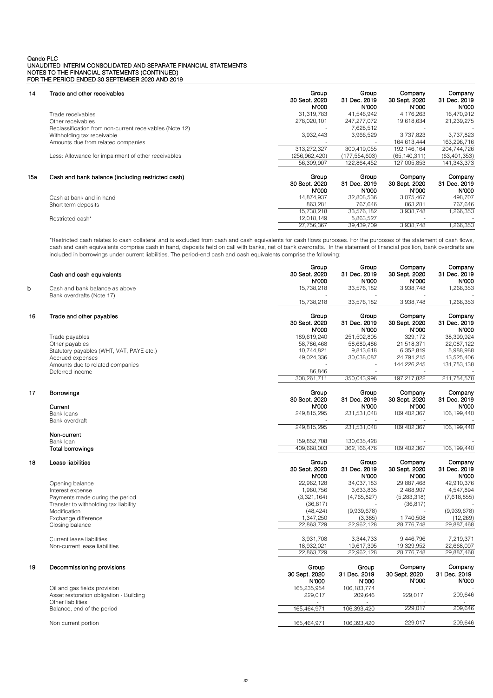| 14  | Trade and other receivables                             | Group<br>30 Sept. 2020<br>N'000 | Group<br>31 Dec. 2019<br>N'000 | Company<br>30 Sept. 2020<br>N'000 | Company<br>31 Dec. 2019<br>N'000 |
|-----|---------------------------------------------------------|---------------------------------|--------------------------------|-----------------------------------|----------------------------------|
|     | Trade receivables                                       | 31.319.783                      | 41.546.942                     | 4.176.263                         | 16,470,912                       |
|     | Other receivables                                       | 278,020,101                     | 247,277,072                    | 19.618.634                        | 21,239,275                       |
|     | Reclassification from non-current receivables (Note 12) |                                 | 7,628,512                      |                                   |                                  |
|     | Withholding tax receivable                              | 3,932,443                       | 3,966,529                      | 3,737,823                         | 3,737,823                        |
|     | Amounts due from related companies                      |                                 | $\overline{\phantom{a}}$       | 164.613.444                       | 163,296,716                      |
|     |                                                         | 313.272.327                     | 300.419.055                    | 192.146.164                       | 204,744,726                      |
|     | Less: Allowance for impairment of other receivables     | (256,962,420)                   | (177,554,603)                  | (65, 140, 311)                    | (63, 401, 353)                   |
|     |                                                         | 56,309,907                      | 122,864,452                    | 127,005,853                       | 141,343,373                      |
| 15a | Cash and bank balance (including restricted cash)       | Group<br>30 Sept. 2020<br>N'000 | Group<br>31 Dec. 2019<br>N'000 | Company<br>30 Sept. 2020<br>N'000 | Company<br>31 Dec. 2019<br>N'000 |
|     | Cash at bank and in hand                                | 14,874,937                      | 32,808,536                     | 3,075,467                         | 498,707                          |
|     | Short term deposits                                     | 863.281                         | 767,646                        | 863.281                           | 767,646                          |
|     |                                                         | 15.738.218                      | 33.576.182                     | 3.938.748                         | 1,266,353                        |
|     | Restricted cash*                                        | 12,018,149                      | 5,863,527                      |                                   |                                  |
|     |                                                         | 27,756,367                      | 39,439,709                     | 3,938,748                         | 1,266,353                        |

\*Restricted cash relates to cash collateral and is excluded from cash and cash equivalents for cash flows purposes. For the purposes of the statement of cash flows, cash and cash equivalents comprise cash in hand, deposits held on call with banks, net of bank overdrafts. In the statement of financial position, bank overdrafts are included in borrowings under current liabilities. The period-end cash and cash equivalents comprise the following:

|    | Cash and cash equivalents                                   | Group<br>30 Sept. 2020<br>N'000 | Group<br>31 Dec. 2019<br>N'000 | Company<br>30 Sept. 2020<br>N'000 | Company<br>31 Dec. 2019<br>N'000 |
|----|-------------------------------------------------------------|---------------------------------|--------------------------------|-----------------------------------|----------------------------------|
| p  | Cash and bank balance as above<br>Bank overdrafts (Note 17) | 15,738,218                      | 33,576,182                     | 3,938,748                         | 1,266,353                        |
|    |                                                             | 15,738,218                      | 33,576,182                     | 3,938,748                         | 1,266,353                        |
| 16 | Trade and other payables                                    | Group<br>30 Sept. 2020<br>N'000 | Group<br>31 Dec. 2019<br>N'000 | Company<br>30 Sept. 2020<br>N'000 | Company<br>31 Dec. 2019<br>N'000 |
|    | Trade payables                                              | 189,619,240                     | 251,502,805                    | 329,172                           | 38,399,924                       |
|    | Other payables                                              | 58,786,468                      | 58,689,486                     | 21,518,371                        | 22,087,122                       |
|    | Statutory payables (WHT, VAT, PAYE etc.)                    | 10,744,821                      | 9,813,618                      | 6,352,819                         | 5,988,988                        |
|    | Accrued expenses                                            | 49,024,336                      | 30,038,087                     | 24,791,215                        | 13,525,406                       |
|    | Amounts due to related companies<br>Deferred income         | 86,846                          |                                | 144,226,245                       | 131,753,138                      |
|    |                                                             | 308,261,711                     | 350,043,996                    | 197,217,822                       | 211,754,578                      |
|    |                                                             |                                 |                                |                                   |                                  |
| 17 | Borrowings                                                  | Group<br>30 Sept. 2020          | Group<br>31 Dec. 2019          | Company<br>30 Sept. 2020          | Company<br>31 Dec. 2019          |
|    | Current                                                     | N'000                           | N'000                          | N'000                             | N'000                            |
|    | Bank loans<br>Bank overdraft                                | 249,815,295                     | 231,531,048                    | 109,402,367                       | 106,199,440                      |
|    |                                                             | 249,815,295                     | 231,531,048                    | 109,402,367                       | 106,199,440                      |
|    | Non-current                                                 |                                 |                                |                                   |                                  |
|    | Bank loan                                                   | 159,852,708                     | 130,635,428                    |                                   |                                  |
|    | <b>Total borrowings</b>                                     | 409,668,003                     | 362,166,476                    | 109,402,367                       | 106,199,440                      |
| 18 | Lease liabilities                                           | Group<br>30 Sept. 2020<br>N'000 | Group<br>31 Dec. 2019<br>N'000 | Company<br>30 Sept. 2020<br>N'000 | Company<br>31 Dec. 2019<br>N 000 |
|    | Opening balance                                             | 22,962,128                      | 34,037,183                     | 29,887,468                        | 42,910,376                       |
|    | Interest expense                                            | 1,960,756                       | 3,633,835                      | 2,468,907                         | 4,547,894                        |
|    | Payments made during the period                             | (3,321,164)                     | (4,765,827)                    | (5,283,318)                       | (7,618,855)                      |
|    | Transfer to withholding tax liability                       | (36, 817)                       |                                | (36, 817)                         |                                  |
|    | Modification                                                | (48, 424)                       | (9,939,678)                    |                                   | (9,939,678)                      |
|    | Exchange difference                                         | 1,347,250                       | (3, 385)                       | 1,740,508                         | (12, 269)                        |
|    | Closing balance                                             | 22,863,729                      | 22,962,128                     | 28,776,748                        | 29,887,468                       |
|    | Current lease liabilities                                   | 3,931,708                       | 3,344,733                      | 9,446,796                         | 7,219,371                        |
|    | Non-current lease liabilities                               | 18,932,021                      | 19,617,395                     | 19,329,952                        | 22,668,097                       |
|    |                                                             | 22,863,729                      | 22,962,128                     | 28,776,748                        | 29,887,468                       |
| 19 | Decommissioning provisions                                  | Group<br>30 Sept. 2020          | Group<br>31 Dec. 2019          | Company<br>30 Sept. 2020          | Company<br>31 Dec. 2019          |
|    |                                                             | N'000                           | N'000                          | N'000                             | N 000                            |
|    | Oil and gas fields provision                                | 165,235,954                     | 106, 183, 774                  |                                   |                                  |
|    | Asset restoration obligation - Building                     | 229,017                         | 209,646                        | 229,017                           | 209,646                          |
|    | Other liabilities<br>Balance, end of the period             | 165,464,971                     | 106,393,420                    | 229,017                           | 209,646                          |
|    |                                                             |                                 |                                |                                   |                                  |
|    | Non current portion                                         | 165,464,971                     | 106,393,420                    | 229,017                           | 209.646                          |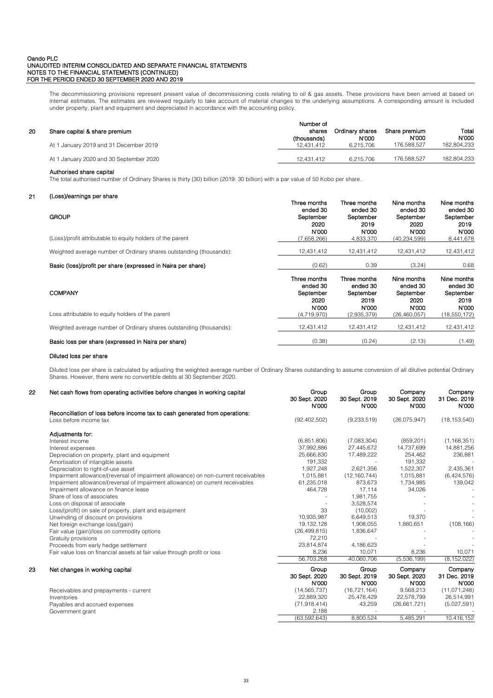The decommissioning provisions represent present value of decommissioning costs relating to oil & gas assets. These provisions have been arrived at based on internal estimates. The estimates are reviewed regularly to take account of material changes to the underlying assumptions. A corresponding amount is included under property, plant and equipment and depreciated in accordance with the accounting policy.

| 20 | Share capital & share premium           | Number of<br>shares<br>(thousands) | Ordinary shares<br>N'000 | Share premium<br>N'000 | Total<br>N 000 |
|----|-----------------------------------------|------------------------------------|--------------------------|------------------------|----------------|
|    | At 1 January 2019 and 31 December 2019  | 12.431.412                         | 6.215.706                | 176.588.527            | 182.804.233    |
|    | At 1 January 2020 and 30 September 2020 | 12.431.412                         | 6.215.706                | 176.588.527            | 182,804,233    |

#### Authorised share capital

The total authorised number of Ordinary Shares is thirty (30) billion (2019: 30 billion) with a par value of 50 Kobo per share.

## 21 (Loss)/earnings per share

| <b>GROUP</b>                                                        | Three months<br>ended 30<br>September<br>2020<br>N'000 | Three months<br>ended 30<br>September<br>2019<br>N'000 | Nine months<br>ended 30<br>September<br>2020<br>N'000 | Nine months<br>ended 30<br>September<br>2019<br>N'000 |
|---------------------------------------------------------------------|--------------------------------------------------------|--------------------------------------------------------|-------------------------------------------------------|-------------------------------------------------------|
| (Loss)/profit attributable to equity holders of the parent          | (7.658.266)                                            | 4.833.370                                              | (40.234.599)                                          | 8,441,678                                             |
| Weighted average number of Ordinary shares outstanding (thousands): | 12,431,412                                             | 12.431.412                                             | 12.431.412                                            | 12,431,412                                            |
| Basic (loss)/profit per share (expressed in Naira per share)        | (0.62)                                                 | 0.39                                                   | (3.24)                                                | 0.68                                                  |
|                                                                     | Three months<br>$\overline{\phantom{a}}$               | Three months<br>$\overline{\phantom{a}}$               | Nine months<br>$\sim$ $\sim$ $\sim$                   | Nine months<br>$\sim$ $\sim$ $\sim$                   |

| <b>COMPANY</b>                                                      | .<br>ended 30<br>September<br>2020<br>N'000 | .<br>ended 30<br>September<br>2019<br>N'000 | .<br>ended 30<br>September<br>2020<br><b>N'000</b> | .<br>ended 30<br>September<br>2019<br>N'000 |
|---------------------------------------------------------------------|---------------------------------------------|---------------------------------------------|----------------------------------------------------|---------------------------------------------|
| Loss attributable to equity holders of the parent                   | (4,719,970)                                 | (2,935,379)                                 | (26, 460, 057)                                     | (18, 550, 172)                              |
| Weighted average number of Ordinary shares outstanding (thousands): | 12.431.412                                  | 12.431.412                                  | 12.431.412                                         | 12.431.412                                  |
| Basic loss per share (expressed in Naira per share)                 | (0.38)                                      | (0.24)                                      | (2.13)                                             | (1.49)                                      |

#### Diluted loss per share

Diluted loss per share is calculated by adjusting the weighted average number of Ordinary Shares outstanding to assume conversion of all dilutive potential Ordinary Shares. However, there were no convertible debts at 30 September 2020.

| 22 | Net cash flows from operating activities before changes in working capital         | Group<br>30 Sept. 2020<br>N'000 | Group<br>30 Sept. 2019<br>N'000 | Company<br>30 Sept. 2020<br>N'000 | Company<br>31 Dec. 2019<br>N'000 |
|----|------------------------------------------------------------------------------------|---------------------------------|---------------------------------|-----------------------------------|----------------------------------|
|    | Reconciliation of loss before income tax to cash generated from operations:        |                                 |                                 |                                   |                                  |
|    | Loss before income tax                                                             | (92, 402, 502)                  | (9,233,519)                     | (26,075,947)                      | (18, 153, 540)                   |
|    | Adjustments for:                                                                   |                                 |                                 |                                   |                                  |
|    | Interest income                                                                    | (6,851,806)                     | (7,083,304)                     | (859, 201)                        | (1, 168, 351)                    |
|    | Interest expenses                                                                  | 37,992,886                      | 27,445,672                      | 14,737,699                        | 14,881,256                       |
|    | Depreciation on property, plant and equipment                                      | 25,666,830                      | 17,489,222                      | 254,462                           | 236,881                          |
|    | Amortisation of intangible assets                                                  | 191,332                         |                                 | 191,332                           |                                  |
|    | Depreciation to right-of-use asset                                                 | 1,927,248                       | 2,621,356                       | 1,522,307                         | 2,435,361                        |
|    | Impairment allowance/(reversal of impairment allowance) on non-current receivables | 1,015,881                       | (12, 160, 744)                  | 1,015,881                         | (6,424,576)                      |
|    | Impairment allowance/(reversal of impairment allowance) on current receivables     | 61,235,018                      | 873.673                         | 1,734,985                         | 139,042                          |
|    | Impairment allowance on finance lease                                              | 464,728                         | 17.114                          | 34,026                            |                                  |
|    | Share of loss of associates                                                        |                                 | 1.981.755                       |                                   |                                  |
|    | Loss on disposal of associate                                                      |                                 | 3,528,574                       |                                   |                                  |
|    | Loss/(profit) on sale of property, plant and equipment                             | 33                              | (10,002)                        |                                   |                                  |
|    | Unwinding of discount on provisions                                                | 10,935,987                      | 6,649,513                       | 19,370                            |                                  |
|    | Net foreign exchange loss/(gain)                                                   | 19,132,128                      | 1,908,055                       | 1,880,651                         | (108, 166)                       |
|    | Fair value (gain)/loss on commodity options                                        | (26, 499, 815)                  | 1,836,647                       |                                   |                                  |
|    | Gratuity provisions                                                                | 72,210                          |                                 |                                   |                                  |
|    | Proceeds from early hedge settlement                                               | 23.814.874                      | 4.186.623                       |                                   |                                  |
|    | Fair value loss on financial assets at fair value through profit or loss           | 8,236                           | 10.071                          | 8,236                             | 10,071                           |
|    |                                                                                    | 56,703,268                      | 40,060,706                      | (5,536,199)                       | (8, 152, 022)                    |
| 23 | Net changes in working capital                                                     | Group                           | Group                           | Company                           | Company                          |
|    |                                                                                    | 30 Sept. 2020                   | 30 Sept. 2019                   | 30 Sept. 2020                     | 31 Dec. 2019                     |
|    |                                                                                    | N'000                           | N'000                           | N'000                             | N'000                            |
|    | Receivables and prepayments - current                                              | (14, 565, 737)                  | (16, 721, 164)                  | 9,568,213                         | (11,071,248)                     |
|    | Inventories                                                                        | 22,889,320                      | 25,478,429                      | 22,578,799                        | 26,514,991                       |
|    | Payables and accrued expenses                                                      | (71, 918, 414)                  | 43,259                          | (26,661,721)                      | (5,027,591)                      |
|    | Government grant                                                                   | 2,188                           |                                 |                                   |                                  |
|    |                                                                                    | (63, 592, 643)                  | 8.800.524                       | 5.485.291                         | 10,416,152                       |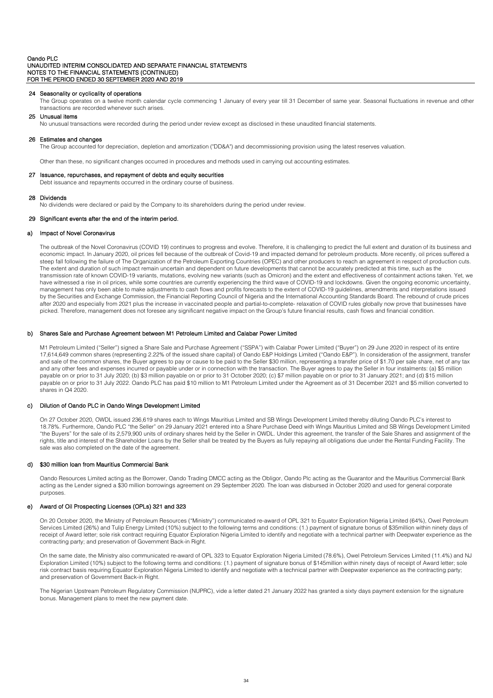#### 24 Seasonality or cyclicality of operations

The Group operates on a twelve month calendar cycle commencing 1 January of every year till 31 December of same year. Seasonal fluctuations in revenue and other transactions are recorded whenever such arises.

#### 25 Unusual items

No unusual transactions were recorded during the period under review except as disclosed in these unaudited financial statements.

#### 26 Estimates and changes

The Group accounted for depreciation, depletion and amortization ("DD&A") and decommissioning provision using the latest reserves valuation.

Other than these, no significant changes occurred in procedures and methods used in carrying out accounting estimates

## 27 Issuance, repurchases, and repayment of debts and equity securities

Debt issuance and repayments occurred in the ordinary course of business.

#### 28 Dividends

No dividends were declared or paid by the Company to its shareholders during the period under review.

#### 29 Significant events after the end of the interim period.

#### a) Impact of Novel Coronavirus

The outbreak of the Novel Coronavirus (COVID 19) continues to progress and evolve. Therefore, it is challenging to predict the full extent and duration of its business and economic impact. In January 2020, oil prices fell because of the outbreak of Covid-19 and impacted demand for petroleum products. More recently, oil prices suffered a steep fall following the failure of The Organization of the Petroleum Exporting Countries (OPEC) and other producers to reach an agreement in respect of production cuts. The extent and duration of such impact remain uncertain and dependent on future developments that cannot be accurately predicted at this time, such as the transmission rate of known COVID-19 variants, mutations, evolving new variants (such as Omicron) and the extent and effectiveness of containment actions taken. Yet, we have witnessed a rise in oil prices, while some countries are currently experiencing the third wave of COVID-19 and lockdowns. Given the ongoing economic uncertainty, management has only been able to make adjustments to cash flows and profits forecasts to the extent of COVID-19 guidelines, amendments and interpretations issued by the Securities and Exchange Commission, the Financial Reporting Council of Nigeria and the International Accounting Standards Board. The rebound of crude prices after 2020 and especially from 2021 plus the increase in vaccinated people and partial-to-complete- relaxation of COVID rules globally now prove that businesses have picked. Therefore, management does not foresee any significant negative impact on the Group's future financial results, cash flows and financial condition

#### b) Shares Sale and Purchase Agreement between M1 Petroleum Limited and Calabar Power Limited

M1 Petroleum Limited ("Seller") signed a Share Sale and Purchase Agreement ("SSPA") with Calabar Power Limited ("Buyer") on 29 June 2020 in respect of its entire 17,614,649 common shares (representing 2.22% of the issued share capital) of Oando E&P Holdings Limited ("Oando E&P"). In consideration of the assignment, transfer and sale of the common shares, the Buyer agrees to pay or cause to be paid to the Seller \$30 million, representing a transfer price of \$1.70 per sale share, net of any tax and any other fees and expenses incurred or payable under or in connection with the transaction. The Buyer agrees to pay the Seller in four instalments: (a) \$5 million payable on or prior to 31 July 2020; (b) \$3 million payable on or prior to 31 October 2020; (c) \$7 million payable on or prior to 31 January 2021; and (d) \$15 million payable on or prior to 31 July 2022. Oando PLC has paid \$10 million to M1 Petroleum Limited under the Agreement as of 31 December 2021 and \$5 million converted to shares in Q4 2020.

#### c) Dilution of Oando PLC in Oando Wings Development Limited

On 27 October 2020, OWDL issued 236,619 shares each to Wings Mauritius Limited and SB Wings Development Limited thereby diluting Oando PLC's interest to 18.78%. Furthermore, Oando PLC "the Seller" on 29 January 2021 entered into a Share Purchase Deed with Wings Mauritius Limited and SB Wings Development Limited "the Buyers" for the sale of its 2,579,900 units of ordinary shares held by the Seller in OWDL. Under this agreement, the transfer of the Sale Shares and assignment of the rights, title and interest of the Shareholder Loans by the Seller shall be treated by the Buyers as fully repaying all obligations due under the Rental Funding Facility. The sale was also completed on the date of the agreement.

#### d) \$30 million loan from Mauritius Commercial Bank

Oando Resources Limited acting as the Borrower, Oando Trading DMCC acting as the Obligor, Oando Plc acting as the Guarantor and the Mauritius Commercial Bank acting as the Lender signed a \$30 million borrowings agreement on 29 September 2020. The loan was disbursed in October 2020 and used for general corporate purposes.

#### e) Award of Oil Prospecting Licenses (OPLs) 321 and 323

On 20 October 2020, the Ministry of Petroleum Resources ("Ministry") communicated re-award of OPL 321 to Equator Exploration Nigeria Limited (64%), Owel Petroleum Services Limited (26%) and Tulip Energy Limited (10%) subject to the following terms and conditions: (1.) payment of signature bonus of \$35million within ninety days of receipt of Award letter; sole risk contract requiring Equator Exploration Nigeria Limited to identify and negotiate with a technical partner with Deepwater experience as the contracting party; and preservation of Government Back-in Right.

On the same date, the Ministry also communicated re-award of OPL 323 to Equator Exploration Nigeria Limited (78.6%), Owel Petroleum Services Limited (11.4%) and NJ Exploration Limited (10%) subject to the following terms and conditions: (1.) payment of signature bonus of \$145million within ninety days of receipt of Award letter; sole risk contract basis requiring Equator Exploration Nigeria Limited to identify and negotiate with a technical partner with Deepwater experience as the contracting party; and preservation of Government Back-in Right.

The Nigerian Upstream Petroleum Regulatory Commission (NUPRC), vide a letter dated 21 January 2022 has granted a sixty days payment extension for the signature bonus. Management plans to meet the new payment date.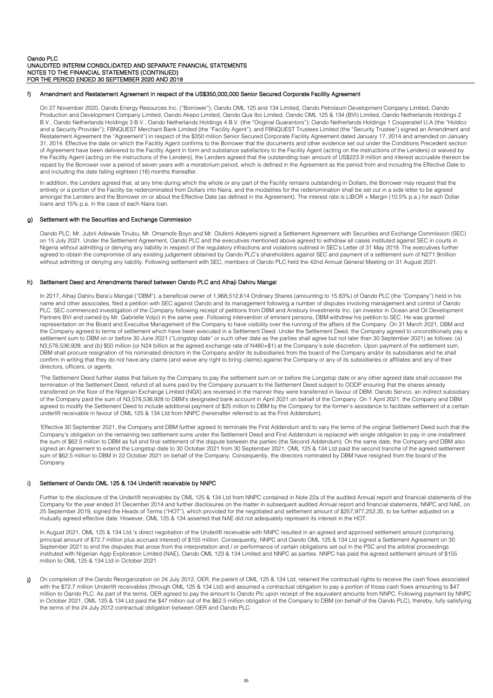#### f) Amendment and Restatement Agreement in respect of the US\$350,000,000 Senior Secured Corporate Facility Agreement

On 27 November 2020, Oando Energy Resources Inc. ("Borrower"); Oando OML 125 and 134 Limited, Oando Petroleum Development Company Limited, Oando Production and Development Company Limited, Oando Akepo Limited, Oando Qua Ibo Limited, Oando OML 125 & 134 (BVI) Limited, Oando Netherlands Holdings 2 B.V., Oando Netherlands Holdings 3 B.V., Oando Netherlands Holdings 4 B.V. (the "Original Guarantors"); Oando Netherlands Holdings 1 Cooperatief U.A (the "Holdco and a Security Provider"); FBNQUEST Merchant Bank Limited (the "Facility Agent"); and FBNQUEST Trustees Limited (the "Security Trustee") signed an Amendment and Restatement Agreement the "Agreement") in respect of the \$350 million Senior Secured Corporate Facility Agreement dated January 17, 2014 and amended on January 31, 2014. Effective the date on which the Facility Agent confirms to the Borrower that the documents and other evidence set out under the Conditions Precedent section of Agreement have been delivered to the Facility Agent in form and substance satisfactory to the Facility Agent (acting on the instructions of the Lenders) or waived by the Facility Agent (acting on the instructions of the Lenders), the Lenders agreed that the outstanding loan amount of US\$223.9 million and interest accruable thereon be repaid by the Borrower over a period of seven years with a moratorium period, which is defined in the Agreement as the period from and including the Effective Date to and including the date falling eighteen (18) months thereafter.

In addition, the Lenders agreed that, at any time during which the whole or any part of the Facility remains outstanding in Dollars, the Borrower may request that the entirety or a portion of the Facility be redenominated from Dollars into Naira, and the modalities for the redenomination shall be set out in a side letter to be agreed amongst the Lenders and the Borrower on or about the Effective Date (as defined in the Agreement). The interest rate is LIBOR + Margin (10.5% p.a.) for each Dollar loans and 15% p.a. in the case of each Naira loan.

#### g) Settlement with the Securities and Exchange Commission

Oando PLC, Mr. Jubril Adewale Tinubu, Mr. Omamofe Boyo and Mr. Olufemi Adeyemi signed a Settlement Agreement with Securities and Exchange Commission (SEC) on 15 July 2021. Under the Settlement Agreement, Oando PLC and the executives mentioned above agreed to withdraw all cases instituted against SEC in courts in Nigeria without admitting or denying any liability in respect of the regulatory infractions and violations outlined in SEC's Letter of 31 May 2019. The executives further agreed to obtain the compromise of any existing judgement obtained by Oando PLC's shareholders against SEC and payment of a settlement sum of N271.9million without admitting or denying any liability. Following settlement with SEC, members of Oando PLC held the 42nd Annual General Meeting on 31 August 2021.

#### h) Settlement Deed and Amendments thereof between Oando PLC and Alhaji Dahiru Mangal

In 2017, Alhaji Dahiru Bara'u Mangal ("DBM"), a beneficial owner of 1,968,512,614 Ordinary Shares (amounting to 15.83%) of Oando PLC (the "Company") held in his name and other associates, filed a petition with SEC against Oando and its management following a number of disputes involving management and control of Oando PLC. SEC commenced investigation of the Company following receipt of petitions from DBM and Ansbury Investments Inc. (an investor in Ocean and Oil Development Partners BVI and owned by Mr. Gabrielle Volpi) in the same year. Following intervention of eminent persons, DBM withdrew his petition to SEC. He was granted representation on the Board and Executive Management of the Company to have visibility over the running of the affairs of the Company. On 31 March 2021, DBM and the Company agreed to terms of settlement which have been executed in a Settlement Deed. Under the Settlement Deed, the Company agreed to unconditionally pay a settlement sum to DBM on or before 30 June 2021 ("Longstop date" or such other date as the parties shall agree but not later than 30 September 2021) as follows: (a) N3,578,536,928; and (b) \$50 million (or N24 billion at the agreed exchange rate of N480=\$1) at the Company's sole discretion. Upon payment of the settlement sum, DBM shall procure resignation of his nominated directors in the Company and/or its subsidiaries from the board of the Company and/or its subsidiaries and he shall confirm in writing that they do not have any claims (and waive any right to bring claims) against the Company or any of its subsidiaries or affiliates and any of their directors, officers, or agents.

'The Settlement Deed further states that failure by the Company to pay the settlement sum on or before the Longstop date or any other agreed date shall occasion the termination of the Settlement Deed, refund of all sums paid by the Company pursuant to the Settlement Deed subject to OODP ensuring that the shares already transferred on the floor of the Nigerian Exchange Limited (NGX) are reversed in the manner they were transferred in favour of DBM. Oando Servco, an indirect subsidiary of the Company paid the sum of N3,578,536,928 to DBM's designated bank account in April 2021 on behalf of the Company. On 1 April 2021, the Company and DBM agreed to modify the Settlement Deed to include additional payment of \$25 million to DBM by the Company for the former's assistance to facilitate settlement of a certain underlift receivable in favour of OML 125 & 134 Ltd from NNPC (hereinafter referred to as the First Addendum).

'Effective 30 September 2021, the Company and DBM further agreed to terminate the First Addendum and to vary the terms of the original Settlement Deed such that the Company's obligation on the remaining two settlement sums under the Settlement Deed and First Addendum is replaced with single obligation to pay in one installment the sum of \$62.5 million to DBM as full and final settlement of the dispute between the parties (the Second Addendum). On the same date, the Company and DBM also signed an Agreement to extend the Longstop date to 30 October 2021 from 30 September 2021. OML 125 & 134 Ltd paid the second tranche of the agreed settlement sum of \$62.5 million to DBM in 22 October 2021 on behalf of the Company. Consequently, the directors nominated by DBM have resigned from the board of the **Company** 

#### i) Settlement of Oando OML 125 & 134 Underlift receivable by NNPC

Further to the disclosure of the Underlift receivables by OML 125 & 134 Ltd from NNPC contained in Note 22a of the audited Annual report and financial statements of the Company for the year ended 31 December 2014 and further disclosures on the matter in subsequent audited Annual report and financial statements, NNPC and NAE, on 25 September 2019, signed the Heads of Terms ("HOT"), which provided for the negotiated and settlement amount of \$257,977,252.35, to be further adjusted on a mutually agreed effective date. However, OML 125 & 134 asserted that NAE did not adequately represent its interest in the HOT.

In August 2021, OML 125 & 134 Ltd.'s direct negotiation of the Underlift receivable with NNPC resulted in an agreed and approved settlement amount (comprising principal amount of \$72.7 million plus accrued interest) of \$155 million. Consequently, NNPC and Oando OML 125 & 134 Ltd signed a Settlement Agreement on 30 September 2021 to end the disputes that arose from the interpretation and / or performance of certain obligations set out in the PSC and the arbitral proceedings instituted with Nigerian Agip Exploration Limited (NAE), Oando OML 123 & 134 Limited and NNPC as parties. NNPC has paid the agreed settlement amount of \$155 million to OML 125 & 134 Ltd in October 2021.

j) On completion of the Oando Reorganization on 24 July 2012, OER, the parent of OML 125 & 134 Ltd, retained the contractual rights to receive the cash flows associated with the \$72.7 million Underlift receivables (through OML 125 & 134 Ltd) and assumed a contractual obligation to pay a portion of those cash flows amounting to \$47 million to Oando PLC. As part of the terms, OER agreed to pay the amount to Oando Plc upon receipt of the equivalent amounts from NNPC. Following payment by NNPC in October 2021, OML 125 & 134 Ltd paid the \$47 million out of the \$62.5 million obligation of the Company to DBM (on behalf of the Oando PLC), thereby, fully satisfying the terms of the 24 July 2012 contractual obligation between OER and Oando PLC.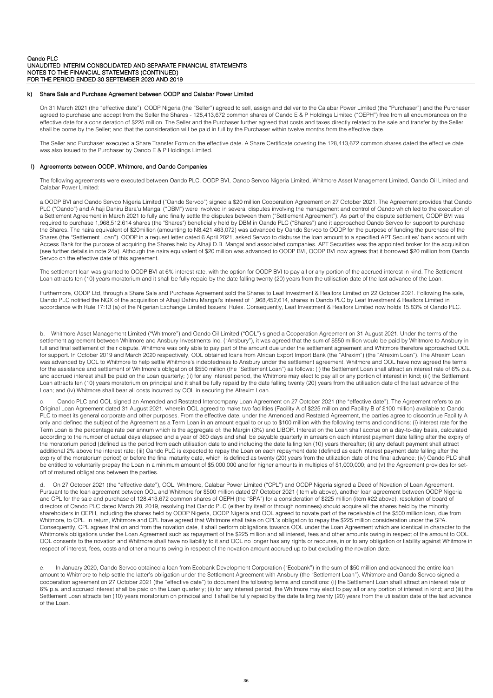#### k) Share Sale and Purchase Agreement between OODP and Calabar Power Limited

On 31 March 2021 (the "effective date"), OODP Nigeria (the "Seller") agreed to sell, assign and deliver to the Calabar Power Limited (the "Purchaser") and the Purchaser agreed to purchase and accept from the Seller the Shares - 128,413,672 common shares of Oando E & P Holdings Limited ("OEPH") free from all encumbrances on the effective date for a consideration of \$225 million. The Seller and the Purchaser further agreed that costs and taxes directly related to the sale and transfer by the Seller shall be borne by the Seller; and that the consideration will be paid in full by the Purchaser within twelve months from the effective date.

The Seller and Purchaser executed a Share Transfer Form on the effective date. A Share Certificate covering the 128,413,672 common shares dated the effective date was also issued to the Purchaser by Oando E & P Holdings Limited.

#### l) Agreements between OODP, Whitmore, and Oando Companies

The following agreements were executed between Oando PLC, OODP BVI, Oando Servco Nigeria Limited, Whitmore Asset Management Limited, Oando Oil Limited and Calabar Power Limited:

a.OODP BVI and Oando Servco Nigeria Limited ("Oando Servco") signed a \$20 million Cooperation Agreement on 27 October 2021. The Agreement provides that Oando PLC ("Oando") and Alhaji Dahiru Bara'u Mangal ("DBM") were involved in several disputes involving the management and control of Oando which led to the execution of a Settlement Agreement in March 2021 to fully and finally settle the disputes between them ("Settlement Agreement"). As part of the dispute settlement, OODP BVI was required to purchase 1,968,512,614 shares (the "Shares") beneficially held by DBM in Oando PLC ("Shares") and it approached Oando Servco for support to purchase the Shares. The naira equivalent of \$20million (amounting to N8,421,463,072) was advanced by Oando Servco to OODP for the purpose of funding the purchase of the Shares (the "Settlement Loan"). OODP in a request letter dated 6 April 2021, asked Servco to disburse the loan amount to a specified APT Securities' bank account with Access Bank for the purpose of acquiring the Shares held by Alhaji D.B. Mangal and associated companies. APT Securities was the appointed broker for the acquisition (see further details in note 24a). Although the naira equivalent of \$20 million was advanced to OODP BVI, OODP BVI now agrees that it borrowed \$20 million from Oando Servco on the effective date of this agreement.

The settlement loan was granted to OODP BVI at 6% interest rate, with the option for OODP BVI to pay all or any portion of the accrued interest in kind. The Settlement Loan attracts ten (10) years moratorium and it shall be fully repaid by the date falling twenty (20) years from the utilisation date of the last advance of the Loan

Furthermore, OODP Ltd, through a Share Sale and Purchase Agreement sold the Shares to Leaf Investment & Realtors Limited on 22 October 2021. Following the sale, Oando PLC notified the NGX of the acquisition of Alhaji Dahiru Mangal's interest of 1,968,452,614, shares in Oando PLC by Leaf Investment & Realtors Limited in accordance with Rule 17:13 (a) of the Nigerian Exchange Limited Issuers' Rules. Consequently, Leaf Investment & Realtors Limited now holds 15.83% of Oando PLC.

b. Whitmore Asset Management Limited ("Whitmore") and Oando Oil Limited ("OOL") signed a Cooperation Agreement on 31 August 2021. Under the terms of the settlement agreement between Whitmore and Ansbury Investments Inc. ("Ansbury"), it was agreed that the sum of \$550 million would be paid by Whitmore to Ansbury in full and final settlement of their dispute. Whitmore was only able to pay part of the amount due under the settlement agreement and Whitmore therefore approached OOL for support. In October 2019 and March 2020 respectively, OOL obtained loans from African Export Import Bank (the "Afrexim") (the "Afrexim Loan"). The Afrexim Loan was advanced by OOL to Whitmore to help settle Whitmore's indebtedness to Ansbury under the settlement agreement. Whitmore and OOL have now agreed the terms for the assistance and settlement of Whitmore's obligation of \$550 million (the "Settlement Loan") as follows: (i) the Settlement Loan shall attract an interest rate of 6% p.a. and accrued interest shall be paid on the Loan quarterly; (ii) for any interest period, the Whitmore may elect to pay all or any portion of interest in kind; (iii) the Settlement Loan attracts ten (10) years moratorium on principal and it shall be fully repaid by the date falling twenty (20) years from the utilisation date of the last advance of the Loan; and (iv) Whitmore shall bear all costs incurred by OOL in securing the Afrexim Loan.

Oando PLC and OOL signed an Amended and Restated Intercompany Loan Agreement on 27 October 2021 (the "effective date"). The Agreement refers to an Original Loan Agreement dated 31 August 2021, wherein OOL agreed to make two facilities (Facility A of \$225 million and Facility B of \$100 million) available to Oando PLC to meet its general corporate and other purposes. From the effective date, under the Amended and Restated Agreement, the parties agree to discontinue Facility A only and defined the subject of the Agreement as a Term Loan in an amount equal to or up to \$100 million with the following terms and conditions: (i) interest rate for the Term Loan is the percentage rate per annum which is the aggregate of: the Margin (3%) and LIBOR. Interest on the Loan shall accrue on a day-to-day basis, calculated according to the number of actual days elapsed and a year of 360 days and shall be payable quarterly in arrears on each interest payment date falling after the expiry of the moratorium period (defined as the period from each utilisation date to and including the date falling ten (10) years thereafter; (ii) any default payment shall attract additional 2% above the interest rate; (iii) Oando PLC is expected to repay the Loan on each repayment date (defined as each interest payment date falling after the expiry of the moratorium period) or before the final maturity date, which is defined as twenty (20) years from the utilization date of the final advance; (iv) Oando PLC shall be entitled to voluntarily prepay the Loan in a minimum amount of \$5,000,000 and for higher amounts in multiples of \$1,000,000; and (v) the Agreement provides for setoff of matured obligations between the parties.

d. On 27 October 2021 (the "effective date"), OOL, Whitmore, Calabar Power Limited ("CPL") and OODP Nigeria signed a Deed of Novation of Loan Agreement. Pursuant to the loan agreement between OOL and Whitmore for \$500 million dated 27 October 2021 (item #b above), another loan agreement between OODP Nigeria and CPL for the sale and purchase of 128,413,672 common shares of OEPH (the "SPA") for a consideration of \$225 million (item #22 above), resolution of board of directors of Oando PLC dated March 28, 2019, resolving that Oando PLC (either by itself or through nominees) should acquire all the shares held by the minority shareholders in OEPH, including the shares held by OODP Nigeria, OODP Nigeria and OOL agreed to novate part of the receivable of the \$500 million loan, due from Whitmore, to CPL. In return, Whitmore and CPL have agreed that Whitmore shall take on CPL's obligation to repay the \$225 million consideration under the SPA. Consequently, CPL agrees that on and from the novation date, it shall perform obligations towards OOL under the Loan Agreement which are identical in character to the Whitmore's obligations under the Loan Agreement such as repayment of the \$225 million and all interest, fees and other amounts owing in respect of the amount to OOL. OOL consents to the novation and Whitmore shall have no liability to it and OOL no longer has any rights or recourse, in or to any obligation or liability against Whitmore in respect of interest, fees, costs and other amounts owing in respect of the novation amount accrued up to but excluding the novation date.

e. In January 2020, Oando Servco obtained a loan from Ecobank Development Corporation ("Ecobank") in the sum of \$50 million and advanced the entire loan amount to Whitmore to help settle the latter's obligation under the Settlement Agreement with Ansbury (the "Settlement Loan"). Whitmore and Oando Servco signed a cooperation agreement on 27 October 2021 (the "effective date") to document the following terms and conditions: (i) the Settlement Loan shall attract an interest rate of 6% p.a. and accrued interest shall be paid on the Loan quarterly; (ii) for any interest period, the Whitmore may elect to pay all or any portion of interest in kind; and (iii) the Settlement Loan attracts ten (10) years moratorium on principal and it shall be fully repaid by the date falling twenty (20) years from the utilisation date of the last advance of the Loan.